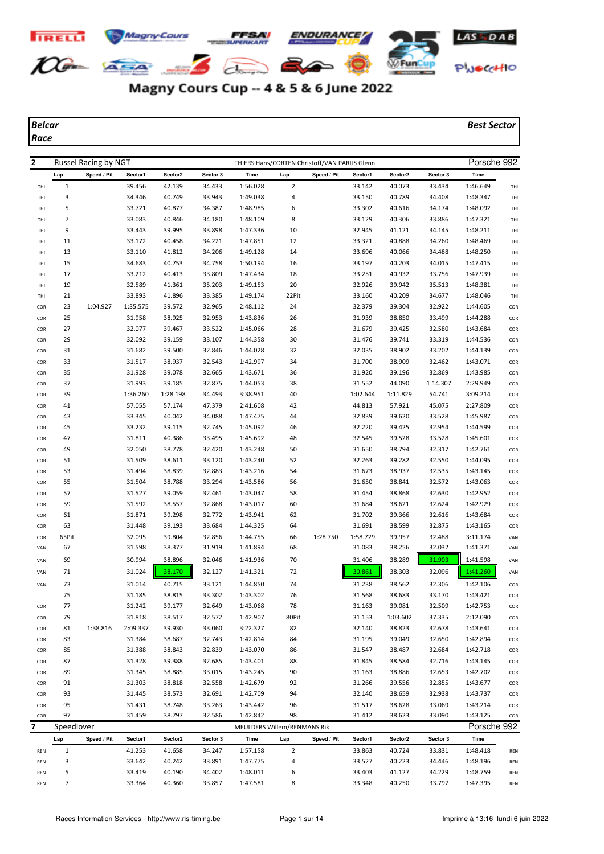

## Magny Cours Cup -- 4 & 5 & 6 June 2022

*Race*

*Belcar Best Sector*

| $\mathbf{2}$ |                | Russel Racing by NGT |          |          |          |                             |                | THIERS Hans/CORTEN Christoff/VAN PARIJS Glenn |          |          |          | Porsche 992 |     |
|--------------|----------------|----------------------|----------|----------|----------|-----------------------------|----------------|-----------------------------------------------|----------|----------|----------|-------------|-----|
|              | Lap            | Speed / Pit          | Sector1  | Sector2  | Sector 3 | Time                        | Lap            | Speed / Pit                                   | Sector1  | Sector2  | Sector 3 | Time        |     |
| THI          | 1              |                      | 39.456   | 42.139   | 34.433   | 1:56.028                    | $\overline{2}$ |                                               | 33.142   | 40.073   | 33.434   | 1:46.649    | THI |
| THI          | 3              |                      | 34.346   | 40.749   | 33.943   | 1:49.038                    | 4              |                                               | 33.150   | 40.789   | 34.408   | 1:48.347    | THI |
| THI          | 5              |                      | 33.721   | 40.877   | 34.387   | 1:48.985                    | 6              |                                               | 33.302   | 40.616   | 34.174   | 1:48.092    | THI |
| THI          | $\overline{7}$ |                      | 33.083   | 40.846   | 34.180   | 1:48.109                    | 8              |                                               | 33.129   | 40.306   | 33.886   | 1:47.321    | THI |
| THI          | 9              |                      | 33.443   | 39.995   | 33.898   | 1:47.336                    | 10             |                                               | 32.945   | 41.121   | 34.145   | 1:48.211    | THI |
| THI          | 11             |                      | 33.172   | 40.458   | 34.221   | 1:47.851                    | 12             |                                               | 33.321   | 40.888   | 34.260   | 1:48.469    | THI |
| THI          | 13             |                      | 33.110   | 41.812   | 34.206   | 1:49.128                    | 14             |                                               | 33.696   | 40.066   | 34.488   | 1:48.250    | THI |
| THI          | 15             |                      | 34.683   | 40.753   | 34.758   | 1:50.194                    | 16             |                                               | 33.197   | 40.203   | 34.015   | 1:47.415    | THI |
| THI          | 17             |                      | 33.212   | 40.413   | 33.809   | 1:47.434                    | 18             |                                               | 33.251   | 40.932   | 33.756   | 1:47.939    | THI |
| THI          | 19             |                      | 32.589   | 41.361   | 35.203   | 1:49.153                    | 20             |                                               | 32.926   | 39.942   | 35.513   | 1:48.381    | THI |
| THI          | 21             |                      | 33.893   | 41.896   | 33.385   | 1:49.174                    | 22Pit          |                                               | 33.160   | 40.209   | 34.677   | 1:48.046    | THI |
| COR          | 23             | 1:04.927             | 1:35.575 | 39.572   | 32.965   | 2:48.112                    | 24             |                                               | 32.379   | 39.304   | 32.922   | 1:44.605    | COR |
| COR          | 25             |                      | 31.958   | 38.925   | 32.953   | 1:43.836                    | 26             |                                               | 31.939   | 38.850   | 33.499   | 1:44.288    | COR |
| COR          | 27             |                      | 32.077   | 39.467   | 33.522   | 1:45.066                    | 28             |                                               | 31.679   | 39.425   | 32.580   | 1:43.684    | COR |
| COR          | 29             |                      | 32.092   | 39.159   | 33.107   | 1:44.358                    | 30             |                                               | 31.476   | 39.741   | 33.319   | 1:44.536    | COR |
| COR          | 31             |                      | 31.682   | 39.500   | 32.846   | 1:44.028                    | 32             |                                               | 32.035   | 38.902   | 33.202   | 1:44.139    | COR |
| COR          | 33             |                      | 31.517   | 38.937   | 32.543   | 1:42.997                    | 34             |                                               | 31.700   | 38.909   | 32.462   | 1:43.071    | COR |
| COR          | 35             |                      | 31.928   | 39.078   | 32.665   | 1:43.671                    | 36             |                                               | 31.920   | 39.196   | 32.869   | 1:43.985    | COR |
| COR          | 37             |                      | 31.993   | 39.185   | 32.875   | 1:44.053                    | 38             |                                               | 31.552   | 44.090   | 1:14.307 | 2:29.949    | COR |
| COR          | 39             |                      | 1:36.260 | 1:28.198 | 34.493   | 3:38.951                    | 40             |                                               | 1:02.644 | 1:11.829 | 54.741   | 3:09.214    | COR |
| COR          | 41             |                      | 57.055   | 57.174   | 47.379   | 2:41.608                    | 42             |                                               | 44.813   | 57.921   | 45.075   | 2:27.809    | COR |
| COR          | 43             |                      | 33.345   | 40.042   | 34.088   | 1:47.475                    | 44             |                                               | 32.839   | 39.620   | 33.528   | 1:45.987    | COR |
| COR          | 45             |                      | 33.232   | 39.115   | 32.745   | 1:45.092                    | 46             |                                               | 32.220   | 39.425   | 32.954   | 1:44.599    | COR |
| COR          | 47             |                      | 31.811   | 40.386   | 33.495   | 1:45.692                    | 48             |                                               | 32.545   | 39.528   | 33.528   | 1:45.601    | COR |
| COR          | 49             |                      | 32.050   | 38.778   | 32.420   | 1:43.248                    | 50             |                                               | 31.650   | 38.794   | 32.317   | 1:42.761    | COR |
| COR          | 51             |                      | 31.509   | 38.611   | 33.120   | 1:43.240                    | 52             |                                               | 32.263   | 39.282   | 32.550   | 1:44.095    | COR |
| COR          | 53             |                      | 31.494   | 38.839   | 32.883   | 1:43.216                    | 54             |                                               | 31.673   | 38.937   | 32.535   | 1:43.145    | COR |
| COR          | 55             |                      | 31.504   | 38.788   | 33.294   | 1:43.586                    | 56             |                                               | 31.650   | 38.841   | 32.572   | 1:43.063    | COR |
| COR          | 57             |                      | 31.527   | 39.059   | 32.461   | 1:43.047                    | 58             |                                               | 31.454   | 38.868   | 32.630   | 1:42.952    | COR |
| COR          | 59             |                      | 31.592   | 38.557   | 32.868   | 1:43.017                    | 60             |                                               | 31.684   | 38.621   | 32.624   | 1:42.929    | COR |
| COR          | 61             |                      | 31.871   | 39.298   | 32.772   | 1:43.941                    | 62             |                                               | 31.702   | 39.366   | 32.616   | 1:43.684    | COR |
| COR          | 63             |                      | 31.448   | 39.193   | 33.684   | 1:44.325                    | 64             |                                               | 31.691   | 38.599   | 32.875   | 1:43.165    | COR |
| COR          | 65Pit          |                      | 32.095   | 39.804   | 32.856   | 1:44.755                    | 66             | 1:28.750                                      | 1:58.729 | 39.957   | 32.488   | 3:11.174    | VAN |
| VAN          | 67             |                      | 31.598   | 38.377   | 31.919   | 1:41.894                    | 68             |                                               | 31.083   | 38.256   | 32.032   | 1:41.371    | VAN |
| VAN          | 69             |                      | 30.994   | 38.896   | 32.046   | 1:41.936                    | 70             |                                               | 31.406   | 38.289   | 31.903   | 1:41.598    | VAN |
| VAN          | 71             |                      | 31.024   | 38.170   | 32.127   | 1:41.321                    | 72             |                                               | 30.861   | 38.303   | 32.096   | 1:41.260    | VAN |
| VAN          | 73             |                      | 31.014   | 40.715   | 33.121   | 1:44.850                    | 74             |                                               | 31.238   | 38.562   | 32.306   | 1:42.106    | COR |
|              | 75             |                      | 31.185   | 38.815   | 33.302   | 1:43.302                    | 76             |                                               | 31.568   | 38.683   | 33.170   | 1:43.421    | COR |
| COR          | 77             |                      | 31.242   | 39.177   | 32.649   | 1:43.068                    | 78             |                                               | 31.163   | 39.081   | 32.509   | 1:42.753    | COR |
| COR          | 79             |                      | 31.818   | 38.517   | 32.572   | 1:42.907                    | 80Pit          |                                               | 31.153   | 1:03.602 | 37.335   | 2:12.090    | COR |
| COR          | 81             | 1:38.816             | 2:09.337 | 39.930   | 33.060   | 3:22.327                    | 82             |                                               | 32.140   | 38.823   | 32.678   | 1:43.641    | COR |
| COR          | 83             |                      | 31.384   | 38.687   | 32.743   | 1:42.814                    | 84             |                                               | 31.195   | 39.049   | 32.650   | 1:42.894    | COR |
| COR          | 85             |                      | 31.388   | 38.843   | 32.839   | 1:43.070                    | 86             |                                               | 31.547   | 38.487   | 32.684   | 1:42.718    | COR |
| COR          | 87             |                      | 31.328   | 39.388   | 32.685   | 1:43.401                    | 88             |                                               | 31.845   | 38.584   | 32.716   | 1:43.145    | COR |
| COR          | 89             |                      | 31.345   | 38.885   | 33.015   | 1:43.245                    | 90             |                                               | 31.163   | 38.886   | 32.653   | 1:42.702    | COR |
| COR          | 91             |                      | 31.303   | 38.818   | 32.558   | 1:42.679                    | 92             |                                               | 31.266   | 39.556   | 32.855   | 1:43.677    | COR |
| COR          | 93             |                      | 31.445   | 38.573   | 32.691   | 1:42.709                    | 94             |                                               | 32.140   | 38.659   | 32.938   | 1:43.737    | COR |
| COR          | 95             |                      | 31.431   | 38.748   | 33.263   | 1:43.442                    | 96             |                                               | 31.517   | 38.628   | 33.069   | 1:43.214    | COR |
| COR          | 97             |                      | 31.459   | 38.797   | 32.586   | 1:42.842                    | 98             |                                               | 31.412   | 38.623   | 33.090   | 1:43.125    | COR |
| 7            | Speedlover     |                      |          |          |          | MEULDERS Willem/RENMANS Rik |                |                                               |          |          |          | Porsche 992 |     |
|              | Lap            | Speed / Pit          | Sector1  | Sector2  | Sector 3 | Time                        | Lap            | Speed / Pit                                   | Sector1  | Sector2  | Sector 3 | Time        |     |
| REN          | $\mathbf{1}$   |                      | 41.253   | 41.658   | 34.247   | 1:57.158                    | $\overline{2}$ |                                               | 33.863   | 40.724   | 33.831   | 1:48.418    | REN |
| REN          | 3              |                      | 33.642   | 40.242   | 33.891   | 1:47.775                    | 4              |                                               | 33.527   | 40.223   | 34.446   | 1:48.196    | REN |
| REN          | 5              |                      | 33.419   | 40.190   | 34.402   | 1:48.011                    | 6              |                                               | 33.403   | 41.127   | 34.229   | 1:48.759    | REN |
| REN          | 7              |                      | 33.364   | 40.360   | 33.857   | 1:47.581                    | 8              |                                               | 33.348   | 40.250   | 33.797   | 1:47.395    | REN |
|              |                |                      |          |          |          |                             |                |                                               |          |          |          |             |     |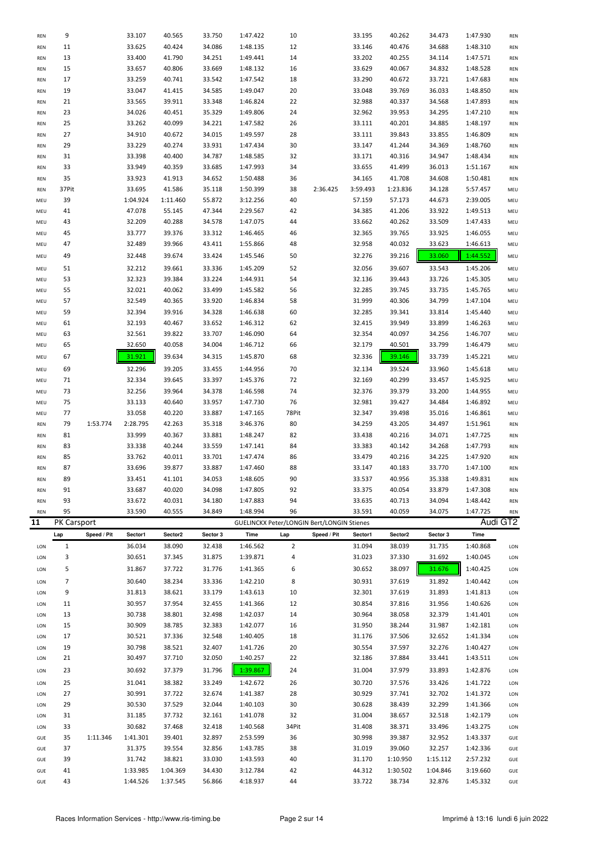| <b>REN</b> | 9           |             | 33.107               | 40.565               | 33.750           | 1:47.422                                          | 10             |             | 33.195           | 40.262             | 34.473             | 1:47.930             | REN        |
|------------|-------------|-------------|----------------------|----------------------|------------------|---------------------------------------------------|----------------|-------------|------------------|--------------------|--------------------|----------------------|------------|
| REN        | 11          |             | 33.625               | 40.424               | 34.086           | 1:48.135                                          | 12             |             | 33.146           | 40.476             | 34.688             | 1:48.310             | <b>REN</b> |
| REN        | 13          |             | 33.400               | 41.790               | 34.251           | 1:49.441                                          | 14             |             | 33.202           | 40.255             | 34.114             | 1:47.571             | <b>REN</b> |
|            | 15          |             |                      | 40.806               | 33.669           |                                                   |                |             |                  | 40.067             |                    |                      |            |
| REN        |             |             | 33.657               |                      |                  | 1:48.132                                          | 16             |             | 33.629           |                    | 34.832             | 1:48.528             | <b>REN</b> |
| REN        | 17          |             | 33.259               | 40.741               | 33.542           | 1:47.542                                          | 18             |             | 33.290           | 40.672             | 33.721             | 1:47.683             | REN        |
| REN        | 19          |             | 33.047               | 41.415               | 34.585           | 1:49.047                                          | 20             |             | 33.048           | 39.769             | 36.033             | 1:48.850             | <b>REN</b> |
| REN        | 21          |             | 33.565               | 39.911               | 33.348           | 1:46.824                                          | 22             |             | 32.988           | 40.337             | 34.568             | 1:47.893             | <b>REN</b> |
| REN        | 23          |             | 34.026               | 40.451               | 35.329           | 1:49.806                                          | 24             |             | 32.962           | 39.953             | 34.295             | 1:47.210             | <b>REN</b> |
| REN        | 25          |             | 33.262               | 40.099               | 34.221           | 1:47.582                                          | 26             |             | 33.111           | 40.201             | 34.885             | 1:48.197             | REN        |
| REN        | 27          |             | 34.910               | 40.672               | 34.015           | 1:49.597                                          | 28             |             | 33.111           | 39.843             | 33.855             | 1:46.809             | REN        |
| REN        | 29          |             | 33.229               | 40.274               | 33.931           | 1:47.434                                          | 30             |             | 33.147           | 41.244             | 34.369             | 1:48.760             | <b>REN</b> |
| REN        | 31          |             | 33.398               | 40.400               | 34.787           | 1:48.585                                          | 32             |             | 33.171           | 40.316             | 34.947             | 1:48.434             | <b>REN</b> |
| REN        | 33          |             | 33.949               | 40.359               | 33.685           | 1:47.993                                          | 34             |             | 33.655           | 41.499             | 36.013             | 1:51.167             |            |
|            |             |             |                      |                      |                  |                                                   |                |             |                  |                    |                    |                      | <b>REN</b> |
| REN        | 35          |             | 33.923               | 41.913               | 34.652           | 1:50.488                                          | 36             |             | 34.165           | 41.708             | 34.608             | 1:50.481             | <b>REN</b> |
| REN        | 37Pit       |             | 33.695               | 41.586               | 35.118           | 1:50.399                                          | 38             | 2:36.425    | 3:59.493         | 1:23.836           | 34.128             | 5:57.457             | MEU        |
| MEU        | 39          |             | 1:04.924             | 1:11.460             | 55.872           | 3:12.256                                          | 40             |             | 57.159           | 57.173             | 44.673             | 2:39.005             | MEU        |
| MEU        | 41          |             | 47.078               | 55.145               | 47.344           | 2:29.567                                          | 42             |             | 34.385           | 41.206             | 33.922             | 1:49.513             | MEU        |
| MEU        | 43          |             | 32.209               | 40.288               | 34.578           | 1:47.075                                          | 44             |             | 33.662           | 40.262             | 33.509             | 1:47.433             | MEU        |
| MEU        | 45          |             | 33.777               | 39.376               | 33.312           | 1:46.465                                          | 46             |             | 32.365           | 39.765             | 33.925             | 1:46.055             | MEU        |
| MEU        | 47          |             | 32.489               | 39.966               | 43.411           | 1:55.866                                          | 48             |             | 32.958           | 40.032             | 33.623             | 1:46.613             | MEU        |
| MEU        | 49          |             | 32.448               | 39.674               | 33.424           | 1:45.546                                          | 50             |             | 32.276           | 39.216             | 33.060             | 1:44.552             | MEU        |
| MEU        | 51          |             | 32.212               | 39.661               | 33.336           | 1:45.209                                          | 52             |             | 32.056           | 39.607             | 33.543             | 1:45.206             | MEU        |
| MEU        | 53          |             | 32.323               | 39.384               | 33.224           | 1:44.931                                          | 54             |             | 32.136           | 39.443             | 33.726             | 1:45.305             | MEU        |
|            |             |             |                      |                      |                  |                                                   |                |             | 32.285           | 39.745             |                    |                      |            |
| MEU        | 55          |             | 32.021               | 40.062               | 33.499           | 1:45.582                                          | 56             |             |                  |                    | 33.735             | 1:45.765             | MEU        |
| MEU        | 57          |             | 32.549               | 40.365               | 33.920           | 1:46.834                                          | 58             |             | 31.999           | 40.306             | 34.799             | 1:47.104             | MEU        |
| MEU        | 59          |             | 32.394               | 39.916               | 34.328           | 1:46.638                                          | 60             |             | 32.285           | 39.341             | 33.814             | 1:45.440             | MEU        |
| MEU        | 61          |             | 32.193               | 40.467               | 33.652           | 1:46.312                                          | 62             |             | 32.415           | 39.949             | 33.899             | 1:46.263             | MEU        |
| MEU        | 63          |             | 32.561               | 39.822               | 33.707           | 1:46.090                                          | 64             |             | 32.354           | 40.097             | 34.256             | 1:46.707             | MEU        |
| MEU        | 65          |             | 32.650               | 40.058               | 34.004           | 1:46.712                                          | 66             |             | 32.179           | 40.501             | 33.799             | 1:46.479             | MEU        |
| MEU        | 67          |             | 31.921               | 39.634               | 34.315           | 1:45.870                                          | 68             |             | 32.336           | 39.146             | 33.739             | 1:45.221             | MEU        |
| MEU        | 69          |             | 32.296               | 39.205               | 33.455           | 1:44.956                                          | 70             |             | 32.134           | 39.524             | 33.960             | 1:45.618             | MEU        |
| MEU        | 71          |             | 32.334               | 39.645               | 33.397           | 1:45.376                                          | 72             |             | 32.169           | 40.299             | 33.457             | 1:45.925             | MEU        |
| MEU        | 73          |             | 32.256               | 39.964               | 34.378           | 1:46.598                                          | 74             |             | 32.376           | 39.379             | 33.200             | 1:44.955             | MEU        |
|            |             |             |                      |                      |                  |                                                   |                |             |                  |                    |                    |                      |            |
| MEU        | 75          |             | 33.133               | 40.640               | 33.957           | 1:47.730                                          | 76             |             | 32.981<br>32.347 | 39.427             | 34.484             | 1:46.892             | MEU        |
| MEU        | 77          |             | 33.058               | 40.220               | 33.887           | 1:47.165                                          | 78Pit          |             |                  | 39.498             | 35.016             | 1:46.861             | MEU        |
|            |             |             |                      |                      |                  |                                                   |                |             |                  |                    |                    |                      |            |
| REN        | 79          | 1:53.774    | 2:28.795             | 42.263               | 35.318           | 3:46.376                                          | 80             |             | 34.259           | 43.205             | 34.497             | 1:51.961             | <b>REN</b> |
| REN        | 81          |             | 33.999               | 40.367               | 33.881           | 1:48.247                                          | 82             |             | 33.438           | 40.216             | 34.071             | 1:47.725             | <b>REN</b> |
| REN        | 83          |             | 33.338               | 40.244               | 33.559           | 1:47.141                                          | 84             |             | 33.383           | 40.142             | 34.268             | 1:47.793             | <b>REN</b> |
| REN        | 85          |             | 33.762               | 40.011               | 33.701           | 1:47.474                                          | 86             |             | 33.479           | 40.216             | 34.225             | 1:47.920             | <b>REN</b> |
| REN        | 87          |             | 33.696               | 39.877               | 33.887           | 1:47.460                                          | 88             |             | 33.147           | 40.183             | 33.770             | 1:47.100             | <b>REN</b> |
| REN        | 89          |             | 33.451               | 41.101               | 34.053           | 1:48.605                                          | 90             |             | 33.537           | 40.956             | 35.338             | 1:49.831             | REN        |
| <b>REN</b> | 91          |             | 33.687               | 40.020               | 34.098           | 1:47.805                                          | 92             |             | 33.375           | 40.054             | 33.879             | 1:47.308             | <b>REN</b> |
| <b>REN</b> |             |             |                      |                      |                  |                                                   |                |             |                  |                    |                    |                      |            |
| <b>REN</b> | 93          |             | 33.672               | 40.031               | 34.180           | 1:47.883                                          | 94             |             | 33.635           | 40.713             | 34.094             | 1:48.442             | REN        |
|            | 95          |             | 33.590               | 40.555               | 34.849           | 1:48.994                                          | 96             |             | 33.591           | 40.059             | 34.075             | 1:47.725             | <b>REN</b> |
| 11         | PK Carsport |             |                      |                      |                  | <b>GUELINCKX Peter/LONGIN Bert/LONGIN Stienes</b> |                |             |                  |                    |                    |                      | Audi GT2   |
|            | Lap         | Speed / Pit | Sector1              | Sector2              | Sector 3         | Time                                              | Lap            | Speed / Pit | Sector1          | Sector2            | Sector 3           | Time                 |            |
| LON        | 1           |             | 36.034               | 38.090               | 32.438           | 1:46.562                                          | $\overline{2}$ |             | 31.094           | 38.039             | 31.735             | 1:40.868             | LON        |
| LON        | 3           |             | 30.651               | 37.345               | 31.875           | 1:39.871                                          | 4              |             | 31.023           | 37.330             | 31.692             | 1:40.045             | LON        |
| LON        | 5           |             | 31.867               | 37.722               | 31.776           | 1:41.365                                          | 6              |             | 30.652           | 38.097             | 31.676             | 1:40.425             | LON        |
| LON        | 7           |             | 30.640               | 38.234               | 33.336           | 1:42.210                                          | 8              |             | 30.931           | 37.619             | 31.892             | 1:40.442             | LON        |
| LON        | 9           |             | 31.813               | 38.621               | 33.179           | 1:43.613                                          | 10             |             | 32.301           | 37.619             | 31.893             | 1:41.813             | LON        |
| LON        | 11          |             | 30.957               | 37.954               | 32.455           | 1:41.366                                          | 12             |             | 30.854           | 37.816             | 31.956             | 1:40.626             | LON        |
| LON        | 13          |             | 30.738               | 38.801               | 32.498           | 1:42.037                                          | 14             |             | 30.964           | 38.058             | 32.379             | 1:41.401             | LON        |
| LON        | 15          |             |                      |                      |                  |                                                   |                |             |                  |                    |                    |                      |            |
|            |             |             | 30.909               | 38.785               | 32.383           | 1:42.077                                          | 16             |             | 31.950           | 38.244             | 31.987             | 1:42.181             | LON        |
| LON        | 17          |             | 30.521               | 37.336               | 32.548           | 1:40.405                                          | 18             |             | 31.176           | 37.506             | 32.652             | 1:41.334             | LON        |
| LON        | 19          |             | 30.798               | 38.521               | 32.407           | 1:41.726                                          | 20             |             | 30.554           | 37.597             | 32.276             | 1:40.427             | LON        |
| LON        | 21          |             | 30.497               | 37.710               | 32.050           | 1:40.257                                          | 22             |             | 32.186           | 37.884             | 33.441             | 1:43.511             | LON        |
| LON        | 23          |             | 30.692               | 37.379               | 31.796           | 1:39.867                                          | 24             |             | 31.004           | 37.979             | 33.893             | 1:42.876             | LON        |
| LON        | 25          |             | 31.041               | 38.382               | 33.249           | 1:42.672                                          | 26             |             | 30.720           | 37.576             | 33.426             | 1:41.722             | LON        |
| LON        | 27          |             | 30.991               | 37.722               | 32.674           | 1:41.387                                          | 28             |             | 30.929           | 37.741             | 32.702             | 1:41.372             | LON        |
| LON        | 29          |             | 30.530               | 37.529               | 32.044           | 1:40.103                                          | 30             |             | 30.628           | 38.439             | 32.299             | 1:41.366             | LON        |
| LON        | 31          |             | 31.185               | 37.732               | 32.161           | 1:41.078                                          | 32             |             | 31.004           | 38.657             | 32.518             | 1:42.179             | LON        |
| LON        | 33          |             | 30.682               | 37.468               | 32.418           | 1:40.568                                          | 34Pit          |             | 31.408           | 38.371             | 33.496             | 1:43.275             | LON        |
| GUE        | 35          | 1:11.346    |                      | 39.401               | 32.897           |                                                   | 36             |             | 30.998           |                    |                    | 1:43.337             | GUE        |
|            |             |             | 1:41.301             |                      |                  | 2:53.599                                          |                |             |                  | 39.387             | 32.952             |                      |            |
| GUE        | 37          |             | 31.375               | 39.554               | 32.856           | 1:43.785                                          | 38             |             | 31.019           | 39.060             | 32.257             | 1:42.336             | GUE        |
| GUE        | 39          |             | 31.742               | 38.821               | 33.030           | 1:43.593                                          | 40             |             | 31.170           | 1:10.950           | 1:15.112           | 2:57.232             | GUE        |
| GUE<br>GUE | 41<br>43    |             | 1:33.985<br>1:44.526 | 1:04.369<br>1:37.545 | 34.430<br>56.866 | 3:12.784<br>4:18.937                              | 42<br>44       |             | 44.312<br>33.722 | 1:30.502<br>38.734 | 1:04.846<br>32.876 | 3:19.660<br>1:45.332 | GUE<br>GUE |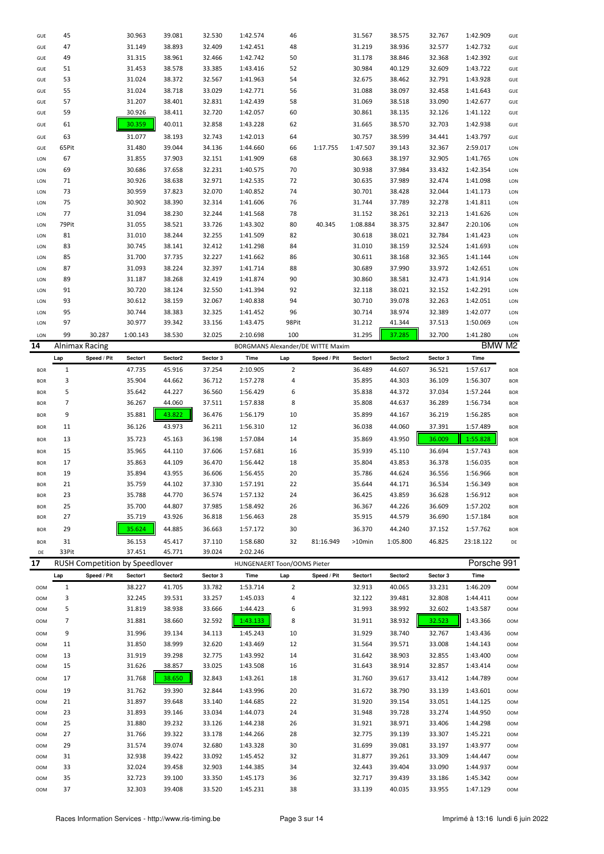| GUE        | 45    |                                       | 30.963   | 39.081  | 32.530   | 1:42.574                          | 46             |             | 31.567    | 38.575   | 32.767   | 1:42.909    | GUE        |
|------------|-------|---------------------------------------|----------|---------|----------|-----------------------------------|----------------|-------------|-----------|----------|----------|-------------|------------|
| GUE        | 47    |                                       | 31.149   | 38.893  | 32.409   | 1:42.451                          | 48             |             | 31.219    | 38.936   | 32.577   | 1:42.732    | GUE        |
| GUE        | 49    |                                       | 31.315   | 38.961  | 32.466   | 1:42.742                          | 50             |             | 31.178    | 38.846   | 32.368   | 1:42.392    | GUE        |
| GUE        | 51    |                                       | 31.453   | 38.578  | 33.385   | 1:43.416                          | 52             |             | 30.984    | 40.129   | 32.609   | 1:43.722    | GUE        |
| GUE        | 53    |                                       | 31.024   | 38.372  | 32.567   | 1:41.963                          | 54             |             | 32.675    | 38.462   | 32.791   | 1:43.928    | GUE        |
|            |       |                                       |          |         |          |                                   |                |             |           |          |          |             |            |
| GUE        | 55    |                                       | 31.024   | 38.718  | 33.029   | 1:42.771                          | 56             |             | 31.088    | 38.097   | 32.458   | 1:41.643    | GUE        |
| GUE        | 57    |                                       | 31.207   | 38.401  | 32.831   | 1:42.439                          | 58             |             | 31.069    | 38.518   | 33.090   | 1:42.677    | GUE        |
| GUE        | 59    |                                       | 30.926   | 38.411  | 32.720   | 1:42.057                          | 60             |             | 30.861    | 38.135   | 32.126   | 1:41.122    | GUE        |
| GUE        | 61    |                                       | 30.359   | 40.011  | 32.858   | 1:43.228                          | 62             |             | 31.665    | 38.570   | 32.703   | 1:42.938    | GUE        |
| GUE        | 63    |                                       | 31.077   | 38.193  | 32.743   | 1:42.013                          | 64             |             | 30.757    | 38.599   | 34.441   | 1:43.797    | GUE        |
| GUE        | 65Pit |                                       | 31.480   | 39.044  | 34.136   | 1:44.660                          | 66             | 1:17.755    | 1:47.507  | 39.143   | 32.367   | 2:59.017    | LON        |
|            |       |                                       |          |         |          |                                   |                |             |           |          |          |             |            |
| LON        | 67    |                                       | 31.855   | 37.903  | 32.151   | 1:41.909                          | 68             |             | 30.663    | 38.197   | 32.905   | 1:41.765    | LON        |
| LON        | 69    |                                       | 30.686   | 37.658  | 32.231   | 1:40.575                          | 70             |             | 30.938    | 37.984   | 33.432   | 1:42.354    | LON        |
| LON        | 71    |                                       | 30.926   | 38.638  | 32.971   | 1:42.535                          | 72             |             | 30.635    | 37.989   | 32.474   | 1:41.098    | LON        |
| LON        | 73    |                                       | 30.959   | 37.823  | 32.070   | 1:40.852                          | 74             |             | 30.701    | 38.428   | 32.044   | 1:41.173    | LON        |
| LON        | 75    |                                       | 30.902   | 38.390  | 32.314   | 1:41.606                          | 76             |             | 31.744    | 37.789   | 32.278   | 1:41.811    | LON        |
| LON        | 77    |                                       | 31.094   | 38.230  | 32.244   | 1:41.568                          | 78             |             | 31.152    | 38.261   | 32.213   | 1:41.626    | LON        |
| LON        | 79Pit |                                       | 31.055   | 38.521  | 33.726   | 1:43.302                          | 80             | 40.345      | 1:08.884  | 38.375   | 32.847   | 2:20.106    | LON        |
| LON        | 81    |                                       | 31.010   | 38.244  | 32.255   | 1:41.509                          | 82             |             | 30.618    | 38.021   | 32.784   | 1:41.423    | LON        |
|            |       |                                       |          |         |          |                                   |                |             |           |          |          |             |            |
| LON        | 83    |                                       | 30.745   | 38.141  | 32.412   | 1:41.298                          | 84             |             | 31.010    | 38.159   | 32.524   | 1:41.693    | LON        |
| LON        | 85    |                                       | 31.700   | 37.735  | 32.227   | 1:41.662                          | 86             |             | 30.611    | 38.168   | 32.365   | 1:41.144    | LON        |
| LON        | 87    |                                       | 31.093   | 38.224  | 32.397   | 1:41.714                          | 88             |             | 30.689    | 37.990   | 33.972   | 1:42.651    | LON        |
| LON        | 89    |                                       | 31.187   | 38.268  | 32.419   | 1:41.874                          | 90             |             | 30.860    | 38.581   | 32.473   | 1:41.914    | LON        |
| LON        | 91    |                                       | 30.720   | 38.124  | 32.550   | 1:41.394                          | 92             |             | 32.118    | 38.021   | 32.152   | 1:42.291    | LON        |
| LON        | 93    |                                       | 30.612   | 38.159  | 32.067   | 1:40.838                          | 94             |             | 30.710    | 39.078   | 32.263   | 1:42.051    | LON        |
| LON        | 95    |                                       | 30.744   | 38.383  | 32.325   | 1:41.452                          | 96             |             | 30.714    | 38.974   | 32.389   | 1:42.077    | LON        |
| LON        | 97    |                                       | 30.977   | 39.342  | 33.156   | 1:43.475                          | 98Pit          |             | 31.212    | 41.344   | 37.513   | 1:50.069    | LON        |
|            |       |                                       |          |         |          |                                   |                |             |           |          |          |             |            |
| LON        | 99    | 30.287                                | 1:00.143 | 38.530  | 32.025   | 2:10.698                          | 100            |             | 31.295    | 37.285   | 32.700   | 1:41.280    | <b>LON</b> |
| 14         |       | <b>Alnimax Racing</b>                 |          |         |          | BORGMANS Alexander/DE WITTE Maxim |                |             |           |          |          |             | BMW M2     |
|            | Lap   | Speed / Pit                           | Sector1  | Sector2 | Sector 3 | Time                              | Lap            | Speed / Pit | Sector1   | Sector2  | Sector 3 | Time        |            |
| <b>BOR</b> | 1     |                                       | 47.735   | 45.916  | 37.254   | 2:10.905                          | $\overline{2}$ |             | 36.489    | 44.607   | 36.521   | 1:57.617    | <b>BOR</b> |
| <b>BOR</b> | 3     |                                       | 35.904   | 44.662  | 36.712   | 1:57.278                          | 4              |             | 35.895    | 44.303   | 36.109   | 1:56.307    | <b>BOR</b> |
| <b>BOR</b> | 5     |                                       | 35.642   | 44.227  | 36.560   | 1:56.429                          | 6              |             | 35.838    | 44.372   | 37.034   | 1:57.244    | <b>BOR</b> |
|            | 7     |                                       | 36.267   |         |          |                                   | 8              |             |           |          |          |             |            |
| <b>BOR</b> |       |                                       |          | 44.060  | 37.511   | 1:57.838                          |                |             | 35.808    | 44.637   | 36.289   | 1:56.734    | <b>BOR</b> |
| <b>BOR</b> | 9     |                                       | 35.881   | 43.822  | 36.476   | 1:56.179                          | 10             |             | 35.899    | 44.167   | 36.219   | 1:56.285    | <b>BOR</b> |
| <b>BOR</b> | 11    |                                       | 36.126   | 43.973  | 36.211   | 1:56.310                          | 12             |             | 36.038    | 44.060   | 37.391   | 1:57.489    | <b>BOR</b> |
| <b>BOR</b> | 13    |                                       | 35.723   | 45.163  | 36.198   | 1:57.084                          | 14             |             | 35.869    | 43.950   | 36.009   | 1:55.828    | <b>BOR</b> |
|            | 15    |                                       |          |         | 37.606   |                                   |                |             |           |          | 36.694   | 1:57.743    |            |
| <b>BOR</b> |       |                                       | 35.965   | 44.110  |          | 1:57.681                          | 16             |             | 35.939    | 45.110   |          |             | <b>BOR</b> |
| <b>BOR</b> | 17    |                                       | 35.863   | 44.109  | 36.470   | 1:56.442                          | 18             |             | 35.804    | 43.853   | 36.378   | 1:56.035    | <b>BOR</b> |
| <b>BOR</b> | 19    |                                       | 35.894   | 43.955  | 36.606   | 1:56.455                          | 20             |             | 35.786    | 44.624   | 36.556   | 1:56.966    | <b>BOR</b> |
| <b>BOR</b> | 21    |                                       | 35.759   | 44.102  | 37.330   | 1:57.191                          | 22             |             | 35.644    |          |          |             | <b>BOR</b> |
| <b>BOR</b> | 23    |                                       | 35.788   | 44.770  | 36.574   |                                   |                |             |           | 44.171   | 36.534   | 1:56.349    |            |
| <b>BOR</b> | 25    |                                       |          |         |          | 1:57.132                          | 24             |             | 36.425    | 43.859   | 36.628   | 1:56.912    | <b>BOR</b> |
| <b>BOR</b> | 27    |                                       | 35.700   | 44.807  | 37.985   | 1:58.492                          | 26             |             | 36.367    | 44.226   | 36.609   | 1:57.202    | <b>BOR</b> |
|            |       |                                       |          |         |          |                                   |                |             |           |          |          |             |            |
| <b>BOR</b> |       |                                       | 35.719   | 43.926  | 36.818   | 1:56.463                          | 28             |             | 35.915    | 44.579   | 36.690   | 1:57.184    | <b>BOR</b> |
| <b>BOR</b> | 29    |                                       | 35.624   | 44.885  | 36.663   | 1:57.172                          | 30             |             | 36.370    | 44.240   | 37.152   | 1:57.762    | <b>BOR</b> |
|            | 31    |                                       | 36.153   | 45.417  | 37.110   | 1:58.680                          | 32             | 81:16.949   | $>10$ min | 1:05.800 | 46.825   | 23:18.122   | DE         |
| DE         | 33Pit |                                       | 37.451   | 45.771  | 39.024   | 2:02.246                          |                |             |           |          |          |             |            |
| 17         |       | <b>RUSH Competition by Speedlover</b> |          |         |          | HUNGENAERT Toon/OOMS Pieter       |                |             |           |          |          | Porsche 991 |            |
|            | Lap   | Speed / Pit                           | Sector1  | Sector2 | Sector 3 | Time                              | Lap            | Speed / Pit | Sector1   | Sector2  | Sector 3 | Time        |            |
|            |       |                                       |          |         |          |                                   |                |             |           |          |          |             |            |
| <b>OOM</b> | 1     |                                       | 38.227   | 41.705  | 33.782   | 1:53.714                          | $\overline{2}$ |             | 32.913    | 40.065   | 33.231   | 1:46.209    | <b>OOM</b> |
| OOM        | 3     |                                       | 32.245   | 39.531  | 33.257   | 1:45.033                          | 4              |             | 32.122    | 39.481   | 32.808   | 1:44.411    | <b>OOM</b> |
| OOM        | 5     |                                       | 31.819   | 38.938  | 33.666   | 1:44.423                          | 6              |             | 31.993    | 38.992   | 32.602   | 1:43.587    | <b>OOM</b> |
| OOM        | 7     |                                       | 31.881   | 38.660  | 32.592   | 1:43.133                          | 8              |             | 31.911    | 38.932   | 32.523   | 1:43.366    | <b>OOM</b> |
| OOM        | 9     |                                       | 31.996   | 39.134  | 34.113   | 1:45.243                          | 10             |             | 31.929    | 38.740   | 32.767   | 1:43.436    | <b>OOM</b> |
|            |       |                                       |          |         |          |                                   |                |             |           |          |          |             |            |
| OOM        | 11    |                                       | 31.850   | 38.999  | 32.620   | 1:43.469                          | 12             |             | 31.564    | 39.571   | 33.008   | 1:44.143    | <b>OOM</b> |
| OOM        | 13    |                                       | 31.919   | 39.298  | 32.775   | 1:43.992                          | 14             |             | 31.642    | 38.903   | 32.855   | 1:43.400    | <b>OOM</b> |
| OOM        | 15    |                                       | 31.626   | 38.857  | 33.025   | 1:43.508                          | 16             |             | 31.643    | 38.914   | 32.857   | 1:43.414    | <b>OOM</b> |
| <b>OOM</b> | 17    |                                       | 31.768   | 38.650  | 32.843   | 1:43.261                          | 18             |             | 31.760    | 39.617   | 33.412   | 1:44.789    | <b>OOM</b> |
| <b>OOM</b> | 19    |                                       | 31.762   | 39.390  | 32.844   | 1:43.996                          | 20             |             | 31.672    | 38.790   | 33.139   | 1:43.601    | <b>OOM</b> |
| OOM        | 21    |                                       | 31.897   | 39.648  | 33.140   | 1:44.685                          | 22             |             | 31.920    | 39.154   | 33.051   | 1:44.125    | <b>OOM</b> |
|            |       |                                       |          |         |          |                                   |                |             |           |          |          |             |            |
| OOM        | 23    |                                       | 31.893   | 39.146  | 33.034   | 1:44.073                          | 24             |             | 31.948    | 39.728   | 33.274   | 1:44.950    | <b>OOM</b> |
| OOM        | 25    |                                       | 31.880   | 39.232  | 33.126   | 1:44.238                          | 26             |             | 31.921    | 38.971   | 33.406   | 1:44.298    | <b>OOM</b> |
| OOM        | 27    |                                       | 31.766   | 39.322  | 33.178   | 1:44.266                          | 28             |             | 32.775    | 39.139   | 33.307   | 1:45.221    | <b>OOM</b> |
| OOM        | 29    |                                       | 31.574   | 39.074  | 32.680   | 1:43.328                          | 30             |             | 31.699    | 39.081   | 33.197   | 1:43.977    | <b>OOM</b> |
| OOM        | 31    |                                       | 32.938   | 39.422  | 33.092   | 1:45.452                          | 32             |             | 31.877    | 39.261   | 33.309   | 1:44.447    | <b>OOM</b> |
| OOM        | 33    |                                       | 32.024   | 39.458  | 32.903   | 1:44.385                          | 34             |             | 32.443    | 39.404   | 33.090   | 1:44.937    | <b>OOM</b> |
| OOM        | 35    |                                       | 32.723   | 39.100  | 33.350   | 1:45.173                          | 36             |             | 32.717    | 39.439   | 33.186   | 1:45.342    | <b>OOM</b> |
| OOM        | 37    |                                       | 32.303   | 39.408  | 33.520   | 1:45.231                          | 38             |             | 33.139    | 40.035   | 33.955   | 1:47.129    | <b>OOM</b> |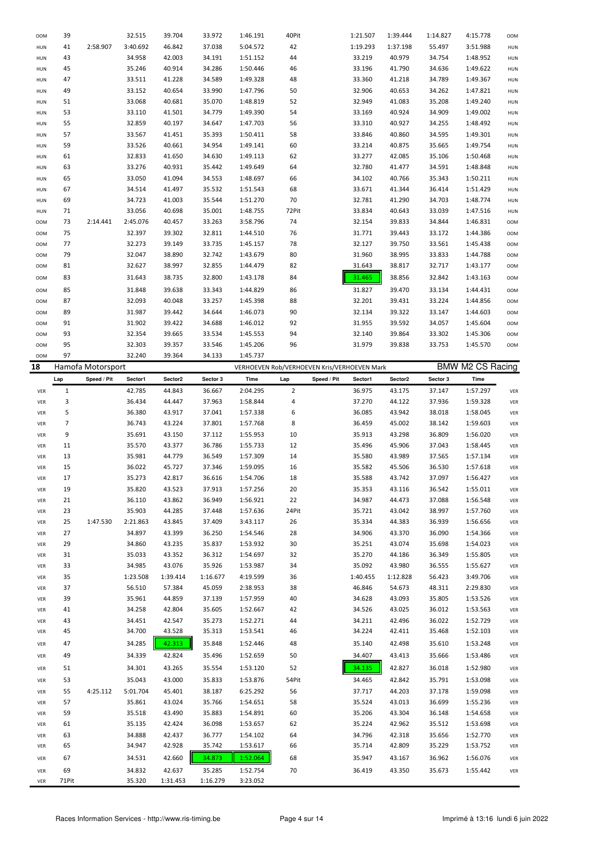| 3:40.692<br>37.038<br>42<br>41<br>2:58.907<br>46.842<br>5:04.572<br>1:19.293<br>HUN<br>34.958<br>42.003<br>1:51.152<br>33.219<br>43<br>34.191<br>44<br>HUN<br>45<br>35.246<br>40.914<br>34.286<br>1:50.446<br>33.196<br>46<br>HUN<br>33.511<br>1:49.328<br>47<br>41.228<br>34.589<br>48<br>33.360<br>HUN<br>33.152<br>32.906<br>49<br>40.654<br>33.990<br>1:47.796<br><b>HUN</b><br>50<br>33.068<br>35.070<br>32.949<br>40.681<br>1:48.819<br>52<br><b>HUN</b><br>51<br>33.110<br>41.501<br>34.779<br>53<br>1:49.390<br>54<br>33.169<br>HUN<br>55<br>32.859<br>40.197<br>34.647<br>1:47.703<br>33.310<br>56<br>HUN<br>57<br>33.567<br>41.451<br>35.393<br>1:50.411<br>58<br>33.846<br>HUN<br>59<br>33.526<br>40.661<br>34.954<br>1:49.141<br>60<br>33.214<br><b>HUN</b><br>32.833<br>41.650<br>61<br>34.630<br>1:49.113<br>62<br>33.277<br><b>HUN</b><br>33.276<br>40.931<br>32.780<br>63<br>35.442<br>1:49.649<br>64<br>HUN<br>65<br>33.050<br>41.094<br>1:48.697<br>34.102<br>34.553<br>66<br>HUN<br>34.514<br>67<br>41.497<br>35.532<br>1:51.543<br>68<br>33.671<br><b>HUN</b><br>34.723<br>35.544<br>70<br>32.781<br>69<br>41.003<br>1:51.270<br><b>HUN</b><br>33.056<br>71<br>40.698<br>35.001<br>1:48.755<br>72Pit<br>33.834<br><b>HUN</b><br>2:14.441<br>2:45.076<br>33.263<br>3:58.796<br>74<br>32.154<br>73<br>40.457<br>OOM<br>75<br>32.397<br>39.302<br>32.811<br>1:44.510<br>76<br>31.771<br>OOM<br>77<br>32.273<br>39.149<br>33.735<br>78<br>32.127<br>1:45.157<br><b>OOM</b><br>79<br>32.047<br>38.890<br>32.742<br>31.960<br>1:43.679<br>80<br><b>OOM</b><br>38.997<br>81<br>32.627<br>32.855<br>1:44.479<br>82<br>31.643<br><b>OOM</b><br>38.735<br>32.800<br>83<br>31.643<br>1:43.178<br>84<br>31.465<br><b>OOM</b><br>31.848<br>39.638<br>85<br>33.343<br>1:44.829<br>86<br>31.827<br><b>OOM</b><br>32.093<br>32.201<br>87<br>40.048<br>33.257<br>1:45.398<br>88<br>OOM<br>89<br>31.987<br>1:46.073<br>90<br>32.134<br>39.442<br>34.644<br>OOM<br>31.902<br>91<br>39.422<br>34.688<br>1:46.012<br>92<br>31.955<br>00M<br>32.354<br>93<br>39.665<br>33.534<br>1:45.553<br>94<br>32.140<br><b>OOM</b><br>32.303<br>95<br>39.357<br>33.546<br>1:45.206<br>96<br>31.979<br><b>OOM</b><br>97<br>32.240<br>39.364<br>34.133<br>1:45.737<br><b>OOM</b><br>18<br>Hamofa Motorsport<br>VERHOEVEN Rob/VERHOEVEN Kris/VERHOEVEN Mark<br>Sector2<br>Sector 3<br>Speed / Pit<br>Sector1<br>Time<br>Speed / Pit<br>Lap<br>Lap<br>Sector1<br>$\overline{2}$<br>42.785<br>$\mathbf{1}$<br>44.843<br>36.667<br>2:04.295<br>36.975<br>VER<br>3<br>36.434<br>37.270<br>44.447<br>37.963<br>1:58.844<br>4<br>VER<br>5<br>36.380<br>37.041<br>36.085<br>43.917<br>1:57.338<br>6<br>VER<br>$\overline{7}$<br>36.743<br>37.801<br>8<br>43.224<br>1:57.768<br>36.459<br>VER<br>9<br>35.691<br>43.150<br>37.112<br>1:55.953<br>10<br>35.913<br>VER<br>11<br>35.570<br>43.377<br>36.786<br>1:55.733<br>12<br>35.496<br>VER<br>35.981<br>13<br>44.779<br>36.549<br>1:57.309<br>14<br>35.580<br>VER<br>15<br>36.022<br>37.346<br>45.727<br>1:59.095<br>35.582<br>16<br>VER<br>35.273<br>42.817<br>17<br>36.616<br>1:54.706<br>18<br>35.588<br>VER<br>VER<br>19<br>35.820<br>43.523<br>37.913<br>1:57.256<br>20<br>35.353<br>36.110<br>22<br>34.987<br>21<br>43.862<br>36.949<br>1:56.921<br>VER<br>23<br>35.903<br>44.285<br>37.448<br>1:57.636<br>24Pit<br>35.721<br>VER<br>25<br>1:47.530<br>2:21.863<br>43.845<br>37.409<br>3:43.117<br>26<br>35.334<br>VER<br>27<br>34.897<br>43.399<br>36.250<br>1:54.546<br>28<br>34.906<br>VER<br>29<br>34.860<br>35.837<br>1:53.932<br>30<br>35.251<br>43.235<br>VER<br>35.033<br>32<br>35.270<br>31<br>43.352<br>36.312<br>1:54.697<br>VER<br>33<br>34.985<br>43.076<br>35.926<br>1:53.987<br>34<br>35.092<br>VER<br>35<br>1:23.508<br>1:39.414<br>1:16.677<br>4:19.599<br>36<br>1:40.455<br>VER<br>37<br>56.510<br>57.384<br>45.059<br>2:38.953<br>38<br>46.846<br>VER<br>39<br>35.961<br>1:57.959<br>40<br>44.859<br>37.139<br>34.628<br>VER<br>34.258<br>35.605<br>34.526<br>41<br>42.804<br>1:52.667<br>42<br>VER<br>34.451<br>42.547<br>1:52.271<br>34.211<br>43<br>35.273<br>44<br>VER<br>34.700<br>35.313<br>1:53.541<br>34.224<br>45<br>43.528<br>46<br>VER<br>47<br>34.285<br>42.313<br>35.848<br>1:52.446<br>35.140<br>48<br>VER<br>49<br>34.339<br>42.824<br>35.496<br>1:52.659<br>50<br>34.407<br>VER<br>34.301<br>43.265<br>35.554<br>1:53.120<br>52<br>34.135<br>51<br>VER<br>53<br>35.043<br>43.000<br>35.833<br>1:53.876<br>54Pit<br>34.465<br>VER<br>55<br>4:25.112<br>5:01.704<br>45.401<br>38.187<br>6:25.292<br>56<br>37.717<br>VER<br>57<br>35.861<br>43.024<br>58<br>35.524<br>35.766<br>1:54.651<br>VER<br>59<br>35.518<br>43.490<br>35.883<br>1:54.891<br>60<br>35.206<br>VER<br>35.135<br>42.424<br>36.098<br>1:53.657<br>62<br>35.224<br>61<br>VER<br>63<br>34.888<br>42.437<br>36.777<br>1:54.102<br>34.796<br>64<br>VER<br>34.947<br>42.928<br>35.742<br>1:53.617<br>35.714<br>65<br>66<br>VER<br>34.531<br>42.660<br>34.873<br>1:52.064<br>68<br>35.947<br>67<br>VER<br>69<br>34.832<br>42.637<br>35.285<br>1:52.754<br>70<br>36.419<br>VER | <b>OOM</b> | 39 | 32.515 | 39.704 | 33.972 | 1:46.191 | 40Pit | 1:21.507 | 1:39.444 | 1:14.827 | 4:15.778                | <b>OOM</b>      |
|---------------------------------------------------------------------------------------------------------------------------------------------------------------------------------------------------------------------------------------------------------------------------------------------------------------------------------------------------------------------------------------------------------------------------------------------------------------------------------------------------------------------------------------------------------------------------------------------------------------------------------------------------------------------------------------------------------------------------------------------------------------------------------------------------------------------------------------------------------------------------------------------------------------------------------------------------------------------------------------------------------------------------------------------------------------------------------------------------------------------------------------------------------------------------------------------------------------------------------------------------------------------------------------------------------------------------------------------------------------------------------------------------------------------------------------------------------------------------------------------------------------------------------------------------------------------------------------------------------------------------------------------------------------------------------------------------------------------------------------------------------------------------------------------------------------------------------------------------------------------------------------------------------------------------------------------------------------------------------------------------------------------------------------------------------------------------------------------------------------------------------------------------------------------------------------------------------------------------------------------------------------------------------------------------------------------------------------------------------------------------------------------------------------------------------------------------------------------------------------------------------------------------------------------------------------------------------------------------------------------------------------------------------------------------------------------------------------------------------------------------------------------------------------------------------------------------------------------------------------------------------------------------------------------------------------------------------------------------------------------------------------------------------------------------------------------------------------------------------------------------------------------------------------------------------------------------------------------------------------------------------------------------------------------------------------------------------------------------------------------------------------------------------------------------------------------------------------------------------------------------------------------------------------------------------------------------------------------------------------------------------------------------------------------------------------------------------------------------------------------------------------------------------------------------------------------------------------------------------------------------------------------------------------------------------------------------------------------------------------------------------------------------------------------------------------------------------------------------------------------------------------------------------------------------------------------------------------------------------------------------------------------------------------------------------------------------------------------------------------------------------------------------------------------------------------------------------------------------------------------------------------------------------------------------------------------------------------------------------------------------------------------------------------------------------------------------------------------------------------------------------------------------------------------------------------------------------------------------------------------------------------------------------------------------------------------------------------------------------------------------------------------------------------------------------------------------------------------------------|------------|----|--------|--------|--------|----------|-------|----------|----------|----------|-------------------------|-----------------|
|                                                                                                                                                                                                                                                                                                                                                                                                                                                                                                                                                                                                                                                                                                                                                                                                                                                                                                                                                                                                                                                                                                                                                                                                                                                                                                                                                                                                                                                                                                                                                                                                                                                                                                                                                                                                                                                                                                                                                                                                                                                                                                                                                                                                                                                                                                                                                                                                                                                                                                                                                                                                                                                                                                                                                                                                                                                                                                                                                                                                                                                                                                                                                                                                                                                                                                                                                                                                                                                                                                                                                                                                                                                                                                                                                                                                                                                                                                                                                                                                                                                                                                                                                                                                                                                                                                                                                                                                                                                                                                                                                                                                                                                                                                                                                                                                                                                                                                                                                                                                                                                                                                         |            |    |        |        |        |          |       |          | 1:37.198 | 55.497   | 3:51.988                | HUN             |
|                                                                                                                                                                                                                                                                                                                                                                                                                                                                                                                                                                                                                                                                                                                                                                                                                                                                                                                                                                                                                                                                                                                                                                                                                                                                                                                                                                                                                                                                                                                                                                                                                                                                                                                                                                                                                                                                                                                                                                                                                                                                                                                                                                                                                                                                                                                                                                                                                                                                                                                                                                                                                                                                                                                                                                                                                                                                                                                                                                                                                                                                                                                                                                                                                                                                                                                                                                                                                                                                                                                                                                                                                                                                                                                                                                                                                                                                                                                                                                                                                                                                                                                                                                                                                                                                                                                                                                                                                                                                                                                                                                                                                                                                                                                                                                                                                                                                                                                                                                                                                                                                                                         |            |    |        |        |        |          |       |          | 40.979   | 34.754   | 1:48.952                | HUN             |
|                                                                                                                                                                                                                                                                                                                                                                                                                                                                                                                                                                                                                                                                                                                                                                                                                                                                                                                                                                                                                                                                                                                                                                                                                                                                                                                                                                                                                                                                                                                                                                                                                                                                                                                                                                                                                                                                                                                                                                                                                                                                                                                                                                                                                                                                                                                                                                                                                                                                                                                                                                                                                                                                                                                                                                                                                                                                                                                                                                                                                                                                                                                                                                                                                                                                                                                                                                                                                                                                                                                                                                                                                                                                                                                                                                                                                                                                                                                                                                                                                                                                                                                                                                                                                                                                                                                                                                                                                                                                                                                                                                                                                                                                                                                                                                                                                                                                                                                                                                                                                                                                                                         |            |    |        |        |        |          |       |          | 41.790   | 34.636   | 1:49.622                | HUN             |
|                                                                                                                                                                                                                                                                                                                                                                                                                                                                                                                                                                                                                                                                                                                                                                                                                                                                                                                                                                                                                                                                                                                                                                                                                                                                                                                                                                                                                                                                                                                                                                                                                                                                                                                                                                                                                                                                                                                                                                                                                                                                                                                                                                                                                                                                                                                                                                                                                                                                                                                                                                                                                                                                                                                                                                                                                                                                                                                                                                                                                                                                                                                                                                                                                                                                                                                                                                                                                                                                                                                                                                                                                                                                                                                                                                                                                                                                                                                                                                                                                                                                                                                                                                                                                                                                                                                                                                                                                                                                                                                                                                                                                                                                                                                                                                                                                                                                                                                                                                                                                                                                                                         |            |    |        |        |        |          |       |          | 41.218   | 34.789   | 1:49.367                |                 |
|                                                                                                                                                                                                                                                                                                                                                                                                                                                                                                                                                                                                                                                                                                                                                                                                                                                                                                                                                                                                                                                                                                                                                                                                                                                                                                                                                                                                                                                                                                                                                                                                                                                                                                                                                                                                                                                                                                                                                                                                                                                                                                                                                                                                                                                                                                                                                                                                                                                                                                                                                                                                                                                                                                                                                                                                                                                                                                                                                                                                                                                                                                                                                                                                                                                                                                                                                                                                                                                                                                                                                                                                                                                                                                                                                                                                                                                                                                                                                                                                                                                                                                                                                                                                                                                                                                                                                                                                                                                                                                                                                                                                                                                                                                                                                                                                                                                                                                                                                                                                                                                                                                         |            |    |        |        |        |          |       |          |          |          |                         | HUN             |
|                                                                                                                                                                                                                                                                                                                                                                                                                                                                                                                                                                                                                                                                                                                                                                                                                                                                                                                                                                                                                                                                                                                                                                                                                                                                                                                                                                                                                                                                                                                                                                                                                                                                                                                                                                                                                                                                                                                                                                                                                                                                                                                                                                                                                                                                                                                                                                                                                                                                                                                                                                                                                                                                                                                                                                                                                                                                                                                                                                                                                                                                                                                                                                                                                                                                                                                                                                                                                                                                                                                                                                                                                                                                                                                                                                                                                                                                                                                                                                                                                                                                                                                                                                                                                                                                                                                                                                                                                                                                                                                                                                                                                                                                                                                                                                                                                                                                                                                                                                                                                                                                                                         |            |    |        |        |        |          |       |          | 40.653   | 34.262   | 1:47.821                | HUN             |
|                                                                                                                                                                                                                                                                                                                                                                                                                                                                                                                                                                                                                                                                                                                                                                                                                                                                                                                                                                                                                                                                                                                                                                                                                                                                                                                                                                                                                                                                                                                                                                                                                                                                                                                                                                                                                                                                                                                                                                                                                                                                                                                                                                                                                                                                                                                                                                                                                                                                                                                                                                                                                                                                                                                                                                                                                                                                                                                                                                                                                                                                                                                                                                                                                                                                                                                                                                                                                                                                                                                                                                                                                                                                                                                                                                                                                                                                                                                                                                                                                                                                                                                                                                                                                                                                                                                                                                                                                                                                                                                                                                                                                                                                                                                                                                                                                                                                                                                                                                                                                                                                                                         |            |    |        |        |        |          |       |          | 41.083   | 35.208   | 1:49.240                | HUN             |
|                                                                                                                                                                                                                                                                                                                                                                                                                                                                                                                                                                                                                                                                                                                                                                                                                                                                                                                                                                                                                                                                                                                                                                                                                                                                                                                                                                                                                                                                                                                                                                                                                                                                                                                                                                                                                                                                                                                                                                                                                                                                                                                                                                                                                                                                                                                                                                                                                                                                                                                                                                                                                                                                                                                                                                                                                                                                                                                                                                                                                                                                                                                                                                                                                                                                                                                                                                                                                                                                                                                                                                                                                                                                                                                                                                                                                                                                                                                                                                                                                                                                                                                                                                                                                                                                                                                                                                                                                                                                                                                                                                                                                                                                                                                                                                                                                                                                                                                                                                                                                                                                                                         |            |    |        |        |        |          |       |          | 40.924   | 34.909   | 1:49.002                | HUN             |
|                                                                                                                                                                                                                                                                                                                                                                                                                                                                                                                                                                                                                                                                                                                                                                                                                                                                                                                                                                                                                                                                                                                                                                                                                                                                                                                                                                                                                                                                                                                                                                                                                                                                                                                                                                                                                                                                                                                                                                                                                                                                                                                                                                                                                                                                                                                                                                                                                                                                                                                                                                                                                                                                                                                                                                                                                                                                                                                                                                                                                                                                                                                                                                                                                                                                                                                                                                                                                                                                                                                                                                                                                                                                                                                                                                                                                                                                                                                                                                                                                                                                                                                                                                                                                                                                                                                                                                                                                                                                                                                                                                                                                                                                                                                                                                                                                                                                                                                                                                                                                                                                                                         |            |    |        |        |        |          |       |          | 40.927   | 34.255   | 1:48.492                | HUN             |
|                                                                                                                                                                                                                                                                                                                                                                                                                                                                                                                                                                                                                                                                                                                                                                                                                                                                                                                                                                                                                                                                                                                                                                                                                                                                                                                                                                                                                                                                                                                                                                                                                                                                                                                                                                                                                                                                                                                                                                                                                                                                                                                                                                                                                                                                                                                                                                                                                                                                                                                                                                                                                                                                                                                                                                                                                                                                                                                                                                                                                                                                                                                                                                                                                                                                                                                                                                                                                                                                                                                                                                                                                                                                                                                                                                                                                                                                                                                                                                                                                                                                                                                                                                                                                                                                                                                                                                                                                                                                                                                                                                                                                                                                                                                                                                                                                                                                                                                                                                                                                                                                                                         |            |    |        |        |        |          |       |          | 40.860   | 34.595   | 1:49.301                | HUN             |
|                                                                                                                                                                                                                                                                                                                                                                                                                                                                                                                                                                                                                                                                                                                                                                                                                                                                                                                                                                                                                                                                                                                                                                                                                                                                                                                                                                                                                                                                                                                                                                                                                                                                                                                                                                                                                                                                                                                                                                                                                                                                                                                                                                                                                                                                                                                                                                                                                                                                                                                                                                                                                                                                                                                                                                                                                                                                                                                                                                                                                                                                                                                                                                                                                                                                                                                                                                                                                                                                                                                                                                                                                                                                                                                                                                                                                                                                                                                                                                                                                                                                                                                                                                                                                                                                                                                                                                                                                                                                                                                                                                                                                                                                                                                                                                                                                                                                                                                                                                                                                                                                                                         |            |    |        |        |        |          |       |          | 40.875   | 35.665   | 1:49.754                | HUN             |
|                                                                                                                                                                                                                                                                                                                                                                                                                                                                                                                                                                                                                                                                                                                                                                                                                                                                                                                                                                                                                                                                                                                                                                                                                                                                                                                                                                                                                                                                                                                                                                                                                                                                                                                                                                                                                                                                                                                                                                                                                                                                                                                                                                                                                                                                                                                                                                                                                                                                                                                                                                                                                                                                                                                                                                                                                                                                                                                                                                                                                                                                                                                                                                                                                                                                                                                                                                                                                                                                                                                                                                                                                                                                                                                                                                                                                                                                                                                                                                                                                                                                                                                                                                                                                                                                                                                                                                                                                                                                                                                                                                                                                                                                                                                                                                                                                                                                                                                                                                                                                                                                                                         |            |    |        |        |        |          |       |          | 42.085   | 35.106   | 1:50.468                | HUN             |
|                                                                                                                                                                                                                                                                                                                                                                                                                                                                                                                                                                                                                                                                                                                                                                                                                                                                                                                                                                                                                                                                                                                                                                                                                                                                                                                                                                                                                                                                                                                                                                                                                                                                                                                                                                                                                                                                                                                                                                                                                                                                                                                                                                                                                                                                                                                                                                                                                                                                                                                                                                                                                                                                                                                                                                                                                                                                                                                                                                                                                                                                                                                                                                                                                                                                                                                                                                                                                                                                                                                                                                                                                                                                                                                                                                                                                                                                                                                                                                                                                                                                                                                                                                                                                                                                                                                                                                                                                                                                                                                                                                                                                                                                                                                                                                                                                                                                                                                                                                                                                                                                                                         |            |    |        |        |        |          |       |          | 41.477   | 34.591   | 1:48.848                | HUN             |
|                                                                                                                                                                                                                                                                                                                                                                                                                                                                                                                                                                                                                                                                                                                                                                                                                                                                                                                                                                                                                                                                                                                                                                                                                                                                                                                                                                                                                                                                                                                                                                                                                                                                                                                                                                                                                                                                                                                                                                                                                                                                                                                                                                                                                                                                                                                                                                                                                                                                                                                                                                                                                                                                                                                                                                                                                                                                                                                                                                                                                                                                                                                                                                                                                                                                                                                                                                                                                                                                                                                                                                                                                                                                                                                                                                                                                                                                                                                                                                                                                                                                                                                                                                                                                                                                                                                                                                                                                                                                                                                                                                                                                                                                                                                                                                                                                                                                                                                                                                                                                                                                                                         |            |    |        |        |        |          |       |          | 40.766   |          |                         |                 |
|                                                                                                                                                                                                                                                                                                                                                                                                                                                                                                                                                                                                                                                                                                                                                                                                                                                                                                                                                                                                                                                                                                                                                                                                                                                                                                                                                                                                                                                                                                                                                                                                                                                                                                                                                                                                                                                                                                                                                                                                                                                                                                                                                                                                                                                                                                                                                                                                                                                                                                                                                                                                                                                                                                                                                                                                                                                                                                                                                                                                                                                                                                                                                                                                                                                                                                                                                                                                                                                                                                                                                                                                                                                                                                                                                                                                                                                                                                                                                                                                                                                                                                                                                                                                                                                                                                                                                                                                                                                                                                                                                                                                                                                                                                                                                                                                                                                                                                                                                                                                                                                                                                         |            |    |        |        |        |          |       |          |          | 35.343   | 1:50.211                | HUN             |
|                                                                                                                                                                                                                                                                                                                                                                                                                                                                                                                                                                                                                                                                                                                                                                                                                                                                                                                                                                                                                                                                                                                                                                                                                                                                                                                                                                                                                                                                                                                                                                                                                                                                                                                                                                                                                                                                                                                                                                                                                                                                                                                                                                                                                                                                                                                                                                                                                                                                                                                                                                                                                                                                                                                                                                                                                                                                                                                                                                                                                                                                                                                                                                                                                                                                                                                                                                                                                                                                                                                                                                                                                                                                                                                                                                                                                                                                                                                                                                                                                                                                                                                                                                                                                                                                                                                                                                                                                                                                                                                                                                                                                                                                                                                                                                                                                                                                                                                                                                                                                                                                                                         |            |    |        |        |        |          |       |          | 41.344   | 36.414   | 1:51.429                | HUN             |
|                                                                                                                                                                                                                                                                                                                                                                                                                                                                                                                                                                                                                                                                                                                                                                                                                                                                                                                                                                                                                                                                                                                                                                                                                                                                                                                                                                                                                                                                                                                                                                                                                                                                                                                                                                                                                                                                                                                                                                                                                                                                                                                                                                                                                                                                                                                                                                                                                                                                                                                                                                                                                                                                                                                                                                                                                                                                                                                                                                                                                                                                                                                                                                                                                                                                                                                                                                                                                                                                                                                                                                                                                                                                                                                                                                                                                                                                                                                                                                                                                                                                                                                                                                                                                                                                                                                                                                                                                                                                                                                                                                                                                                                                                                                                                                                                                                                                                                                                                                                                                                                                                                         |            |    |        |        |        |          |       |          | 41.290   | 34.703   | 1:48.774                | HUN             |
|                                                                                                                                                                                                                                                                                                                                                                                                                                                                                                                                                                                                                                                                                                                                                                                                                                                                                                                                                                                                                                                                                                                                                                                                                                                                                                                                                                                                                                                                                                                                                                                                                                                                                                                                                                                                                                                                                                                                                                                                                                                                                                                                                                                                                                                                                                                                                                                                                                                                                                                                                                                                                                                                                                                                                                                                                                                                                                                                                                                                                                                                                                                                                                                                                                                                                                                                                                                                                                                                                                                                                                                                                                                                                                                                                                                                                                                                                                                                                                                                                                                                                                                                                                                                                                                                                                                                                                                                                                                                                                                                                                                                                                                                                                                                                                                                                                                                                                                                                                                                                                                                                                         |            |    |        |        |        |          |       |          | 40.643   | 33.039   | 1:47.516                | HUN             |
|                                                                                                                                                                                                                                                                                                                                                                                                                                                                                                                                                                                                                                                                                                                                                                                                                                                                                                                                                                                                                                                                                                                                                                                                                                                                                                                                                                                                                                                                                                                                                                                                                                                                                                                                                                                                                                                                                                                                                                                                                                                                                                                                                                                                                                                                                                                                                                                                                                                                                                                                                                                                                                                                                                                                                                                                                                                                                                                                                                                                                                                                                                                                                                                                                                                                                                                                                                                                                                                                                                                                                                                                                                                                                                                                                                                                                                                                                                                                                                                                                                                                                                                                                                                                                                                                                                                                                                                                                                                                                                                                                                                                                                                                                                                                                                                                                                                                                                                                                                                                                                                                                                         |            |    |        |        |        |          |       |          | 39.833   | 34.844   | 1:46.831                | 00 <sub>M</sub> |
|                                                                                                                                                                                                                                                                                                                                                                                                                                                                                                                                                                                                                                                                                                                                                                                                                                                                                                                                                                                                                                                                                                                                                                                                                                                                                                                                                                                                                                                                                                                                                                                                                                                                                                                                                                                                                                                                                                                                                                                                                                                                                                                                                                                                                                                                                                                                                                                                                                                                                                                                                                                                                                                                                                                                                                                                                                                                                                                                                                                                                                                                                                                                                                                                                                                                                                                                                                                                                                                                                                                                                                                                                                                                                                                                                                                                                                                                                                                                                                                                                                                                                                                                                                                                                                                                                                                                                                                                                                                                                                                                                                                                                                                                                                                                                                                                                                                                                                                                                                                                                                                                                                         |            |    |        |        |        |          |       |          | 39.443   | 33.172   | 1:44.386                | 00 <sub>M</sub> |
|                                                                                                                                                                                                                                                                                                                                                                                                                                                                                                                                                                                                                                                                                                                                                                                                                                                                                                                                                                                                                                                                                                                                                                                                                                                                                                                                                                                                                                                                                                                                                                                                                                                                                                                                                                                                                                                                                                                                                                                                                                                                                                                                                                                                                                                                                                                                                                                                                                                                                                                                                                                                                                                                                                                                                                                                                                                                                                                                                                                                                                                                                                                                                                                                                                                                                                                                                                                                                                                                                                                                                                                                                                                                                                                                                                                                                                                                                                                                                                                                                                                                                                                                                                                                                                                                                                                                                                                                                                                                                                                                                                                                                                                                                                                                                                                                                                                                                                                                                                                                                                                                                                         |            |    |        |        |        |          |       |          | 39.750   | 33.561   | 1:45.438                | <b>OOM</b>      |
|                                                                                                                                                                                                                                                                                                                                                                                                                                                                                                                                                                                                                                                                                                                                                                                                                                                                                                                                                                                                                                                                                                                                                                                                                                                                                                                                                                                                                                                                                                                                                                                                                                                                                                                                                                                                                                                                                                                                                                                                                                                                                                                                                                                                                                                                                                                                                                                                                                                                                                                                                                                                                                                                                                                                                                                                                                                                                                                                                                                                                                                                                                                                                                                                                                                                                                                                                                                                                                                                                                                                                                                                                                                                                                                                                                                                                                                                                                                                                                                                                                                                                                                                                                                                                                                                                                                                                                                                                                                                                                                                                                                                                                                                                                                                                                                                                                                                                                                                                                                                                                                                                                         |            |    |        |        |        |          |       |          | 38.995   | 33.833   | 1:44.788                | <b>OOM</b>      |
|                                                                                                                                                                                                                                                                                                                                                                                                                                                                                                                                                                                                                                                                                                                                                                                                                                                                                                                                                                                                                                                                                                                                                                                                                                                                                                                                                                                                                                                                                                                                                                                                                                                                                                                                                                                                                                                                                                                                                                                                                                                                                                                                                                                                                                                                                                                                                                                                                                                                                                                                                                                                                                                                                                                                                                                                                                                                                                                                                                                                                                                                                                                                                                                                                                                                                                                                                                                                                                                                                                                                                                                                                                                                                                                                                                                                                                                                                                                                                                                                                                                                                                                                                                                                                                                                                                                                                                                                                                                                                                                                                                                                                                                                                                                                                                                                                                                                                                                                                                                                                                                                                                         |            |    |        |        |        |          |       |          | 38.817   | 32.717   | 1:43.177                | <b>OOM</b>      |
|                                                                                                                                                                                                                                                                                                                                                                                                                                                                                                                                                                                                                                                                                                                                                                                                                                                                                                                                                                                                                                                                                                                                                                                                                                                                                                                                                                                                                                                                                                                                                                                                                                                                                                                                                                                                                                                                                                                                                                                                                                                                                                                                                                                                                                                                                                                                                                                                                                                                                                                                                                                                                                                                                                                                                                                                                                                                                                                                                                                                                                                                                                                                                                                                                                                                                                                                                                                                                                                                                                                                                                                                                                                                                                                                                                                                                                                                                                                                                                                                                                                                                                                                                                                                                                                                                                                                                                                                                                                                                                                                                                                                                                                                                                                                                                                                                                                                                                                                                                                                                                                                                                         |            |    |        |        |        |          |       |          |          |          |                         |                 |
|                                                                                                                                                                                                                                                                                                                                                                                                                                                                                                                                                                                                                                                                                                                                                                                                                                                                                                                                                                                                                                                                                                                                                                                                                                                                                                                                                                                                                                                                                                                                                                                                                                                                                                                                                                                                                                                                                                                                                                                                                                                                                                                                                                                                                                                                                                                                                                                                                                                                                                                                                                                                                                                                                                                                                                                                                                                                                                                                                                                                                                                                                                                                                                                                                                                                                                                                                                                                                                                                                                                                                                                                                                                                                                                                                                                                                                                                                                                                                                                                                                                                                                                                                                                                                                                                                                                                                                                                                                                                                                                                                                                                                                                                                                                                                                                                                                                                                                                                                                                                                                                                                                         |            |    |        |        |        |          |       |          | 38.856   | 32.842   | 1:43.163                | <b>OOM</b>      |
|                                                                                                                                                                                                                                                                                                                                                                                                                                                                                                                                                                                                                                                                                                                                                                                                                                                                                                                                                                                                                                                                                                                                                                                                                                                                                                                                                                                                                                                                                                                                                                                                                                                                                                                                                                                                                                                                                                                                                                                                                                                                                                                                                                                                                                                                                                                                                                                                                                                                                                                                                                                                                                                                                                                                                                                                                                                                                                                                                                                                                                                                                                                                                                                                                                                                                                                                                                                                                                                                                                                                                                                                                                                                                                                                                                                                                                                                                                                                                                                                                                                                                                                                                                                                                                                                                                                                                                                                                                                                                                                                                                                                                                                                                                                                                                                                                                                                                                                                                                                                                                                                                                         |            |    |        |        |        |          |       |          | 39.470   | 33.134   | 1:44.431                | <b>OOM</b>      |
|                                                                                                                                                                                                                                                                                                                                                                                                                                                                                                                                                                                                                                                                                                                                                                                                                                                                                                                                                                                                                                                                                                                                                                                                                                                                                                                                                                                                                                                                                                                                                                                                                                                                                                                                                                                                                                                                                                                                                                                                                                                                                                                                                                                                                                                                                                                                                                                                                                                                                                                                                                                                                                                                                                                                                                                                                                                                                                                                                                                                                                                                                                                                                                                                                                                                                                                                                                                                                                                                                                                                                                                                                                                                                                                                                                                                                                                                                                                                                                                                                                                                                                                                                                                                                                                                                                                                                                                                                                                                                                                                                                                                                                                                                                                                                                                                                                                                                                                                                                                                                                                                                                         |            |    |        |        |        |          |       |          | 39.431   | 33.224   | 1:44.856                | 00 <sub>M</sub> |
|                                                                                                                                                                                                                                                                                                                                                                                                                                                                                                                                                                                                                                                                                                                                                                                                                                                                                                                                                                                                                                                                                                                                                                                                                                                                                                                                                                                                                                                                                                                                                                                                                                                                                                                                                                                                                                                                                                                                                                                                                                                                                                                                                                                                                                                                                                                                                                                                                                                                                                                                                                                                                                                                                                                                                                                                                                                                                                                                                                                                                                                                                                                                                                                                                                                                                                                                                                                                                                                                                                                                                                                                                                                                                                                                                                                                                                                                                                                                                                                                                                                                                                                                                                                                                                                                                                                                                                                                                                                                                                                                                                                                                                                                                                                                                                                                                                                                                                                                                                                                                                                                                                         |            |    |        |        |        |          |       |          | 39.322   | 33.147   | 1:44.603                | OOM             |
|                                                                                                                                                                                                                                                                                                                                                                                                                                                                                                                                                                                                                                                                                                                                                                                                                                                                                                                                                                                                                                                                                                                                                                                                                                                                                                                                                                                                                                                                                                                                                                                                                                                                                                                                                                                                                                                                                                                                                                                                                                                                                                                                                                                                                                                                                                                                                                                                                                                                                                                                                                                                                                                                                                                                                                                                                                                                                                                                                                                                                                                                                                                                                                                                                                                                                                                                                                                                                                                                                                                                                                                                                                                                                                                                                                                                                                                                                                                                                                                                                                                                                                                                                                                                                                                                                                                                                                                                                                                                                                                                                                                                                                                                                                                                                                                                                                                                                                                                                                                                                                                                                                         |            |    |        |        |        |          |       |          | 39.592   | 34.057   | 1:45.604                | <b>OOM</b>      |
|                                                                                                                                                                                                                                                                                                                                                                                                                                                                                                                                                                                                                                                                                                                                                                                                                                                                                                                                                                                                                                                                                                                                                                                                                                                                                                                                                                                                                                                                                                                                                                                                                                                                                                                                                                                                                                                                                                                                                                                                                                                                                                                                                                                                                                                                                                                                                                                                                                                                                                                                                                                                                                                                                                                                                                                                                                                                                                                                                                                                                                                                                                                                                                                                                                                                                                                                                                                                                                                                                                                                                                                                                                                                                                                                                                                                                                                                                                                                                                                                                                                                                                                                                                                                                                                                                                                                                                                                                                                                                                                                                                                                                                                                                                                                                                                                                                                                                                                                                                                                                                                                                                         |            |    |        |        |        |          |       |          | 39.864   | 33.302   | 1:45.306                | <b>OOM</b>      |
|                                                                                                                                                                                                                                                                                                                                                                                                                                                                                                                                                                                                                                                                                                                                                                                                                                                                                                                                                                                                                                                                                                                                                                                                                                                                                                                                                                                                                                                                                                                                                                                                                                                                                                                                                                                                                                                                                                                                                                                                                                                                                                                                                                                                                                                                                                                                                                                                                                                                                                                                                                                                                                                                                                                                                                                                                                                                                                                                                                                                                                                                                                                                                                                                                                                                                                                                                                                                                                                                                                                                                                                                                                                                                                                                                                                                                                                                                                                                                                                                                                                                                                                                                                                                                                                                                                                                                                                                                                                                                                                                                                                                                                                                                                                                                                                                                                                                                                                                                                                                                                                                                                         |            |    |        |        |        |          |       |          | 39.838   | 33.753   | 1:45.570                | <b>OOM</b>      |
|                                                                                                                                                                                                                                                                                                                                                                                                                                                                                                                                                                                                                                                                                                                                                                                                                                                                                                                                                                                                                                                                                                                                                                                                                                                                                                                                                                                                                                                                                                                                                                                                                                                                                                                                                                                                                                                                                                                                                                                                                                                                                                                                                                                                                                                                                                                                                                                                                                                                                                                                                                                                                                                                                                                                                                                                                                                                                                                                                                                                                                                                                                                                                                                                                                                                                                                                                                                                                                                                                                                                                                                                                                                                                                                                                                                                                                                                                                                                                                                                                                                                                                                                                                                                                                                                                                                                                                                                                                                                                                                                                                                                                                                                                                                                                                                                                                                                                                                                                                                                                                                                                                         |            |    |        |        |        |          |       |          |          |          |                         |                 |
|                                                                                                                                                                                                                                                                                                                                                                                                                                                                                                                                                                                                                                                                                                                                                                                                                                                                                                                                                                                                                                                                                                                                                                                                                                                                                                                                                                                                                                                                                                                                                                                                                                                                                                                                                                                                                                                                                                                                                                                                                                                                                                                                                                                                                                                                                                                                                                                                                                                                                                                                                                                                                                                                                                                                                                                                                                                                                                                                                                                                                                                                                                                                                                                                                                                                                                                                                                                                                                                                                                                                                                                                                                                                                                                                                                                                                                                                                                                                                                                                                                                                                                                                                                                                                                                                                                                                                                                                                                                                                                                                                                                                                                                                                                                                                                                                                                                                                                                                                                                                                                                                                                         |            |    |        |        |        |          |       |          |          |          | <b>BMW M2 CS Racing</b> |                 |
|                                                                                                                                                                                                                                                                                                                                                                                                                                                                                                                                                                                                                                                                                                                                                                                                                                                                                                                                                                                                                                                                                                                                                                                                                                                                                                                                                                                                                                                                                                                                                                                                                                                                                                                                                                                                                                                                                                                                                                                                                                                                                                                                                                                                                                                                                                                                                                                                                                                                                                                                                                                                                                                                                                                                                                                                                                                                                                                                                                                                                                                                                                                                                                                                                                                                                                                                                                                                                                                                                                                                                                                                                                                                                                                                                                                                                                                                                                                                                                                                                                                                                                                                                                                                                                                                                                                                                                                                                                                                                                                                                                                                                                                                                                                                                                                                                                                                                                                                                                                                                                                                                                         |            |    |        |        |        |          |       |          |          |          |                         |                 |
|                                                                                                                                                                                                                                                                                                                                                                                                                                                                                                                                                                                                                                                                                                                                                                                                                                                                                                                                                                                                                                                                                                                                                                                                                                                                                                                                                                                                                                                                                                                                                                                                                                                                                                                                                                                                                                                                                                                                                                                                                                                                                                                                                                                                                                                                                                                                                                                                                                                                                                                                                                                                                                                                                                                                                                                                                                                                                                                                                                                                                                                                                                                                                                                                                                                                                                                                                                                                                                                                                                                                                                                                                                                                                                                                                                                                                                                                                                                                                                                                                                                                                                                                                                                                                                                                                                                                                                                                                                                                                                                                                                                                                                                                                                                                                                                                                                                                                                                                                                                                                                                                                                         |            |    |        |        |        |          |       |          | Sector2  | Sector 3 | Time                    |                 |
|                                                                                                                                                                                                                                                                                                                                                                                                                                                                                                                                                                                                                                                                                                                                                                                                                                                                                                                                                                                                                                                                                                                                                                                                                                                                                                                                                                                                                                                                                                                                                                                                                                                                                                                                                                                                                                                                                                                                                                                                                                                                                                                                                                                                                                                                                                                                                                                                                                                                                                                                                                                                                                                                                                                                                                                                                                                                                                                                                                                                                                                                                                                                                                                                                                                                                                                                                                                                                                                                                                                                                                                                                                                                                                                                                                                                                                                                                                                                                                                                                                                                                                                                                                                                                                                                                                                                                                                                                                                                                                                                                                                                                                                                                                                                                                                                                                                                                                                                                                                                                                                                                                         |            |    |        |        |        |          |       |          | 43.175   | 37.147   | 1:57.297                | VER             |
|                                                                                                                                                                                                                                                                                                                                                                                                                                                                                                                                                                                                                                                                                                                                                                                                                                                                                                                                                                                                                                                                                                                                                                                                                                                                                                                                                                                                                                                                                                                                                                                                                                                                                                                                                                                                                                                                                                                                                                                                                                                                                                                                                                                                                                                                                                                                                                                                                                                                                                                                                                                                                                                                                                                                                                                                                                                                                                                                                                                                                                                                                                                                                                                                                                                                                                                                                                                                                                                                                                                                                                                                                                                                                                                                                                                                                                                                                                                                                                                                                                                                                                                                                                                                                                                                                                                                                                                                                                                                                                                                                                                                                                                                                                                                                                                                                                                                                                                                                                                                                                                                                                         |            |    |        |        |        |          |       |          | 44.122   | 37.936   | 1:59.328                | VER             |
|                                                                                                                                                                                                                                                                                                                                                                                                                                                                                                                                                                                                                                                                                                                                                                                                                                                                                                                                                                                                                                                                                                                                                                                                                                                                                                                                                                                                                                                                                                                                                                                                                                                                                                                                                                                                                                                                                                                                                                                                                                                                                                                                                                                                                                                                                                                                                                                                                                                                                                                                                                                                                                                                                                                                                                                                                                                                                                                                                                                                                                                                                                                                                                                                                                                                                                                                                                                                                                                                                                                                                                                                                                                                                                                                                                                                                                                                                                                                                                                                                                                                                                                                                                                                                                                                                                                                                                                                                                                                                                                                                                                                                                                                                                                                                                                                                                                                                                                                                                                                                                                                                                         |            |    |        |        |        |          |       |          | 43.942   | 38.018   | 1:58.045                | VER             |
|                                                                                                                                                                                                                                                                                                                                                                                                                                                                                                                                                                                                                                                                                                                                                                                                                                                                                                                                                                                                                                                                                                                                                                                                                                                                                                                                                                                                                                                                                                                                                                                                                                                                                                                                                                                                                                                                                                                                                                                                                                                                                                                                                                                                                                                                                                                                                                                                                                                                                                                                                                                                                                                                                                                                                                                                                                                                                                                                                                                                                                                                                                                                                                                                                                                                                                                                                                                                                                                                                                                                                                                                                                                                                                                                                                                                                                                                                                                                                                                                                                                                                                                                                                                                                                                                                                                                                                                                                                                                                                                                                                                                                                                                                                                                                                                                                                                                                                                                                                                                                                                                                                         |            |    |        |        |        |          |       |          | 45.002   | 38.142   | 1:59.603                | VER             |
|                                                                                                                                                                                                                                                                                                                                                                                                                                                                                                                                                                                                                                                                                                                                                                                                                                                                                                                                                                                                                                                                                                                                                                                                                                                                                                                                                                                                                                                                                                                                                                                                                                                                                                                                                                                                                                                                                                                                                                                                                                                                                                                                                                                                                                                                                                                                                                                                                                                                                                                                                                                                                                                                                                                                                                                                                                                                                                                                                                                                                                                                                                                                                                                                                                                                                                                                                                                                                                                                                                                                                                                                                                                                                                                                                                                                                                                                                                                                                                                                                                                                                                                                                                                                                                                                                                                                                                                                                                                                                                                                                                                                                                                                                                                                                                                                                                                                                                                                                                                                                                                                                                         |            |    |        |        |        |          |       |          | 43.298   | 36.809   | 1:56.020                | VER             |
|                                                                                                                                                                                                                                                                                                                                                                                                                                                                                                                                                                                                                                                                                                                                                                                                                                                                                                                                                                                                                                                                                                                                                                                                                                                                                                                                                                                                                                                                                                                                                                                                                                                                                                                                                                                                                                                                                                                                                                                                                                                                                                                                                                                                                                                                                                                                                                                                                                                                                                                                                                                                                                                                                                                                                                                                                                                                                                                                                                                                                                                                                                                                                                                                                                                                                                                                                                                                                                                                                                                                                                                                                                                                                                                                                                                                                                                                                                                                                                                                                                                                                                                                                                                                                                                                                                                                                                                                                                                                                                                                                                                                                                                                                                                                                                                                                                                                                                                                                                                                                                                                                                         |            |    |        |        |        |          |       |          | 45.906   | 37.043   | 1:58.445                | VER             |
|                                                                                                                                                                                                                                                                                                                                                                                                                                                                                                                                                                                                                                                                                                                                                                                                                                                                                                                                                                                                                                                                                                                                                                                                                                                                                                                                                                                                                                                                                                                                                                                                                                                                                                                                                                                                                                                                                                                                                                                                                                                                                                                                                                                                                                                                                                                                                                                                                                                                                                                                                                                                                                                                                                                                                                                                                                                                                                                                                                                                                                                                                                                                                                                                                                                                                                                                                                                                                                                                                                                                                                                                                                                                                                                                                                                                                                                                                                                                                                                                                                                                                                                                                                                                                                                                                                                                                                                                                                                                                                                                                                                                                                                                                                                                                                                                                                                                                                                                                                                                                                                                                                         |            |    |        |        |        |          |       |          | 43.989   |          |                         |                 |
|                                                                                                                                                                                                                                                                                                                                                                                                                                                                                                                                                                                                                                                                                                                                                                                                                                                                                                                                                                                                                                                                                                                                                                                                                                                                                                                                                                                                                                                                                                                                                                                                                                                                                                                                                                                                                                                                                                                                                                                                                                                                                                                                                                                                                                                                                                                                                                                                                                                                                                                                                                                                                                                                                                                                                                                                                                                                                                                                                                                                                                                                                                                                                                                                                                                                                                                                                                                                                                                                                                                                                                                                                                                                                                                                                                                                                                                                                                                                                                                                                                                                                                                                                                                                                                                                                                                                                                                                                                                                                                                                                                                                                                                                                                                                                                                                                                                                                                                                                                                                                                                                                                         |            |    |        |        |        |          |       |          |          | 37.565   | 1:57.134                | VER             |
|                                                                                                                                                                                                                                                                                                                                                                                                                                                                                                                                                                                                                                                                                                                                                                                                                                                                                                                                                                                                                                                                                                                                                                                                                                                                                                                                                                                                                                                                                                                                                                                                                                                                                                                                                                                                                                                                                                                                                                                                                                                                                                                                                                                                                                                                                                                                                                                                                                                                                                                                                                                                                                                                                                                                                                                                                                                                                                                                                                                                                                                                                                                                                                                                                                                                                                                                                                                                                                                                                                                                                                                                                                                                                                                                                                                                                                                                                                                                                                                                                                                                                                                                                                                                                                                                                                                                                                                                                                                                                                                                                                                                                                                                                                                                                                                                                                                                                                                                                                                                                                                                                                         |            |    |        |        |        |          |       |          | 45.506   | 36.530   | 1:57.618                | <b>VER</b>      |
|                                                                                                                                                                                                                                                                                                                                                                                                                                                                                                                                                                                                                                                                                                                                                                                                                                                                                                                                                                                                                                                                                                                                                                                                                                                                                                                                                                                                                                                                                                                                                                                                                                                                                                                                                                                                                                                                                                                                                                                                                                                                                                                                                                                                                                                                                                                                                                                                                                                                                                                                                                                                                                                                                                                                                                                                                                                                                                                                                                                                                                                                                                                                                                                                                                                                                                                                                                                                                                                                                                                                                                                                                                                                                                                                                                                                                                                                                                                                                                                                                                                                                                                                                                                                                                                                                                                                                                                                                                                                                                                                                                                                                                                                                                                                                                                                                                                                                                                                                                                                                                                                                                         |            |    |        |        |        |          |       |          | 43.742   | 37.097   | 1:56.427                | VER             |
|                                                                                                                                                                                                                                                                                                                                                                                                                                                                                                                                                                                                                                                                                                                                                                                                                                                                                                                                                                                                                                                                                                                                                                                                                                                                                                                                                                                                                                                                                                                                                                                                                                                                                                                                                                                                                                                                                                                                                                                                                                                                                                                                                                                                                                                                                                                                                                                                                                                                                                                                                                                                                                                                                                                                                                                                                                                                                                                                                                                                                                                                                                                                                                                                                                                                                                                                                                                                                                                                                                                                                                                                                                                                                                                                                                                                                                                                                                                                                                                                                                                                                                                                                                                                                                                                                                                                                                                                                                                                                                                                                                                                                                                                                                                                                                                                                                                                                                                                                                                                                                                                                                         |            |    |        |        |        |          |       |          | 43.116   | 36.542   | 1:55.011                | VER             |
|                                                                                                                                                                                                                                                                                                                                                                                                                                                                                                                                                                                                                                                                                                                                                                                                                                                                                                                                                                                                                                                                                                                                                                                                                                                                                                                                                                                                                                                                                                                                                                                                                                                                                                                                                                                                                                                                                                                                                                                                                                                                                                                                                                                                                                                                                                                                                                                                                                                                                                                                                                                                                                                                                                                                                                                                                                                                                                                                                                                                                                                                                                                                                                                                                                                                                                                                                                                                                                                                                                                                                                                                                                                                                                                                                                                                                                                                                                                                                                                                                                                                                                                                                                                                                                                                                                                                                                                                                                                                                                                                                                                                                                                                                                                                                                                                                                                                                                                                                                                                                                                                                                         |            |    |        |        |        |          |       |          | 44.473   | 37.088   | 1:56.548                | VER             |
|                                                                                                                                                                                                                                                                                                                                                                                                                                                                                                                                                                                                                                                                                                                                                                                                                                                                                                                                                                                                                                                                                                                                                                                                                                                                                                                                                                                                                                                                                                                                                                                                                                                                                                                                                                                                                                                                                                                                                                                                                                                                                                                                                                                                                                                                                                                                                                                                                                                                                                                                                                                                                                                                                                                                                                                                                                                                                                                                                                                                                                                                                                                                                                                                                                                                                                                                                                                                                                                                                                                                                                                                                                                                                                                                                                                                                                                                                                                                                                                                                                                                                                                                                                                                                                                                                                                                                                                                                                                                                                                                                                                                                                                                                                                                                                                                                                                                                                                                                                                                                                                                                                         |            |    |        |        |        |          |       |          | 43.042   | 38.997   | 1:57.760                | VER             |
|                                                                                                                                                                                                                                                                                                                                                                                                                                                                                                                                                                                                                                                                                                                                                                                                                                                                                                                                                                                                                                                                                                                                                                                                                                                                                                                                                                                                                                                                                                                                                                                                                                                                                                                                                                                                                                                                                                                                                                                                                                                                                                                                                                                                                                                                                                                                                                                                                                                                                                                                                                                                                                                                                                                                                                                                                                                                                                                                                                                                                                                                                                                                                                                                                                                                                                                                                                                                                                                                                                                                                                                                                                                                                                                                                                                                                                                                                                                                                                                                                                                                                                                                                                                                                                                                                                                                                                                                                                                                                                                                                                                                                                                                                                                                                                                                                                                                                                                                                                                                                                                                                                         |            |    |        |        |        |          |       |          | 44.383   | 36.939   | 1:56.656                | VER             |
|                                                                                                                                                                                                                                                                                                                                                                                                                                                                                                                                                                                                                                                                                                                                                                                                                                                                                                                                                                                                                                                                                                                                                                                                                                                                                                                                                                                                                                                                                                                                                                                                                                                                                                                                                                                                                                                                                                                                                                                                                                                                                                                                                                                                                                                                                                                                                                                                                                                                                                                                                                                                                                                                                                                                                                                                                                                                                                                                                                                                                                                                                                                                                                                                                                                                                                                                                                                                                                                                                                                                                                                                                                                                                                                                                                                                                                                                                                                                                                                                                                                                                                                                                                                                                                                                                                                                                                                                                                                                                                                                                                                                                                                                                                                                                                                                                                                                                                                                                                                                                                                                                                         |            |    |        |        |        |          |       |          | 43.370   | 36.090   | 1:54.366                | VER             |
|                                                                                                                                                                                                                                                                                                                                                                                                                                                                                                                                                                                                                                                                                                                                                                                                                                                                                                                                                                                                                                                                                                                                                                                                                                                                                                                                                                                                                                                                                                                                                                                                                                                                                                                                                                                                                                                                                                                                                                                                                                                                                                                                                                                                                                                                                                                                                                                                                                                                                                                                                                                                                                                                                                                                                                                                                                                                                                                                                                                                                                                                                                                                                                                                                                                                                                                                                                                                                                                                                                                                                                                                                                                                                                                                                                                                                                                                                                                                                                                                                                                                                                                                                                                                                                                                                                                                                                                                                                                                                                                                                                                                                                                                                                                                                                                                                                                                                                                                                                                                                                                                                                         |            |    |        |        |        |          |       |          | 43.074   | 35.698   | 1:54.023                | VER             |
|                                                                                                                                                                                                                                                                                                                                                                                                                                                                                                                                                                                                                                                                                                                                                                                                                                                                                                                                                                                                                                                                                                                                                                                                                                                                                                                                                                                                                                                                                                                                                                                                                                                                                                                                                                                                                                                                                                                                                                                                                                                                                                                                                                                                                                                                                                                                                                                                                                                                                                                                                                                                                                                                                                                                                                                                                                                                                                                                                                                                                                                                                                                                                                                                                                                                                                                                                                                                                                                                                                                                                                                                                                                                                                                                                                                                                                                                                                                                                                                                                                                                                                                                                                                                                                                                                                                                                                                                                                                                                                                                                                                                                                                                                                                                                                                                                                                                                                                                                                                                                                                                                                         |            |    |        |        |        |          |       |          |          | 36.349   |                         | VER             |
|                                                                                                                                                                                                                                                                                                                                                                                                                                                                                                                                                                                                                                                                                                                                                                                                                                                                                                                                                                                                                                                                                                                                                                                                                                                                                                                                                                                                                                                                                                                                                                                                                                                                                                                                                                                                                                                                                                                                                                                                                                                                                                                                                                                                                                                                                                                                                                                                                                                                                                                                                                                                                                                                                                                                                                                                                                                                                                                                                                                                                                                                                                                                                                                                                                                                                                                                                                                                                                                                                                                                                                                                                                                                                                                                                                                                                                                                                                                                                                                                                                                                                                                                                                                                                                                                                                                                                                                                                                                                                                                                                                                                                                                                                                                                                                                                                                                                                                                                                                                                                                                                                                         |            |    |        |        |        |          |       |          |          |          |                         |                 |
|                                                                                                                                                                                                                                                                                                                                                                                                                                                                                                                                                                                                                                                                                                                                                                                                                                                                                                                                                                                                                                                                                                                                                                                                                                                                                                                                                                                                                                                                                                                                                                                                                                                                                                                                                                                                                                                                                                                                                                                                                                                                                                                                                                                                                                                                                                                                                                                                                                                                                                                                                                                                                                                                                                                                                                                                                                                                                                                                                                                                                                                                                                                                                                                                                                                                                                                                                                                                                                                                                                                                                                                                                                                                                                                                                                                                                                                                                                                                                                                                                                                                                                                                                                                                                                                                                                                                                                                                                                                                                                                                                                                                                                                                                                                                                                                                                                                                                                                                                                                                                                                                                                         |            |    |        |        |        |          |       |          | 44.186   |          | 1:55.805                |                 |
|                                                                                                                                                                                                                                                                                                                                                                                                                                                                                                                                                                                                                                                                                                                                                                                                                                                                                                                                                                                                                                                                                                                                                                                                                                                                                                                                                                                                                                                                                                                                                                                                                                                                                                                                                                                                                                                                                                                                                                                                                                                                                                                                                                                                                                                                                                                                                                                                                                                                                                                                                                                                                                                                                                                                                                                                                                                                                                                                                                                                                                                                                                                                                                                                                                                                                                                                                                                                                                                                                                                                                                                                                                                                                                                                                                                                                                                                                                                                                                                                                                                                                                                                                                                                                                                                                                                                                                                                                                                                                                                                                                                                                                                                                                                                                                                                                                                                                                                                                                                                                                                                                                         |            |    |        |        |        |          |       |          | 43.980   | 36.555   | 1:55.627                | VER             |
|                                                                                                                                                                                                                                                                                                                                                                                                                                                                                                                                                                                                                                                                                                                                                                                                                                                                                                                                                                                                                                                                                                                                                                                                                                                                                                                                                                                                                                                                                                                                                                                                                                                                                                                                                                                                                                                                                                                                                                                                                                                                                                                                                                                                                                                                                                                                                                                                                                                                                                                                                                                                                                                                                                                                                                                                                                                                                                                                                                                                                                                                                                                                                                                                                                                                                                                                                                                                                                                                                                                                                                                                                                                                                                                                                                                                                                                                                                                                                                                                                                                                                                                                                                                                                                                                                                                                                                                                                                                                                                                                                                                                                                                                                                                                                                                                                                                                                                                                                                                                                                                                                                         |            |    |        |        |        |          |       |          | 1:12.828 | 56.423   | 3:49.706                | VER             |
|                                                                                                                                                                                                                                                                                                                                                                                                                                                                                                                                                                                                                                                                                                                                                                                                                                                                                                                                                                                                                                                                                                                                                                                                                                                                                                                                                                                                                                                                                                                                                                                                                                                                                                                                                                                                                                                                                                                                                                                                                                                                                                                                                                                                                                                                                                                                                                                                                                                                                                                                                                                                                                                                                                                                                                                                                                                                                                                                                                                                                                                                                                                                                                                                                                                                                                                                                                                                                                                                                                                                                                                                                                                                                                                                                                                                                                                                                                                                                                                                                                                                                                                                                                                                                                                                                                                                                                                                                                                                                                                                                                                                                                                                                                                                                                                                                                                                                                                                                                                                                                                                                                         |            |    |        |        |        |          |       |          | 54.673   | 48.311   | 2:29.830                | VER             |
|                                                                                                                                                                                                                                                                                                                                                                                                                                                                                                                                                                                                                                                                                                                                                                                                                                                                                                                                                                                                                                                                                                                                                                                                                                                                                                                                                                                                                                                                                                                                                                                                                                                                                                                                                                                                                                                                                                                                                                                                                                                                                                                                                                                                                                                                                                                                                                                                                                                                                                                                                                                                                                                                                                                                                                                                                                                                                                                                                                                                                                                                                                                                                                                                                                                                                                                                                                                                                                                                                                                                                                                                                                                                                                                                                                                                                                                                                                                                                                                                                                                                                                                                                                                                                                                                                                                                                                                                                                                                                                                                                                                                                                                                                                                                                                                                                                                                                                                                                                                                                                                                                                         |            |    |        |        |        |          |       |          | 43.093   | 35.805   | 1:53.526                | VER             |
|                                                                                                                                                                                                                                                                                                                                                                                                                                                                                                                                                                                                                                                                                                                                                                                                                                                                                                                                                                                                                                                                                                                                                                                                                                                                                                                                                                                                                                                                                                                                                                                                                                                                                                                                                                                                                                                                                                                                                                                                                                                                                                                                                                                                                                                                                                                                                                                                                                                                                                                                                                                                                                                                                                                                                                                                                                                                                                                                                                                                                                                                                                                                                                                                                                                                                                                                                                                                                                                                                                                                                                                                                                                                                                                                                                                                                                                                                                                                                                                                                                                                                                                                                                                                                                                                                                                                                                                                                                                                                                                                                                                                                                                                                                                                                                                                                                                                                                                                                                                                                                                                                                         |            |    |        |        |        |          |       |          | 43.025   | 36.012   | 1:53.563                | VER             |
|                                                                                                                                                                                                                                                                                                                                                                                                                                                                                                                                                                                                                                                                                                                                                                                                                                                                                                                                                                                                                                                                                                                                                                                                                                                                                                                                                                                                                                                                                                                                                                                                                                                                                                                                                                                                                                                                                                                                                                                                                                                                                                                                                                                                                                                                                                                                                                                                                                                                                                                                                                                                                                                                                                                                                                                                                                                                                                                                                                                                                                                                                                                                                                                                                                                                                                                                                                                                                                                                                                                                                                                                                                                                                                                                                                                                                                                                                                                                                                                                                                                                                                                                                                                                                                                                                                                                                                                                                                                                                                                                                                                                                                                                                                                                                                                                                                                                                                                                                                                                                                                                                                         |            |    |        |        |        |          |       |          | 42.496   | 36.022   | 1:52.729                | VER             |
|                                                                                                                                                                                                                                                                                                                                                                                                                                                                                                                                                                                                                                                                                                                                                                                                                                                                                                                                                                                                                                                                                                                                                                                                                                                                                                                                                                                                                                                                                                                                                                                                                                                                                                                                                                                                                                                                                                                                                                                                                                                                                                                                                                                                                                                                                                                                                                                                                                                                                                                                                                                                                                                                                                                                                                                                                                                                                                                                                                                                                                                                                                                                                                                                                                                                                                                                                                                                                                                                                                                                                                                                                                                                                                                                                                                                                                                                                                                                                                                                                                                                                                                                                                                                                                                                                                                                                                                                                                                                                                                                                                                                                                                                                                                                                                                                                                                                                                                                                                                                                                                                                                         |            |    |        |        |        |          |       |          |          |          |                         |                 |
|                                                                                                                                                                                                                                                                                                                                                                                                                                                                                                                                                                                                                                                                                                                                                                                                                                                                                                                                                                                                                                                                                                                                                                                                                                                                                                                                                                                                                                                                                                                                                                                                                                                                                                                                                                                                                                                                                                                                                                                                                                                                                                                                                                                                                                                                                                                                                                                                                                                                                                                                                                                                                                                                                                                                                                                                                                                                                                                                                                                                                                                                                                                                                                                                                                                                                                                                                                                                                                                                                                                                                                                                                                                                                                                                                                                                                                                                                                                                                                                                                                                                                                                                                                                                                                                                                                                                                                                                                                                                                                                                                                                                                                                                                                                                                                                                                                                                                                                                                                                                                                                                                                         |            |    |        |        |        |          |       |          | 42.411   | 35.468   | 1:52.103                | VER             |
|                                                                                                                                                                                                                                                                                                                                                                                                                                                                                                                                                                                                                                                                                                                                                                                                                                                                                                                                                                                                                                                                                                                                                                                                                                                                                                                                                                                                                                                                                                                                                                                                                                                                                                                                                                                                                                                                                                                                                                                                                                                                                                                                                                                                                                                                                                                                                                                                                                                                                                                                                                                                                                                                                                                                                                                                                                                                                                                                                                                                                                                                                                                                                                                                                                                                                                                                                                                                                                                                                                                                                                                                                                                                                                                                                                                                                                                                                                                                                                                                                                                                                                                                                                                                                                                                                                                                                                                                                                                                                                                                                                                                                                                                                                                                                                                                                                                                                                                                                                                                                                                                                                         |            |    |        |        |        |          |       |          | 42.498   | 35.610   | 1:53.248                | VER             |
|                                                                                                                                                                                                                                                                                                                                                                                                                                                                                                                                                                                                                                                                                                                                                                                                                                                                                                                                                                                                                                                                                                                                                                                                                                                                                                                                                                                                                                                                                                                                                                                                                                                                                                                                                                                                                                                                                                                                                                                                                                                                                                                                                                                                                                                                                                                                                                                                                                                                                                                                                                                                                                                                                                                                                                                                                                                                                                                                                                                                                                                                                                                                                                                                                                                                                                                                                                                                                                                                                                                                                                                                                                                                                                                                                                                                                                                                                                                                                                                                                                                                                                                                                                                                                                                                                                                                                                                                                                                                                                                                                                                                                                                                                                                                                                                                                                                                                                                                                                                                                                                                                                         |            |    |        |        |        |          |       |          | 43.413   | 35.666   | 1:53.486                | VER             |
|                                                                                                                                                                                                                                                                                                                                                                                                                                                                                                                                                                                                                                                                                                                                                                                                                                                                                                                                                                                                                                                                                                                                                                                                                                                                                                                                                                                                                                                                                                                                                                                                                                                                                                                                                                                                                                                                                                                                                                                                                                                                                                                                                                                                                                                                                                                                                                                                                                                                                                                                                                                                                                                                                                                                                                                                                                                                                                                                                                                                                                                                                                                                                                                                                                                                                                                                                                                                                                                                                                                                                                                                                                                                                                                                                                                                                                                                                                                                                                                                                                                                                                                                                                                                                                                                                                                                                                                                                                                                                                                                                                                                                                                                                                                                                                                                                                                                                                                                                                                                                                                                                                         |            |    |        |        |        |          |       |          | 42.827   | 36.018   | 1:52.980                | VER             |
|                                                                                                                                                                                                                                                                                                                                                                                                                                                                                                                                                                                                                                                                                                                                                                                                                                                                                                                                                                                                                                                                                                                                                                                                                                                                                                                                                                                                                                                                                                                                                                                                                                                                                                                                                                                                                                                                                                                                                                                                                                                                                                                                                                                                                                                                                                                                                                                                                                                                                                                                                                                                                                                                                                                                                                                                                                                                                                                                                                                                                                                                                                                                                                                                                                                                                                                                                                                                                                                                                                                                                                                                                                                                                                                                                                                                                                                                                                                                                                                                                                                                                                                                                                                                                                                                                                                                                                                                                                                                                                                                                                                                                                                                                                                                                                                                                                                                                                                                                                                                                                                                                                         |            |    |        |        |        |          |       |          | 42.842   | 35.791   | 1:53.098                | VER             |
|                                                                                                                                                                                                                                                                                                                                                                                                                                                                                                                                                                                                                                                                                                                                                                                                                                                                                                                                                                                                                                                                                                                                                                                                                                                                                                                                                                                                                                                                                                                                                                                                                                                                                                                                                                                                                                                                                                                                                                                                                                                                                                                                                                                                                                                                                                                                                                                                                                                                                                                                                                                                                                                                                                                                                                                                                                                                                                                                                                                                                                                                                                                                                                                                                                                                                                                                                                                                                                                                                                                                                                                                                                                                                                                                                                                                                                                                                                                                                                                                                                                                                                                                                                                                                                                                                                                                                                                                                                                                                                                                                                                                                                                                                                                                                                                                                                                                                                                                                                                                                                                                                                         |            |    |        |        |        |          |       |          | 44.203   | 37.178   |                         | VER             |
|                                                                                                                                                                                                                                                                                                                                                                                                                                                                                                                                                                                                                                                                                                                                                                                                                                                                                                                                                                                                                                                                                                                                                                                                                                                                                                                                                                                                                                                                                                                                                                                                                                                                                                                                                                                                                                                                                                                                                                                                                                                                                                                                                                                                                                                                                                                                                                                                                                                                                                                                                                                                                                                                                                                                                                                                                                                                                                                                                                                                                                                                                                                                                                                                                                                                                                                                                                                                                                                                                                                                                                                                                                                                                                                                                                                                                                                                                                                                                                                                                                                                                                                                                                                                                                                                                                                                                                                                                                                                                                                                                                                                                                                                                                                                                                                                                                                                                                                                                                                                                                                                                                         |            |    |        |        |        |          |       |          |          |          | 1:59.098                |                 |
|                                                                                                                                                                                                                                                                                                                                                                                                                                                                                                                                                                                                                                                                                                                                                                                                                                                                                                                                                                                                                                                                                                                                                                                                                                                                                                                                                                                                                                                                                                                                                                                                                                                                                                                                                                                                                                                                                                                                                                                                                                                                                                                                                                                                                                                                                                                                                                                                                                                                                                                                                                                                                                                                                                                                                                                                                                                                                                                                                                                                                                                                                                                                                                                                                                                                                                                                                                                                                                                                                                                                                                                                                                                                                                                                                                                                                                                                                                                                                                                                                                                                                                                                                                                                                                                                                                                                                                                                                                                                                                                                                                                                                                                                                                                                                                                                                                                                                                                                                                                                                                                                                                         |            |    |        |        |        |          |       |          | 43.013   | 36.699   | 1:55.236                | VER             |
|                                                                                                                                                                                                                                                                                                                                                                                                                                                                                                                                                                                                                                                                                                                                                                                                                                                                                                                                                                                                                                                                                                                                                                                                                                                                                                                                                                                                                                                                                                                                                                                                                                                                                                                                                                                                                                                                                                                                                                                                                                                                                                                                                                                                                                                                                                                                                                                                                                                                                                                                                                                                                                                                                                                                                                                                                                                                                                                                                                                                                                                                                                                                                                                                                                                                                                                                                                                                                                                                                                                                                                                                                                                                                                                                                                                                                                                                                                                                                                                                                                                                                                                                                                                                                                                                                                                                                                                                                                                                                                                                                                                                                                                                                                                                                                                                                                                                                                                                                                                                                                                                                                         |            |    |        |        |        |          |       |          | 43.304   | 36.148   | 1:54.658                | VER             |
|                                                                                                                                                                                                                                                                                                                                                                                                                                                                                                                                                                                                                                                                                                                                                                                                                                                                                                                                                                                                                                                                                                                                                                                                                                                                                                                                                                                                                                                                                                                                                                                                                                                                                                                                                                                                                                                                                                                                                                                                                                                                                                                                                                                                                                                                                                                                                                                                                                                                                                                                                                                                                                                                                                                                                                                                                                                                                                                                                                                                                                                                                                                                                                                                                                                                                                                                                                                                                                                                                                                                                                                                                                                                                                                                                                                                                                                                                                                                                                                                                                                                                                                                                                                                                                                                                                                                                                                                                                                                                                                                                                                                                                                                                                                                                                                                                                                                                                                                                                                                                                                                                                         |            |    |        |        |        |          |       |          | 42.962   | 35.512   | 1:53.698                | VER             |
|                                                                                                                                                                                                                                                                                                                                                                                                                                                                                                                                                                                                                                                                                                                                                                                                                                                                                                                                                                                                                                                                                                                                                                                                                                                                                                                                                                                                                                                                                                                                                                                                                                                                                                                                                                                                                                                                                                                                                                                                                                                                                                                                                                                                                                                                                                                                                                                                                                                                                                                                                                                                                                                                                                                                                                                                                                                                                                                                                                                                                                                                                                                                                                                                                                                                                                                                                                                                                                                                                                                                                                                                                                                                                                                                                                                                                                                                                                                                                                                                                                                                                                                                                                                                                                                                                                                                                                                                                                                                                                                                                                                                                                                                                                                                                                                                                                                                                                                                                                                                                                                                                                         |            |    |        |        |        |          |       |          | 42.318   | 35.656   | 1:52.770                | VER             |
|                                                                                                                                                                                                                                                                                                                                                                                                                                                                                                                                                                                                                                                                                                                                                                                                                                                                                                                                                                                                                                                                                                                                                                                                                                                                                                                                                                                                                                                                                                                                                                                                                                                                                                                                                                                                                                                                                                                                                                                                                                                                                                                                                                                                                                                                                                                                                                                                                                                                                                                                                                                                                                                                                                                                                                                                                                                                                                                                                                                                                                                                                                                                                                                                                                                                                                                                                                                                                                                                                                                                                                                                                                                                                                                                                                                                                                                                                                                                                                                                                                                                                                                                                                                                                                                                                                                                                                                                                                                                                                                                                                                                                                                                                                                                                                                                                                                                                                                                                                                                                                                                                                         |            |    |        |        |        |          |       |          | 42.809   | 35.229   | 1:53.752                | VER             |
|                                                                                                                                                                                                                                                                                                                                                                                                                                                                                                                                                                                                                                                                                                                                                                                                                                                                                                                                                                                                                                                                                                                                                                                                                                                                                                                                                                                                                                                                                                                                                                                                                                                                                                                                                                                                                                                                                                                                                                                                                                                                                                                                                                                                                                                                                                                                                                                                                                                                                                                                                                                                                                                                                                                                                                                                                                                                                                                                                                                                                                                                                                                                                                                                                                                                                                                                                                                                                                                                                                                                                                                                                                                                                                                                                                                                                                                                                                                                                                                                                                                                                                                                                                                                                                                                                                                                                                                                                                                                                                                                                                                                                                                                                                                                                                                                                                                                                                                                                                                                                                                                                                         |            |    |        |        |        |          |       |          | 43.167   | 36.962   | 1:56.076                | VER             |
| 71Pit<br>35.320<br>1:31.453<br>1:16.279<br>3:23.052<br>VER                                                                                                                                                                                                                                                                                                                                                                                                                                                                                                                                                                                                                                                                                                                                                                                                                                                                                                                                                                                                                                                                                                                                                                                                                                                                                                                                                                                                                                                                                                                                                                                                                                                                                                                                                                                                                                                                                                                                                                                                                                                                                                                                                                                                                                                                                                                                                                                                                                                                                                                                                                                                                                                                                                                                                                                                                                                                                                                                                                                                                                                                                                                                                                                                                                                                                                                                                                                                                                                                                                                                                                                                                                                                                                                                                                                                                                                                                                                                                                                                                                                                                                                                                                                                                                                                                                                                                                                                                                                                                                                                                                                                                                                                                                                                                                                                                                                                                                                                                                                                                                              |            |    |        |        |        |          |       |          | 43.350   | 35.673   | 1:55.442                | VER             |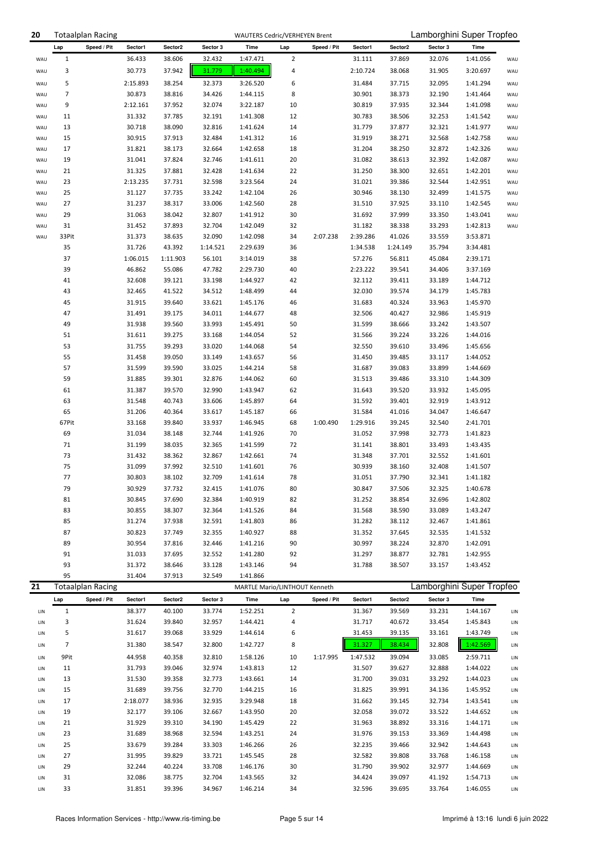| 20         |             | <b>Totaalplan Racing</b> |                    |                  |                  | WAUTERS Cedric/VERHEYEN Brent |                |             |                    |                  |                  | Lamborghini Super Tropfeo |            |
|------------|-------------|--------------------------|--------------------|------------------|------------------|-------------------------------|----------------|-------------|--------------------|------------------|------------------|---------------------------|------------|
|            | Lap         | Speed / Pit              | Sector1            | Sector2          | Sector 3         | Time                          | Lap            | Speed / Pit | Sector1            | Sector2          | Sector 3         | Time                      |            |
| WAU        | 1           |                          | 36.433             | 38.606           | 32.432           | 1:47.471                      | 2              |             | 31.111             | 37.869           | 32.076           | 1:41.056                  | WAU        |
| WAU        | 3           |                          | 30.773             | 37.942           | 31.779           | 1:40.494                      | 4              |             | 2:10.724           | 38.068           | 31.905           | 3:20.697                  | WAU        |
| WAU        | 5           |                          | 2:15.893           | 38.254           | 32.373           | 3:26.520                      | 6              |             | 31.484             | 37.715           | 32.095           | 1:41.294                  | WAU        |
| WAU        | 7           |                          | 30.873             | 38.816           | 34.426           | 1:44.115                      | 8              |             | 30.901             | 38.373           | 32.190           | 1:41.464                  | WAU        |
| WAU        | 9           |                          | 2:12.161           | 37.952           | 32.074           | 3:22.187                      | 10             |             | 30.819             | 37.935           | 32.344           | 1:41.098                  | WAU        |
| WAU        | 11          |                          | 31.332             | 37.785           | 32.191           | 1:41.308                      | 12             |             | 30.783             | 38.506           | 32.253           | 1:41.542                  | WAU        |
| WAU        | 13          |                          | 30.718             | 38.090           | 32.816           | 1:41.624                      | 14             |             | 31.779             | 37.877           | 32.321           | 1:41.977                  | WAU        |
| WAU        | 15          |                          | 30.915             | 37.913           | 32.484           | 1:41.312                      | 16             |             | 31.919             | 38.271           | 32.568           | 1:42.758                  | WAU        |
| WAU        | 17          |                          | 31.821             | 38.173           | 32.664           | 1:42.658                      | 18             |             | 31.204             | 38.250           | 32.872           | 1:42.326                  | WAU        |
| WAU<br>WAU | 19<br>21    |                          | 31.041<br>31.325   | 37.824<br>37.881 | 32.746<br>32.428 | 1:41.611<br>1:41.634          | 20<br>22       |             | 31.082<br>31.250   | 38.613<br>38.300 | 32.392<br>32.651 | 1:42.087<br>1:42.201      | WAU<br>WAU |
| WAU        | 23          |                          | 2:13.235           | 37.731           | 32.598           | 3:23.564                      | 24             |             | 31.021             | 39.386           | 32.544           | 1:42.951                  | WAU        |
| WAU        | 25          |                          | 31.127             | 37.735           | 33.242           | 1:42.104                      | 26             |             | 30.946             | 38.130           | 32.499           | 1:41.575                  | WAU        |
| WAU        | 27          |                          | 31.237             | 38.317           | 33.006           | 1:42.560                      | 28             |             | 31.510             | 37.925           | 33.110           | 1:42.545                  | WAU        |
| WAU        | 29          |                          | 31.063             | 38.042           | 32.807           | 1:41.912                      | 30             |             | 31.692             | 37.999           | 33.350           | 1:43.041                  | WAU        |
| WAU        | 31          |                          | 31.452             | 37.893           | 32.704           | 1:42.049                      | 32             |             | 31.182             | 38.338           | 33.293           | 1:42.813                  | WAU        |
| WAU        | 33Pit       |                          | 31.373             | 38.635           | 32.090           | 1:42.098                      | 34             | 2:07.238    | 2:39.286           | 41.026           | 33.559           | 3:53.871                  |            |
|            | 35          |                          | 31.726             | 43.392           | 1:14.521         | 2:29.639                      | 36             |             | 1:34.538           | 1:24.149         | 35.794           | 3:34.481                  |            |
|            | 37          |                          | 1:06.015           | 1:11.903         | 56.101           | 3:14.019                      | 38             |             | 57.276             | 56.811           | 45.084           | 2:39.171                  |            |
|            | 39          |                          | 46.862             | 55.086           | 47.782           | 2:29.730                      | 40             |             | 2:23.222           | 39.541           | 34.406           | 3:37.169                  |            |
|            | 41          |                          | 32.608             | 39.121           | 33.198           | 1:44.927                      | 42             |             | 32.112             | 39.411           | 33.189           | 1:44.712                  |            |
|            | 43<br>45    |                          | 32.465<br>31.915   | 41.522<br>39.640 | 34.512<br>33.621 | 1:48.499<br>1:45.176          | 44<br>46       |             | 32.030<br>31.683   | 39.574<br>40.324 | 34.179<br>33.963 | 1:45.783<br>1:45.970      |            |
|            | 47          |                          | 31.491             | 39.175           | 34.011           | 1:44.677                      | 48             |             | 32.506             | 40.427           | 32.986           | 1:45.919                  |            |
|            | 49          |                          | 31.938             | 39.560           | 33.993           | 1:45.491                      | 50             |             | 31.599             | 38.666           | 33.242           | 1:43.507                  |            |
|            | 51          |                          | 31.611             | 39.275           | 33.168           | 1:44.054                      | 52             |             | 31.566             | 39.224           | 33.226           | 1:44.016                  |            |
|            | 53          |                          | 31.755             | 39.293           | 33.020           | 1:44.068                      | 54             |             | 32.550             | 39.610           | 33.496           | 1:45.656                  |            |
|            | 55          |                          | 31.458             | 39.050           | 33.149           | 1:43.657                      | 56             |             | 31.450             | 39.485           | 33.117           | 1:44.052                  |            |
|            | 57          |                          | 31.599             | 39.590           | 33.025           | 1:44.214                      | 58             |             | 31.687             | 39.083           | 33.899           | 1:44.669                  |            |
|            | 59          |                          | 31.885             | 39.301           | 32.876           | 1:44.062                      | 60             |             | 31.513             | 39.486           | 33.310           | 1:44.309                  |            |
|            | 61          |                          | 31.387             | 39.570           | 32.990           | 1:43.947                      | 62             |             | 31.643             | 39.520           | 33.932           | 1:45.095                  |            |
|            | 63          |                          | 31.548             | 40.743           | 33.606           | 1:45.897                      | 64             |             | 31.592             | 39.401           | 32.919           | 1:43.912                  |            |
|            | 65<br>67Pit |                          | 31.206<br>33.168   | 40.364<br>39.840 | 33.617<br>33.937 | 1:45.187<br>1:46.945          | 66<br>68       | 1:00.490    | 31.584<br>1:29.916 | 41.016<br>39.245 | 34.047<br>32.540 | 1:46.647<br>2:41.701      |            |
|            | 69          |                          | 31.034             | 38.148           | 32.744           | 1:41.926                      | 70             |             | 31.052             | 37.998           | 32.773           | 1:41.823                  |            |
|            | 71          |                          | 31.199             | 38.035           | 32.365           | 1:41.599                      | 72             |             | 31.141             | 38.801           | 33.493           | 1:43.435                  |            |
|            | 73          |                          | 31.432             | 38.362           | 32.867           | 1:42.661                      | 74             |             | 31.348             | 37.701           | 32.552           | 1:41.601                  |            |
|            | 75          |                          | 31.099             | 37.992           | 32.510           | 1:41.601                      | 76             |             | 30.939             | 38.160           | 32.408           | 1:41.507                  |            |
|            | 77          |                          | 30.803             | 38.102           | 32.709           | 1:41.614                      | 78             |             | 31.051             | 37.790           | 32.341           | 1:41.182                  |            |
|            | 79          |                          | 30.929             | 37.732           | 32.415           | 1:41.076                      | 80             |             | 30.847             | 37.506           | 32.325           | 1:40.678                  |            |
|            | 81          |                          | 30.845             | 37.690           | 32.384           | 1:40.919                      | 82             |             | 31.252             | 38.854           | 32.696           | 1:42.802                  |            |
|            | 83          |                          | 30.855             | 38.307           | 32.364           | 1:41.526                      | 84             |             | 31.568             | 38.590           | 33.089           | 1:43.247                  |            |
|            | 85          |                          | 31.274             | 37.938           | 32.591           | 1:41.803                      | 86             |             | 31.282             | 38.112           | 32.467           | 1:41.861                  |            |
|            | 87          |                          | 30.823             | 37.749           | 32.355           | 1:40.927                      | 88             |             | 31.352             | 37.645           | 32.535           | 1:41.532                  |            |
|            | 89<br>91    |                          | 30.954<br>31.033   | 37.816<br>37.695 | 32.446<br>32.552 | 1:41.216<br>1:41.280          | 90<br>92       |             | 30.997<br>31.297   | 38.224<br>38.877 | 32.870<br>32.781 | 1:42.091<br>1:42.955      |            |
|            | 93          |                          | 31.372             | 38.646           | 33.128           | 1:43.146                      | 94             |             | 31.788             | 38.507           | 33.157           | 1:43.452                  |            |
|            | 95          |                          | 31.404             | 37.913           | 32.549           | 1:41.866                      |                |             |                    |                  |                  |                           |            |
| 21         |             | <b>Totaalplan Racing</b> |                    |                  |                  | MARTLE Mario/LINTHOUT Kenneth |                |             |                    |                  |                  | Lamborghini Super Tropfeo |            |
|            | Lap         | Speed / Pit              | Sector1            | Sector2          | Sector 3         | Time                          | Lap            | Speed / Pit | Sector1            | Sector2          | Sector 3         | Time                      |            |
| LIN        | 1           |                          | 38.377             | 40.100           | 33.774           | 1:52.251                      | $\overline{2}$ |             | 31.367             | 39.569           | 33.231           | 1:44.167                  | LIN        |
| LIN        | 3           |                          | 31.624             | 39.840           | 32.957           | 1:44.421                      | 4              |             | 31.717             | 40.672           | 33.454           | 1:45.843                  | LIN        |
| LIN        | 5           |                          | 31.617             | 39.068           | 33.929           | 1:44.614                      | 6              |             | 31.453             | 39.135           | 33.161           | 1:43.749                  | LIN        |
| LIN        | 7           |                          | 31.380             | 38.547           | 32.800           | 1:42.727                      | 8              |             | 31.327             | 38.434           | 32.808           | 1:42.569                  | LIN        |
| LIN        | 9Pit        |                          | 44.958             | 40.358           | 32.810           | 1:58.126                      | 10             | 1:17.995    | 1:47.532           | 39.094           | 33.085           | 2:59.711                  | LIN        |
| LIN        | 11          |                          | 31.793             | 39.046           | 32.974           | 1:43.813                      | 12             |             | 31.507             | 39.627           | 32.888           | 1:44.022                  | LIN        |
| LIN        | 13          |                          | 31.530             | 39.358           | 32.773           | 1:43.661                      | 14             |             | 31.700             | 39.031           | 33.292           | 1:44.023                  | LIN        |
| LIN        | 15          |                          | 31.689             | 39.756<br>38.936 | 32.770<br>32.935 | 1:44.215<br>3:29.948          | 16             |             | 31.825<br>31.662   | 39.991           | 34.136           | 1:45.952                  | LIN        |
| LIN<br>LIN | 17<br>19    |                          | 2:18.077<br>32.177 | 39.106           | 32.667           | 1:43.950                      | 18<br>20       |             | 32.058             | 39.145<br>39.072 | 32.734<br>33.522 | 1:43.541<br>1:44.652      | LIN<br>LIN |
| LIN        | 21          |                          | 31.929             | 39.310           | 34.190           | 1:45.429                      | 22             |             | 31.963             | 38.892           | 33.316           | 1:44.171                  | LIN        |
| LIN        | 23          |                          | 31.689             | 38.968           | 32.594           | 1:43.251                      | 24             |             | 31.976             | 39.153           | 33.369           | 1:44.498                  | LIN        |
| LIN        | 25          |                          | 33.679             | 39.284           | 33.303           | 1:46.266                      | 26             |             | 32.235             | 39.466           | 32.942           | 1:44.643                  | LIN        |
| LIN        | 27          |                          | 31.995             | 39.829           | 33.721           | 1:45.545                      | 28             |             | 32.582             | 39.808           | 33.768           | 1:46.158                  | LIN        |
| LIN        | 29          |                          | 32.244             | 40.224           | 33.708           | 1:46.176                      | 30             |             | 31.790             | 39.902           | 32.977           | 1:44.669                  | LIN        |
| LIN        | 31          |                          | 32.086             | 38.775           | 32.704           | 1:43.565                      | 32             |             | 34.424             | 39.097           | 41.192           | 1:54.713                  | LIN        |
| LIN        | 33          |                          | 31.851             | 39.396           | 34.967           | 1:46.214                      | 34             |             | 32.596             | 39.695           | 33.764           | 1:46.055                  | LIN        |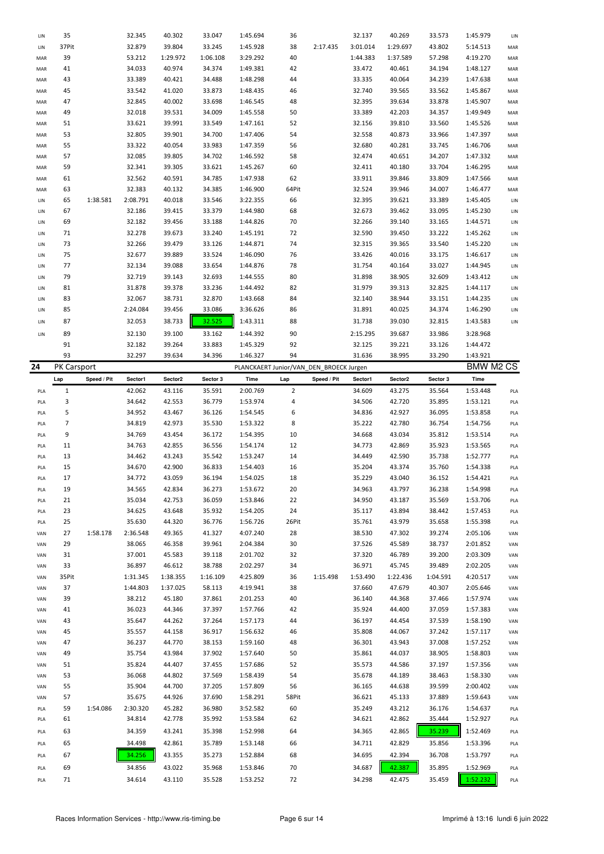| LIN | 35          |             | 32.345   | 40.302   | 33.047   | 1:45.694                                | 36                      |             | 32.137   | 40.269   | 33.573   | 1:45.979         | LIN |
|-----|-------------|-------------|----------|----------|----------|-----------------------------------------|-------------------------|-------------|----------|----------|----------|------------------|-----|
|     |             |             |          |          |          |                                         |                         |             |          |          |          |                  |     |
| LIN | 37Pit       |             | 32.879   | 39.804   | 33.245   | 1:45.928                                | 38                      | 2:17.435    | 3:01.014 | 1:29.697 | 43.802   | 5:14.513         | MAR |
| MAR | 39          |             | 53.212   | 1:29.972 | 1:06.108 | 3:29.292                                | 40                      |             | 1:44.383 | 1:37.589 | 57.298   | 4:19.270         | MAR |
| MAR | 41          |             | 34.033   | 40.974   | 34.374   | 1:49.381                                | 42                      |             | 33.472   | 40.461   | 34.194   | 1:48.127         | MAR |
| MAR | 43          |             | 33.389   | 40.421   | 34.488   | 1:48.298                                | 44                      |             | 33.335   | 40.064   | 34.239   | 1:47.638         | MAR |
| MAR | 45          |             | 33.542   | 41.020   | 33.873   | 1:48.435                                | 46                      |             | 32.740   | 39.565   | 33.562   | 1:45.867         | MAR |
|     |             |             |          |          |          |                                         |                         |             |          |          |          |                  |     |
| MAR | 47          |             | 32.845   | 40.002   | 33.698   | 1:46.545                                | 48                      |             | 32.395   | 39.634   | 33.878   | 1:45.907         | MAR |
| MAR | 49          |             | 32.018   | 39.531   | 34.009   | 1:45.558                                | 50                      |             | 33.389   | 42.203   | 34.357   | 1:49.949         | MAR |
| MAR | 51          |             | 33.621   | 39.991   | 33.549   | 1:47.161                                | 52                      |             | 32.156   | 39.810   | 33.560   | 1:45.526         | MAR |
| MAR | 53          |             | 32.805   | 39.901   | 34.700   | 1:47.406                                | 54                      |             | 32.558   | 40.873   | 33.966   | 1:47.397         | MAR |
|     |             |             |          |          |          |                                         |                         |             |          |          |          |                  |     |
| MAR | 55          |             | 33.322   | 40.054   | 33.983   | 1:47.359                                | 56                      |             | 32.680   | 40.281   | 33.745   | 1:46.706         | MAR |
| MAR | 57          |             | 32.085   | 39.805   | 34.702   | 1:46.592                                | 58                      |             | 32.474   | 40.651   | 34.207   | 1:47.332         | MAR |
| MAR | 59          |             | 32.341   | 39.305   | 33.621   | 1:45.267                                | 60                      |             | 32.411   | 40.180   | 33.704   | 1:46.295         | MAR |
| MAR | 61          |             | 32.562   | 40.591   | 34.785   | 1:47.938                                | 62                      |             | 33.911   | 39.846   | 33.809   | 1:47.566         | MAR |
|     |             |             |          |          |          |                                         |                         |             |          |          |          |                  |     |
| MAR | 63          |             | 32.383   | 40.132   | 34.385   | 1:46.900                                | 64Pit                   |             | 32.524   | 39.946   | 34.007   | 1:46.477         | MAR |
| LIN | 65          | 1:38.581    | 2:08.791 | 40.018   | 33.546   | 3:22.355                                | 66                      |             | 32.395   | 39.621   | 33.389   | 1:45.405         | LIN |
| LIN | 67          |             | 32.186   | 39.415   | 33.379   | 1:44.980                                | 68                      |             | 32.673   | 39.462   | 33.095   | 1:45.230         | LIN |
| LIN | 69          |             | 32.182   | 39.456   | 33.188   | 1:44.826                                | 70                      |             | 32.266   | 39.140   | 33.165   | 1:44.571         | LIN |
|     | 71          |             | 32.278   | 39.673   | 33.240   | 1:45.191                                | 72                      |             | 32.590   | 39.450   |          |                  |     |
| LIN |             |             |          |          |          |                                         |                         |             |          |          | 33.222   | 1:45.262         | LIN |
| LIN | 73          |             | 32.266   | 39.479   | 33.126   | 1:44.871                                | 74                      |             | 32.315   | 39.365   | 33.540   | 1:45.220         | LIN |
| LIN | 75          |             | 32.677   | 39.889   | 33.524   | 1:46.090                                | 76                      |             | 33.426   | 40.016   | 33.175   | 1:46.617         | LIN |
| LIN | 77          |             | 32.134   | 39.088   | 33.654   | 1:44.876                                | 78                      |             | 31.754   | 40.164   | 33.027   | 1:44.945         | LIN |
| LIN | 79          |             | 32.719   | 39.143   | 32.693   | 1:44.555                                | 80                      |             | 31.898   | 38.905   | 32.609   | 1:43.412         | LIN |
|     |             |             |          |          |          |                                         |                         |             |          |          |          |                  |     |
| LIN | 81          |             | 31.878   | 39.378   | 33.236   | 1:44.492                                | 82                      |             | 31.979   | 39.313   | 32.825   | 1:44.117         | LIN |
| LIN | 83          |             | 32.067   | 38.731   | 32.870   | 1:43.668                                | 84                      |             | 32.140   | 38.944   | 33.151   | 1:44.235         | LIN |
| LIN | 85          |             | 2:24.084 | 39.456   | 33.086   | 3:36.626                                | 86                      |             | 31.891   | 40.025   | 34.374   | 1:46.290         | LIN |
|     |             |             |          |          | 32.525   |                                         |                         |             |          | 39.030   |          |                  |     |
| LIN | 87          |             | 32.053   | 38.733   |          | 1:43.311                                | 88                      |             | 31.738   |          | 32.815   | 1:43.583         | LIN |
| LIN | 89          |             | 32.130   | 39.100   | 33.162   | 1:44.392                                | 90                      |             | 2:15.295 | 39.687   | 33.986   | 3:28.968         |     |
|     | 91          |             | 32.182   | 39.264   | 33.883   | 1:45.329                                | 92                      |             | 32.125   | 39.221   | 33.126   | 1:44.472         |     |
|     | 93          |             | 32.297   | 39.634   | 34.396   | 1:46.327                                | 94                      |             | 31.636   | 38.995   | 33.290   | 1:43.921         |     |
|     |             |             |          |          |          |                                         |                         |             |          |          |          | <b>BMW M2 CS</b> |     |
| 24  | PK Carsport |             |          |          |          | PLANCKAERT Junior/VAN_DEN_BROECK Jurgen |                         |             |          |          |          |                  |     |
|     | Lap         | Speed / Pit | Sector1  | Sector2  | Sector 3 | Time                                    | Lap                     | Speed / Pit | Sector1  | Sector2  | Sector 3 | Time             |     |
| PLA | 1           |             | 42.062   | 43.116   | 35.591   | 2:00.769                                | $\overline{\mathbf{c}}$ |             | 34.609   | 43.275   | 35.564   | 1:53.448         | PLA |
| PLA | 3           |             | 34.642   | 42.553   | 36.779   |                                         | 4                       |             |          |          | 35.895   | 1:53.121         |     |
|     |             |             |          |          |          |                                         |                         |             |          |          |          |                  |     |
|     |             |             |          |          |          | 1:53.974                                |                         |             | 34.506   | 42.720   |          |                  | PLA |
| PLA | 5           |             | 34.952   | 43.467   | 36.126   | 1:54.545                                | 6                       |             | 34.836   | 42.927   | 36.095   | 1:53.858         | PLA |
| PLA | 7           |             | 34.819   | 42.973   | 35.530   | 1:53.322                                | 8                       |             | 35.222   | 42.780   | 36.754   | 1:54.756         | PLA |
| PLA | 9           |             | 34.769   | 43.454   | 36.172   | 1:54.395                                | 10                      |             | 34.668   | 43.034   | 35.812   | 1:53.514         | PLA |
|     |             |             |          |          |          |                                         |                         |             |          |          |          |                  |     |
| PLA | 11          |             | 34.763   | 42.855   | 36.556   | 1:54.174                                | 12                      |             | 34.773   | 42.869   | 35.923   | 1:53.565         | PLA |
| PLA | 13          |             | 34.462   | 43.243   | 35.542   | 1:53.247                                | 14                      |             | 34.449   | 42.590   | 35.738   | 1:52.777         | PLA |
| PLA | 15          |             | 34.670   | 42.900   | 36.833   | 1:54.403                                | 16                      |             | 35.204   | 43.374   | 35.760   | 1:54.338         | PLA |
| PLA | 17          |             | 34.772   | 43.059   | 36.194   | 1:54.025                                | 18                      |             | 35.229   | 43.040   | 36.152   | 1:54.421         | PLA |
|     |             |             |          |          |          |                                         |                         |             |          |          |          |                  |     |
| PLA | 19          |             | 34.565   | 42.834   | 36.273   | 1:53.672                                | 20                      |             | 34.963   | 43.797   | 36.238   | 1:54.998         | PLA |
| PLA | 21          |             | 35.034   | 42.753   | 36.059   | 1:53.846                                | 22                      |             | 34.950   | 43.187   | 35.569   | 1:53.706         | PLA |
| PLA | 23          |             | 34.625   | 43.648   | 35.932   | 1:54.205                                | 24                      |             | 35.117   | 43.894   | 38.442   | 1:57.453         | PLA |
| PLA | 25          |             | 35.630   | 44.320   | 36.776   | 1:56.726                                | 26Pit                   |             | 35.761   | 43.979   | 35.658   | 1:55.398         | PLA |
|     |             |             |          |          |          |                                         |                         |             |          |          |          |                  |     |
| VAN | 27          | 1:58.178    | 2:36.548 | 49.365   | 41.327   | 4:07.240                                | 28                      |             | 38.530   | 47.302   | 39.274   | 2:05.106         | VAN |
| VAN | 29          |             | 38.065   | 46.358   | 39.961   | 2:04.384                                | 30                      |             | 37.526   | 45.589   | 38.737   | 2:01.852         | VAN |
| VAN | 31          |             | 37.001   | 45.583   | 39.118   | 2:01.702                                | 32                      |             | 37.320   | 46.789   | 39.200   | 2:03.309         | VAN |
| VAN | 33          |             | 36.897   | 46.612   | 38.788   | 2:02.297                                | 34                      |             | 36.971   | 45.745   | 39.489   | 2:02.205         | VAN |
|     |             |             |          |          |          |                                         |                         |             |          |          |          |                  |     |
| VAN | 35Pit       |             | 1:31.345 | 1:38.355 | 1:16.109 | 4:25.809                                | 36                      | 1:15.498    | 1:53.490 | 1:22.436 | 1:04.591 | 4:20.517         | VAN |
| VAN | 37          |             | 1:44.803 | 1:37.025 | 58.113   | 4:19.941                                | 38                      |             | 37.660   | 47.679   | 40.307   | 2:05.646         | VAN |
| VAN | 39          |             | 38.212   | 45.180   | 37.861   | 2:01.253                                | 40                      |             | 36.140   | 44.368   | 37.466   | 1:57.974         | VAN |
| VAN | 41          |             | 36.023   | 44.346   | 37.397   | 1:57.766                                | 42                      |             | 35.924   | 44.400   | 37.059   | 1:57.383         | VAN |
| VAN | 43          |             |          |          |          |                                         |                         |             |          |          |          |                  |     |
|     |             |             | 35.647   | 44.262   | 37.264   | 1:57.173                                | 44                      |             | 36.197   | 44.454   | 37.539   | 1:58.190         | VAN |
| VAN | 45          |             | 35.557   | 44.158   | 36.917   | 1:56.632                                | 46                      |             | 35.808   | 44.067   | 37.242   | 1:57.117         | VAN |
| VAN | 47          |             | 36.237   | 44.770   | 38.153   | 1:59.160                                | 48                      |             | 36.301   | 43.943   | 37.008   | 1:57.252         | VAN |
| VAN | 49          |             | 35.754   | 43.984   | 37.902   | 1:57.640                                | 50                      |             | 35.861   | 44.037   | 38.905   | 1:58.803         | VAN |
| VAN | 51          |             | 35.824   | 44.407   | 37.455   | 1:57.686                                | 52                      |             | 35.573   | 44.586   | 37.197   | 1:57.356         | VAN |
|     |             |             |          |          |          |                                         |                         |             |          |          |          |                  |     |
| VAN | 53          |             | 36.068   | 44.802   | 37.569   | 1:58.439                                | 54                      |             | 35.678   | 44.189   | 38.463   | 1:58.330         | VAN |
| VAN | 55          |             | 35.904   | 44.700   | 37.205   | 1:57.809                                | 56                      |             | 36.165   | 44.638   | 39.599   | 2:00.402         | VAN |
| VAN | 57          |             | 35.675   | 44.926   | 37.690   | 1:58.291                                | 58Pit                   |             | 36.621   | 45.133   | 37.889   | 1:59.643         | VAN |
| PLA | 59          | 1:54.086    | 2:30.320 | 45.282   | 36.980   | 3:52.582                                | 60                      |             | 35.249   | 43.212   | 36.176   | 1:54.637         | PLA |
|     |             |             |          |          |          |                                         |                         |             |          |          |          |                  |     |
| PLA | 61          |             | 34.814   | 42.778   | 35.992   | 1:53.584                                | 62                      |             | 34.621   | 42.862   | 35.444   | 1:52.927         | PLA |
| PLA | 63          |             | 34.359   | 43.241   | 35.398   | 1:52.998                                | 64                      |             | 34.365   | 42.865   | 35.239   | 1:52.469         | PLA |
| PLA | 65          |             | 34.498   | 42.861   | 35.789   | 1:53.148                                | 66                      |             | 34.711   | 42.829   | 35.856   | 1:53.396         | PLA |
|     |             |             |          |          |          |                                         |                         |             |          |          |          |                  |     |
| PLA | 67          |             | 34.256   | 43.355   | 35.273   | 1:52.884                                | 68                      |             | 34.695   | 42.394   | 36.708   | 1:53.797         | PLA |
| PLA | 69          |             | 34.856   | 43.022   | 35.968   | 1:53.846                                | 70                      |             | 34.687   | 42.387   | 35.895   | 1:52.969         | PLA |
| PLA | 71          |             | 34.614   | 43.110   | 35.528   | 1:53.252                                | 72                      |             | 34.298   | 42.475   | 35.459   | 1:52.232         | PLA |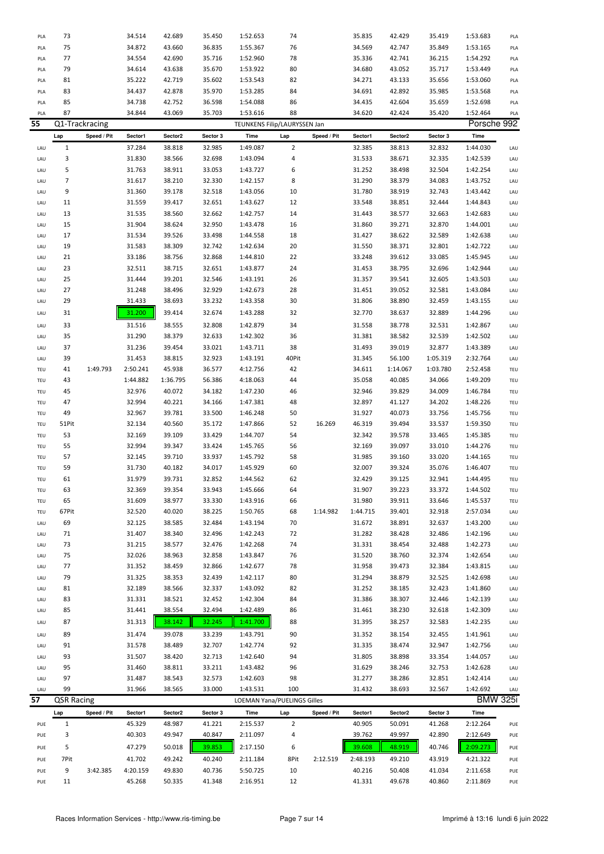| PLA | 73                |                | 34.514   | 42.689   | 35.450   | 1:52.653 | 74                           |             | 35.835   | 42.429   | 35.419   | 1:53.683        | PLA |
|-----|-------------------|----------------|----------|----------|----------|----------|------------------------------|-------------|----------|----------|----------|-----------------|-----|
| PLA | 75                |                | 34.872   | 43.660   | 36.835   | 1:55.367 | 76                           |             | 34.569   | 42.747   | 35.849   | 1:53.165        | PLA |
| PLA | 77                |                | 34.554   | 42.690   | 35.716   | 1:52.960 | 78                           |             | 35.336   | 42.741   | 36.215   | 1:54.292        | PLA |
| PLA | 79                |                | 34.614   | 43.638   | 35.670   | 1:53.922 | 80                           |             | 34.680   | 43.052   | 35.717   | 1:53.449        | PLA |
|     |                   |                |          |          |          |          |                              |             |          |          |          |                 |     |
| PLA | 81                |                | 35.222   | 42.719   | 35.602   | 1:53.543 | 82                           |             | 34.271   | 43.133   | 35.656   | 1:53.060        | PLA |
| PLA | 83                |                | 34.437   | 42.878   | 35.970   | 1:53.285 | 84                           |             | 34.691   | 42.892   | 35.985   | 1:53.568        | PLA |
| PLA | 85                |                | 34.738   | 42.752   | 36.598   | 1:54.088 | 86                           |             | 34.435   | 42.604   | 35.659   | 1:52.698        | PLA |
| PLA | 87                |                | 34.844   | 43.069   | 35.703   | 1:53.616 | 88                           |             | 34.620   | 42.424   | 35.420   | 1:52.464        | PLA |
| 55  |                   | Q1-Trackracing |          |          |          |          | TEUNKENS Filip/LAURYSSEN Jan |             |          |          |          | Porsche 992     |     |
|     | Lap               | Speed / Pit    | Sector1  | Sector2  | Sector 3 | Time     | Lap                          | Speed / Pit | Sector1  | Sector2  | Sector 3 | Time            |     |
| LAU | $1\,$             |                | 37.284   | 38.818   | 32.985   | 1:49.087 | $\overline{2}$               |             | 32.385   | 38.813   | 32.832   | 1:44.030        | LAU |
|     |                   |                |          |          |          |          |                              |             |          |          |          |                 |     |
| LAU | 3                 |                | 31.830   | 38.566   | 32.698   | 1:43.094 | 4                            |             | 31.533   | 38.671   | 32.335   | 1:42.539        | LAU |
| LAU | 5                 |                | 31.763   | 38.911   | 33.053   | 1:43.727 | 6                            |             | 31.252   | 38.498   | 32.504   | 1:42.254        | LAU |
| LAU | 7                 |                | 31.617   | 38.210   | 32.330   | 1:42.157 | 8                            |             | 31.290   | 38.379   | 34.083   | 1:43.752        | LAU |
| LAU | 9                 |                | 31.360   | 39.178   | 32.518   | 1:43.056 | 10                           |             | 31.780   | 38.919   | 32.743   | 1:43.442        | LAU |
| LAU | 11                |                | 31.559   | 39.417   | 32.651   | 1:43.627 | 12                           |             | 33.548   | 38.851   | 32.444   | 1:44.843        | LAU |
| LAU | 13                |                | 31.535   | 38.560   | 32.662   | 1:42.757 | 14                           |             | 31.443   | 38.577   | 32.663   | 1:42.683        | LAU |
| LAU | 15                |                | 31.904   | 38.624   | 32.950   | 1:43.478 | 16                           |             | 31.860   | 39.271   | 32.870   | 1:44.001        | LAU |
| LAU | 17                |                | 31.534   | 39.526   | 33.498   | 1:44.558 | 18                           |             | 31.427   | 38.622   | 32.589   | 1:42.638        | LAU |
| LAU | 19                |                | 31.583   | 38.309   | 32.742   | 1:42.634 | 20                           |             | 31.550   | 38.371   | 32.801   | 1:42.722        | LAU |
|     | 21                |                | 33.186   |          |          |          | 22                           |             |          |          |          | 1:45.945        |     |
| LAU |                   |                |          | 38.756   | 32.868   | 1:44.810 |                              |             | 33.248   | 39.612   | 33.085   |                 | LAU |
| LAU | 23                |                | 32.511   | 38.715   | 32.651   | 1:43.877 | 24                           |             | 31.453   | 38.795   | 32.696   | 1:42.944        | LAU |
| LAU | 25                |                | 31.444   | 39.201   | 32.546   | 1:43.191 | 26                           |             | 31.357   | 39.541   | 32.605   | 1:43.503        | LAU |
| LAU | 27                |                | 31.248   | 38.496   | 32.929   | 1:42.673 | 28                           |             | 31.451   | 39.052   | 32.581   | 1:43.084        | LAU |
| LAU | 29                |                | 31.433   | 38.693   | 33.232   | 1:43.358 | 30                           |             | 31.806   | 38.890   | 32.459   | 1:43.155        | LAU |
| LAU | 31                |                | 31.200   | 39.414   | 32.674   | 1:43.288 | 32                           |             | 32.770   | 38.637   | 32.889   | 1:44.296        | LAU |
| LAU | 33                |                | 31.516   | 38.555   | 32.808   | 1:42.879 | 34                           |             | 31.558   | 38.778   | 32.531   | 1:42.867        | LAU |
| LAU | 35                |                | 31.290   | 38.379   | 32.633   | 1:42.302 | 36                           |             | 31.381   | 38.582   | 32.539   | 1:42.502        | LAU |
|     |                   |                |          |          |          |          |                              |             |          |          |          |                 |     |
| LAU | 37                |                | 31.236   | 39.454   | 33.021   | 1:43.711 | 38                           |             | 31.493   | 39.019   | 32.877   | 1:43.389        | LAU |
| LAU | 39                |                | 31.453   | 38.815   | 32.923   | 1:43.191 | 40Pit                        |             | 31.345   | 56.100   | 1:05.319 | 2:32.764        | LAU |
| TEU | 41                | 1:49.793       | 2:50.241 | 45.938   | 36.577   | 4:12.756 | 42                           |             | 34.611   | 1:14.067 | 1:03.780 | 2:52.458        | TEU |
| TEU | 43                |                | 1:44.882 | 1:36.795 | 56.386   | 4:18.063 | 44                           |             | 35.058   | 40.085   | 34.066   | 1:49.209        | TEU |
| TEU | 45                |                | 32.976   | 40.072   | 34.182   | 1:47.230 | 46                           |             | 32.946   | 39.829   | 34.009   | 1:46.784        | TEU |
| TEU | 47                |                | 32.994   | 40.221   | 34.166   | 1:47.381 | 48                           |             | 32.897   | 41.127   | 34.202   | 1:48.226        | TEU |
| TEU | 49                |                | 32.967   | 39.781   | 33.500   | 1:46.248 | 50                           |             | 31.927   | 40.073   | 33.756   | 1:45.756        | TEU |
| TEU | 51Pit             |                | 32.134   | 40.560   | 35.172   | 1:47.866 | 52                           | 16.269      | 46.319   | 39.494   | 33.537   | 1:59.350        | TEU |
| TEU | 53                |                | 32.169   | 39.109   | 33.429   | 1:44.707 | 54                           |             | 32.342   | 39.578   | 33.465   | 1:45.385        | TEU |
|     | 55                |                |          |          |          |          |                              |             |          |          |          |                 |     |
| TEU |                   |                | 32.994   | 39.347   | 33.424   | 1:45.765 | 56                           |             | 32.169   | 39.097   | 33.010   | 1:44.276        | TEU |
| TEU | 57                |                | 32.145   | 39.710   | 33.937   | 1:45.792 | 58                           |             | 31.985   | 39.160   | 33.020   | 1:44.165        | TEU |
| TEU | 59                |                | 31.730   | 40.182   | 34.017   | 1:45.929 | 60                           |             | 32.007   | 39.324   | 35.076   | 1:46.407        | TEU |
| TEU | 61                |                | 31.979   | 39.731   | 32.852   | 1:44.562 | 62                           |             | 32.429   | 39.125   | 32.941   | 1:44.495        | TEU |
| TEU | 63                |                | 32.369   | 39.354   | 33.943   | 1:45.666 | 64                           |             | 31.907   | 39.223   | 33.3/2   | 1:44.502        | TEU |
| TEU | 65                |                | 31.609   | 38.977   | 33.330   | 1:43.916 | 66                           |             | 31.980   | 39.911   | 33.646   | 1:45.537        | TEU |
| TEU | 67Pit             |                | 32.520   | 40.020   | 38.225   | 1:50.765 | 68                           | 1:14.982    | 1:44.715 | 39.401   | 32.918   | 2:57.034        | LAU |
| LAU | 69                |                | 32.125   | 38.585   | 32.484   | 1:43.194 | 70                           |             | 31.672   | 38.891   | 32.637   | 1:43.200        | LAU |
| LAU | 71                |                | 31.407   | 38.340   | 32.496   | 1:42.243 | 72                           |             | 31.282   | 38.428   | 32.486   | 1:42.196        | LAU |
| LAU | 73                |                | 31.215   | 38.577   | 32.476   | 1:42.268 | 74                           |             | 31.331   | 38.454   | 32.488   | 1:42.273        | LAU |
|     | 75                |                | 32.026   |          | 32.858   |          |                              |             |          |          |          | 1:42.654        |     |
| LAU |                   |                |          | 38.963   |          | 1:43.847 | 76                           |             | 31.520   | 38.760   | 32.374   |                 | LAU |
| LAU | 77                |                | 31.352   | 38.459   | 32.866   | 1:42.677 | 78                           |             | 31.958   | 39.473   | 32.384   | 1:43.815        | LAU |
| LAU | 79                |                | 31.325   | 38.353   | 32.439   | 1:42.117 | 80                           |             | 31.294   | 38.879   | 32.525   | 1:42.698        | LAU |
| LAU | 81                |                | 32.189   | 38.566   | 32.337   | 1:43.092 | 82                           |             | 31.252   | 38.185   | 32.423   | 1:41.860        | LAU |
| LAU | 83                |                | 31.331   | 38.521   | 32.452   | 1:42.304 | 84                           |             | 31.386   | 38.307   | 32.446   | 1:42.139        | LAU |
| LAU | 85                |                | 31.441   | 38.554   | 32.494   | 1:42.489 | 86                           |             | 31.461   | 38.230   | 32.618   | 1:42.309        | LAU |
| LAU | 87                |                | 31.313   | 38.142   | 32.245   | 1:41.700 | 88                           |             | 31.395   | 38.257   | 32.583   | 1:42.235        | LAU |
|     | 89                |                | 31.474   | 39.078   | 33.239   | 1:43.791 | 90                           |             |          |          |          | 1:41.961        |     |
| LAU |                   |                |          |          |          |          |                              |             | 31.352   | 38.154   | 32.455   |                 | LAU |
| LAU | 91                |                | 31.578   | 38.489   | 32.707   | 1:42.774 | 92                           |             | 31.335   | 38.474   | 32.947   | 1:42.756        | LAU |
| LAU | 93                |                | 31.507   | 38.420   | 32.713   | 1:42.640 | 94                           |             | 31.805   | 38.898   | 33.354   | 1:44.057        | LAU |
| LAU | 95                |                | 31.460   | 38.811   | 33.211   | 1:43.482 | 96                           |             | 31.629   | 38.246   | 32.753   | 1:42.628        | LAU |
| LAU | 97                |                | 31.487   | 38.543   | 32.573   | 1:42.603 | 98                           |             | 31.277   | 38.286   | 32.851   | 1:42.414        | LAU |
| LAU | 99                |                | 31.966   | 38.565   | 33.000   | 1:43.531 | 100                          |             | 31.432   | 38.693   | 32.567   | 1:42.692        | LAU |
| 57  | <b>QSR Racing</b> |                |          |          |          |          | LOEMAN Yana/PUELINGS Gilles  |             |          |          |          | <b>BMW 325i</b> |     |
|     | Lap               | Speed / Pit    | Sector1  | Sector2  | Sector 3 | Time     | Lap                          | Speed / Pit | Sector1  | Sector2  | Sector 3 | Time            |     |
|     | $1\,$             |                | 45.329   | 48.987   | 41.221   | 2:15.537 | $\overline{2}$               |             | 40.905   | 50.091   | 41.268   | 2:12.264        |     |
| PUE |                   |                |          |          |          |          |                              |             |          |          |          |                 | PUE |
| PUE | 3                 |                | 40.303   | 49.947   | 40.847   | 2:11.097 | 4                            |             | 39.762   | 49.997   | 42.890   | 2:12.649        | PUE |
| PUE | 5                 |                | 47.279   | 50.018   | 39.853   | 2:17.150 | 6                            |             | 39.608   | 48.919   | 40.746   | 2:09.273        | PUE |
| PUE | 7Pit              |                | 41.702   | 49.242   | 40.240   | 2:11.184 | 8Pit                         | 2:12.519    | 2:48.193 | 49.210   | 43.919   | 4:21.322        | PUE |
| PUE | 9                 | 3:42.385       | 4:20.159 | 49.830   | 40.736   | 5:50.725 | 10                           |             | 40.216   | 50.408   | 41.034   | 2:11.658        | PUE |
| PUE | 11                |                | 45.268   | 50.335   | 41.348   | 2:16.951 | 12                           |             | 41.331   | 49.678   | 40.860   | 2:11.869        | PUE |
|     |                   |                |          |          |          |          |                              |             |          |          |          |                 |     |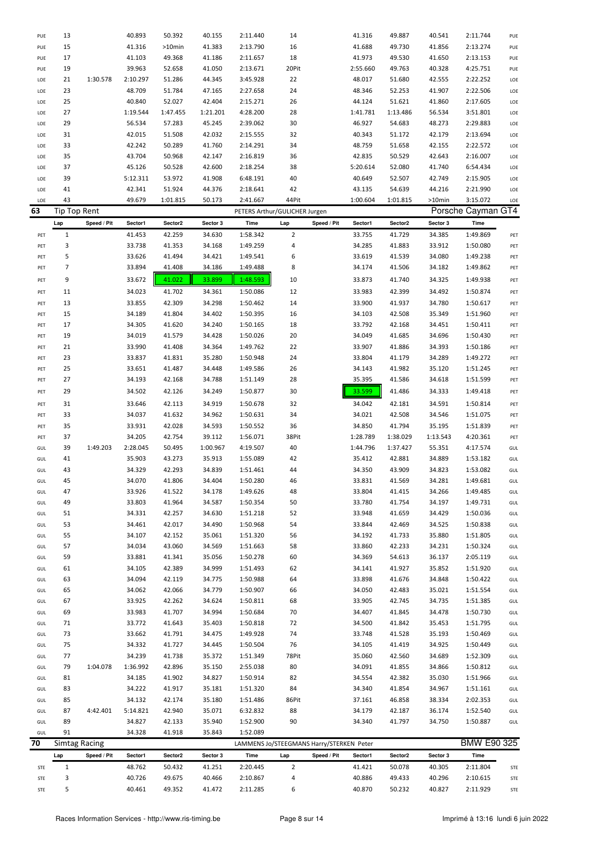| STE        | $\mathbf 1$          |             | 48.762           | 50.432           | 41.251           | 2:20.445                      | $\mathbf 2$             |                                          | 41.421           | 50.078           | 40.305           | 2:11.804             | STE        |
|------------|----------------------|-------------|------------------|------------------|------------------|-------------------------------|-------------------------|------------------------------------------|------------------|------------------|------------------|----------------------|------------|
|            | Lap                  | Speed / Pit | Sector1          | Sector2          | Sector 3         | Time                          | Lap                     | Speed / Pit                              | Sector1          | Sector2          | Sector 3         | Time                 |            |
| 70         | <b>Simtag Racing</b> |             |                  |                  |                  |                               |                         | LAMMENS Jo/STEEGMANS Harry/STERKEN Peter |                  |                  |                  | BMW E90 325          |            |
| GUL        | 91                   |             | 34.328           | 41.918           | 35.843           | 1:52.089                      |                         |                                          |                  |                  |                  |                      |            |
| GUL        | 89                   |             | 34.827           | 42.133           | 35.940           | 1:52.900                      | 90                      |                                          | 34.340           | 41.797           | 34.750           | 1:50.887             | GUL        |
| GUL        | 87                   | 4:42.401    | 5:14.821         | 42.940           | 35.071           | 6:32.832                      | 88                      |                                          | 34.179           | 42.187           | 36.174           | 1:52.540             | GUL        |
| GUL        | 85                   |             | 34.132           | 42.174           | 35.180           | 1:51.486                      | 86Pit                   |                                          | 37.161           | 46.858           | 38.334           | 2:02.353             | GUL        |
| GUL        | 83                   |             | 34.222           | 41.917           | 35.181           | 1:51.320                      | 84                      |                                          | 34.340           | 41.854           | 34.967           | 1:51.161             | GUL        |
| GUL        | 81                   |             | 34.185           | 41.902           | 34.827           | 1:50.914                      | 82                      |                                          | 34.554           | 42.382           | 35.030           | 1:51.966             | GUL        |
| GUL        | 79                   | 1:04.078    | 1:36.992         | 42.896           | 35.150           | 2:55.038                      | 80                      |                                          | 34.091           | 41.855           | 34.866           | 1:50.812             | GUL        |
| GUL        | 77                   |             | 34.239           | 41.738           | 35.372           | 1:51.349                      | 78Pit                   |                                          | 35.060           | 42.560           | 34.689           | 1:52.309             | GUL        |
| GUL        | 75                   |             | 34.332           | 41.727           | 34.445           | 1:50.504                      | 76                      |                                          | 34.105           | 41.419           | 34.925           | 1:50.449             | GUL        |
| GUL<br>GUL | 73                   |             | 33.772<br>33.662 | 41.643<br>41.791 | 35.403<br>34.475 | 1:50.818<br>1:49.928          | 72<br>74                |                                          | 34.500<br>33.748 | 41.842<br>41.528 | 35.453<br>35.193 | 1:51.795<br>1:50.469 | GUL<br>GUL |
| GUL        | 69<br>71             |             | 33.983           | 41.707           | 34.994           | 1:50.684                      | 70                      |                                          | 34.407           | 41.845           | 34.478           | 1:50.730             | GUL        |
| GUL        | 67                   |             | 33.925           | 42.262           | 34.624           | 1:50.811                      | 68                      |                                          | 33.905           | 42.745           | 34.735           | 1:51.385             | GUL        |
| GUL        | 65                   |             | 34.062           | 42.066           | 34.779           | 1:50.907                      | 66                      |                                          | 34.050           | 42.483           | 35.021           | 1:51.554             | GUL        |
| GUL        | 63                   |             | 34.094           | 42.119           | 34.775           | 1:50.988                      | 64                      |                                          | 33.898           | 41.676           | 34.848           | 1:50.422             | GUL        |
| GUL        | 61                   |             | 34.105           | 42.389           | 34.999           | 1:51.493                      | 62                      |                                          | 34.141           | 41.927           | 35.852           | 1:51.920             | GUL        |
| GUL        | 59                   |             | 33.881           | 41.341           | 35.056           | 1:50.278                      | 60                      |                                          | 34.369           | 54.613           | 36.137           | 2:05.119             | GUL        |
| GUL        | 57                   |             | 34.034           | 43.060           | 34.569           | 1:51.663                      | 58                      |                                          | 33.860           | 42.233           | 34.231           | 1:50.324             | GUL        |
| GUL        | 55                   |             | 34.107           | 42.152           | 35.061           | 1:51.320                      | 56                      |                                          | 34.192           | 41.733           | 35.880           | 1:51.805             | GUL        |
| GUL        | 53                   |             | 34.461           | 42.017           | 34.490           | 1:50.968                      | 54                      |                                          | 33.844           | 42.469           | 34.525           | 1:50.838             | GUL        |
| GUL        | 51                   |             | 34.331           | 42.257           | 34.630           | 1:51.218                      | 52                      |                                          | 33.948           | 41.659           | 34.429           | 1:50.036             | GUL        |
| GUL        | 49                   |             | 33.803           | 41.964           | 34.587           | 1:50.354                      | 50                      |                                          | 33.780           | 41.754           | 34.197           | 1:49.731             | GUL        |
| GUL        | 47                   |             | 33.926           | 41.522           | 34.178           | 1:49.626                      | 48                      |                                          | 33.804           | 41.415           | 34.266           | 1:49.485             | GUL        |
| GUL        | 45                   |             | 34.070           | 41.806           | 34.404           | 1:50.280                      | 46                      |                                          | 33.831           | 41.569           | 34.281           | 1:49.681             | GUL        |
| GUL        | 43                   |             | 34.329           | 42.293           | 34.839           | 1:51.461                      | 44                      |                                          | 34.350           | 43.909           | 34.823           | 1:53.082             | GUL        |
| GUL        | 41                   |             | 35.903           | 43.273           | 35.913           | 1:55.089                      | 42                      |                                          | 35.412           | 42.881           | 34.889           | 1:53.182             | GUL        |
| GUL        | 39                   | 1:49.203    | 2:28.045         | 50.495           | 1:00.967         | 4:19.507                      | 40                      |                                          | 1:44.796         | 1:37.427         | 55.351           | 4:17.574             | GUL        |
| PET        | 37                   |             | 34.205           | 42.754           | 39.112           | 1:56.071                      | 38Pit                   |                                          | 1:28.789         | 1:38.029         | 1:13.543         | 4:20.361             | PET        |
| PET        | 35                   |             | 33.931           | 42.028           | 34.593           | 1:50.552                      | 36                      |                                          | 34.850           | 41.794           | 35.195           | 1:51.839             | PET        |
| PET        | 33                   |             | 34.037           | 41.632           | 34.962           | 1:50.631                      | 34                      |                                          | 34.021           | 42.508           | 34.546           | 1:51.075             | PET        |
| PET        | 31                   |             | 33.646           | 42.113           | 34.919           | 1:50.678                      | 32                      |                                          | 34.042           | 42.181           | 34.591           | 1:50.814             | PET        |
| PET        | 29                   |             | 34.502           | 42.126           | 34.249           | 1:50.877                      | 30                      |                                          | 33.599           | 41.486           | 34.333           | 1:49.418             | PET        |
| PET        | 27                   |             | 34.193           | 42.168           | 34.788           | 1:51.149                      | 28                      |                                          | 35.395           | 41.586           | 34.618           | 1:51.599             | PET        |
| PET        | 25                   |             | 33.651           | 41.487           | 34.448           | 1:49.586                      | 26                      |                                          | 34.143           | 41.982           | 35.120           | 1:51.245             | PET        |
| PET        | 23                   |             | 33.837           | 41.831           | 35.280           | 1:50.948                      | 24                      |                                          | 33.804           | 41.179           | 34.289           | 1:49.272             | PET        |
| PET<br>PET | 19<br>21             |             | 34.019<br>33.990 | 41.579<br>41.408 | 34.428<br>34.364 | 1:50.026<br>1:49.762          | 20<br>22                |                                          | 34.049<br>33.907 | 41.685<br>41.886 | 34.696<br>34.393 | 1:50.430<br>1:50.186 | PET<br>PET |
| PET        | 17                   |             | 34.305           | 41.620           | 34.240           | 1:50.165                      | 18                      |                                          | 33.792           | 42.168           | 34.451           | 1:50.411             | PET        |
| PET        | 15                   |             | 34.189           | 41.804           | 34.402           | 1:50.395                      | 16                      |                                          | 34.103           | 42.508           | 35.349           | 1:51.960             | PET        |
| PET        | 13                   |             | 33.855           | 42.309           | 34.298           | 1:50.462                      | 14                      |                                          | 33.900           | 41.937           | 34.780           | 1:50.617             | PET        |
| PET        | 11                   |             | 34.023           | 41.702           | 34.361           | 1:50.086                      | 12                      |                                          | 33.983           | 42.399           | 34.492           | 1:50.874             | PET        |
| PET        | 9                    |             | 33.672           | 41.022           | 33.899           | 1:48.593                      | 10                      |                                          | 33.873           | 41.740           | 34.325           | 1:49.938             | PET        |
| PET        | $\overline{7}$       |             | 33.894           | 41.408           | 34.186           | 1:49.488                      | 8                       |                                          | 34.174           | 41.506           | 34.182           | 1:49.862             | PET        |
| PET        | 5                    |             | 33.626           | 41.494           | 34.421           | 1:49.541                      | 6                       |                                          | 33.619           | 41.539           | 34.080           | 1:49.238             | PET        |
| PET        | 3                    |             | 33.738           | 41.353           | 34.168           | 1:49.259                      | 4                       |                                          | 34.285           | 41.883           | 33.912           | 1:50.080             | PET        |
| PET        | $1\,$                |             | 41.453           | 42.259           | 34.630           | 1:58.342                      | $\overline{\mathbf{c}}$ |                                          | 33.755           | 41.729           | 34.385           | 1:49.869             | PET        |
|            | Lap                  | Speed / Pit | Sector1          | Sector2          | Sector 3         | Time                          | Lap                     | Speed / Pit                              | Sector1          | Sector2          | Sector 3         | Time                 |            |
| 63         | Tip Top Rent         |             |                  |                  |                  | PETERS Arthur/GULICHER Jurgen |                         |                                          |                  |                  |                  | Porsche Cayman GT4   |            |
| LOE        | 43                   |             | 49.679           | 1:01.815         | 50.173           | 2:41.667                      | 44Pit                   |                                          | 1:00.604         | 1:01.815         | >10min           | 3:15.072             | LOE        |
| LOE        | 41                   |             | 42.341           | 51.924           | 44.376           | 2:18.641                      | 42                      |                                          | 43.135           | 54.639           | 44.216           | 2:21.990             | LOE        |
| LOE        | 39                   |             | 5:12.311         | 53.972           | 41.908           | 6:48.191                      | 40                      |                                          | 40.649           | 52.507           | 42.749           | 2:15.905             | LOE        |
| LOE        | 37                   |             | 45.126           | 50.528           | 42.600           | 2:18.254                      | 38                      |                                          | 5:20.614         | 52.080           | 41.740           | 6:54.434             | LOE        |
| LOE        | 35                   |             | 43.704           | 50.968           | 42.147           | 2:16.819                      | 36                      |                                          | 42.835           | 50.529           | 42.643           | 2:16.007             | LOE        |
| LOE        | 33                   |             | 42.242           | 50.289           | 41.760           | 2:14.291                      | 34                      |                                          | 48.759           | 51.658           | 42.155           | 2:22.572             | LOE        |
| LOE        | 31                   |             | 42.015           | 51.508           | 42.032           | 2:15.555                      | 32                      |                                          | 40.343           | 51.172           | 42.179           | 2:13.694             | LOE        |
| LOE        | 29                   |             | 56.534           | 57.283           | 45.245           | 2:39.062                      | 30                      |                                          | 46.927           | 54.683           | 48.273           | 2:29.883             | LOE        |
| LOE<br>LOE | 27                   |             | 1:19.544         | 1:47.455         | 1:21.201         | 4:28.200                      | 26<br>28                |                                          | 1:41.781         | 1:13.486         | 56.534           | 3:51.801             | LOE<br>LOE |
| LOE        | 23<br>25             |             | 48.709<br>40.840 | 51.784<br>52.027 | 47.165<br>42.404 | 2:27.658<br>2:15.271          | 24                      |                                          | 48.346<br>44.124 | 52.253<br>51.621 | 41.907<br>41.860 | 2:22.506<br>2:17.605 | LOE        |
| LOE        | 21                   | 1:30.578    | 2:10.297         | 51.286           | 44.345           | 3:45.928                      | 22                      |                                          | 48.017           | 51.680           | 42.555           | 2:22.252             | LOE        |
| PUE        | 19                   |             | 39.963           | 52.658           | 41.050           | 2:13.671                      | 20Pit                   |                                          | 2:55.660         | 49.763           | 40.328           | 4:25.751             | PUE        |
| PUE        | 17                   |             | 41.103           | 49.368           | 41.186           | 2:11.657                      | 18                      |                                          | 41.973           | 49.530           | 41.650           | 2:13.153             | PUE        |
| PUE        | 15                   |             | 41.316           | >10min           | 41.383           | 2:13.790                      | 16                      |                                          | 41.688           | 49.730           | 41.856           | 2:13.274             | PUE        |
| PUE        | 13                   |             | 40.893           | 50.392           | 40.155           | 2:11.440                      | 14                      |                                          | 41.316           | 49.887           | 40.541           | 2:11.744             | PUE        |

STE 3 40.726 49.675 40.466 2:10.867 4 40.886 49.433 40.296 2:10.615 STE STE 5 40.461 49.352 41.472 2:11.285 6 40.870 50.232 40.827 2:11.929 STE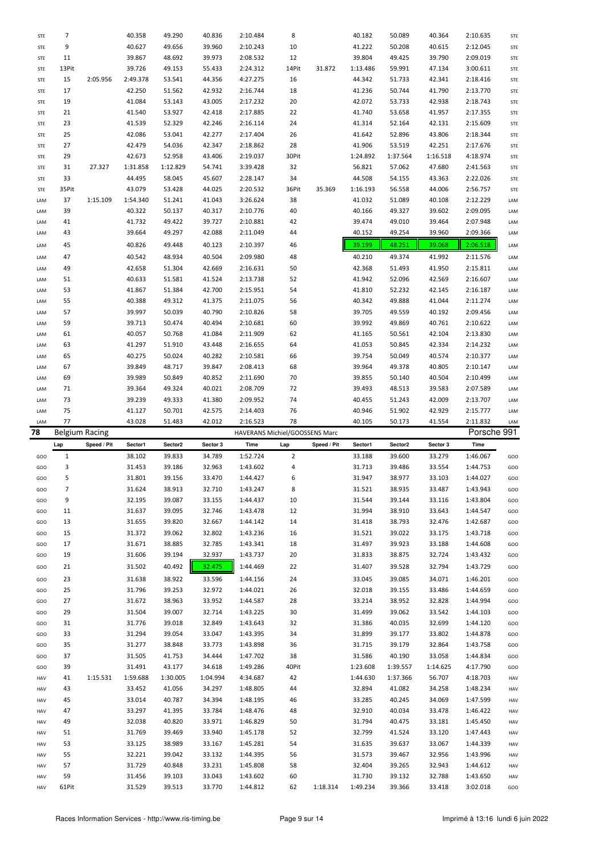| STE | 7           |                       | 40.358   | 49.290   | 40.836   | 2:10.484                       | 8              |             | 40.182   | 50.089   | 40.364   | 2:10.635    | <b>STE</b> |
|-----|-------------|-----------------------|----------|----------|----------|--------------------------------|----------------|-------------|----------|----------|----------|-------------|------------|
| STE | 9           |                       | 40.627   | 49.656   | 39.960   | 2:10.243                       | 10             |             | 41.222   | 50.208   | 40.615   | 2:12.045    | STE        |
|     |             |                       |          |          |          |                                |                |             |          |          |          |             |            |
| STE | 11          |                       | 39.867   | 48.692   | 39.973   | 2:08.532                       | 12             |             | 39.804   | 49.425   | 39.790   | 2:09.019    | <b>STE</b> |
| STE | 13Pit       |                       | 39.726   | 49.153   | 55.433   | 2:24.312                       | 14Pit          | 31.872      | 1:13.486 | 59.991   | 47.134   | 3:00.611    | <b>STE</b> |
| STE | 15          | 2:05.956              | 2:49.378 | 53.541   | 44.356   | 4:27.275                       | 16             |             | 44.342   | 51.733   | 42.341   | 2:18.416    | <b>STE</b> |
| STE | 17          |                       | 42.250   | 51.562   | 42.932   | 2:16.744                       | 18             |             | 41.236   | 50.744   | 41.790   | 2:13.770    | <b>STE</b> |
| STE | 19          |                       | 41.084   | 53.143   | 43.005   | 2:17.232                       | 20             |             | 42.072   | 53.733   | 42.938   | 2:18.743    | STE        |
| STE | 21          |                       | 41.540   | 53.927   | 42.418   | 2:17.885                       | 22             |             | 41.740   | 53.658   | 41.957   | 2:17.355    | <b>STE</b> |
|     |             |                       |          |          |          |                                |                |             |          |          |          |             |            |
| STE | 23          |                       | 41.539   | 52.329   | 42.246   | 2:16.114                       | 24             |             | 41.314   | 52.164   | 42.131   | 2:15.609    | <b>STE</b> |
| STE | 25          |                       | 42.086   | 53.041   | 42.277   | 2:17.404                       | 26             |             | 41.642   | 52.896   | 43.806   | 2:18.344    | <b>STE</b> |
| STE | 27          |                       | 42.479   | 54.036   | 42.347   | 2:18.862                       | 28             |             | 41.906   | 53.519   | 42.251   | 2:17.676    | <b>STE</b> |
| STE | 29          |                       | 42.673   | 52.958   | 43.406   | 2:19.037                       | 30Pit          |             | 1:24.892 | 1:37.564 | 1:16.518 | 4:18.974    | STE        |
| STE | 31          | 27.327                | 1:31.858 | 1:12.829 | 54.741   | 3:39.428                       | 32             |             | 56.821   | 57.062   | 47.680   | 2:41.563    | <b>STE</b> |
| STE | 33          |                       | 44.495   | 58.045   | 45.607   | 2:28.147                       | 34             |             | 44.508   | 54.155   | 43.363   | 2:22.026    | <b>STE</b> |
|     |             |                       |          |          |          |                                |                |             |          |          |          |             |            |
| STE | 35Pit       |                       | 43.079   | 53.428   | 44.025   | 2:20.532                       | 36Pit          | 35.369      | 1:16.193 | 56.558   | 44.006   | 2:56.757    | STE        |
| LAM | 37          | 1:15.109              | 1:54.340 | 51.241   | 41.043   | 3:26.624                       | 38             |             | 41.032   | 51.089   | 40.108   | 2:12.229    | LAM        |
| LAM | 39          |                       | 40.322   | 50.137   | 40.317   | 2:10.776                       | 40             |             | 40.166   | 49.327   | 39.602   | 2:09.095    | LAM        |
| LAM | 41          |                       | 41.732   | 49.422   | 39.727   | 2:10.881                       | 42             |             | 39.474   | 49.010   | 39.464   | 2:07.948    | LAM        |
| LAM | 43          |                       | 39.664   | 49.297   | 42.088   | 2:11.049                       | 44             |             | 40.152   | 49.254   | 39.960   | 2:09.366    | LAM        |
| LAM | 45          |                       | 40.826   | 49.448   | 40.123   | 2:10.397                       | 46             |             | 39.199   | 48.251   | 39.068   | 2:06.518    | LAM        |
|     |             |                       |          |          |          |                                |                |             |          |          |          |             |            |
| LAM | 47          |                       | 40.542   | 48.934   | 40.504   | 2:09.980                       | 48             |             | 40.210   | 49.374   | 41.992   | 2:11.576    | LAM        |
| LAM | 49          |                       | 42.658   | 51.304   | 42.669   | 2:16.631                       | 50             |             | 42.368   | 51.493   | 41.950   | 2:15.811    | LAM        |
| LAM | 51          |                       | 40.633   | 51.581   | 41.524   | 2:13.738                       | 52             |             | 41.942   | 52.096   | 42.569   | 2:16.607    | LAM        |
| LAM | 53          |                       | 41.867   | 51.384   | 42.700   | 2:15.951                       | 54             |             | 41.810   | 52.232   | 42.145   | 2:16.187    | LAM        |
| LAM | 55          |                       | 40.388   | 49.312   | 41.375   | 2:11.075                       | 56             |             | 40.342   | 49.888   | 41.044   | 2:11.274    | LAM        |
|     |             |                       |          |          |          |                                |                |             |          |          |          |             |            |
| LAM | 57          |                       | 39.997   | 50.039   | 40.790   | 2:10.826                       | 58             |             | 39.705   | 49.559   | 40.192   | 2:09.456    | LAM        |
| LAM | 59          |                       | 39.713   | 50.474   | 40.494   | 2:10.681                       | 60             |             | 39.992   | 49.869   | 40.761   | 2:10.622    | LAM        |
| LAM | 61          |                       | 40.057   | 50.768   | 41.084   | 2:11.909                       | 62             |             | 41.165   | 50.561   | 42.104   | 2:13.830    | LAM        |
| LAM | 63          |                       | 41.297   | 51.910   | 43.448   | 2:16.655                       | 64             |             | 41.053   | 50.845   | 42.334   | 2:14.232    | LAM        |
| LAM | 65          |                       | 40.275   | 50.024   | 40.282   | 2:10.581                       | 66             |             | 39.754   | 50.049   | 40.574   | 2:10.377    | LAM        |
| LAM | 67          |                       | 39.849   | 48.717   | 39.847   | 2:08.413                       | 68             |             | 39.964   | 49.378   | 40.805   | 2:10.147    | LAM        |
|     | 69          |                       | 39.989   | 50.849   | 40.852   |                                | 70             |             | 39.855   | 50.140   | 40.504   | 2:10.499    |            |
| LAM |             |                       |          |          |          | 2:11.690                       |                |             |          |          |          |             | LAM        |
| LAM | 71          |                       | 39.364   | 49.324   | 40.021   | 2:08.709                       | 72             |             | 39.493   | 48.513   | 39.583   | 2:07.589    | LAM        |
| LAM | 73          |                       | 39.239   | 49.333   | 41.380   | 2:09.952                       | 74             |             | 40.455   | 51.243   | 42.009   | 2:13.707    | LAM        |
|     |             |                       |          |          |          |                                |                |             |          |          |          |             |            |
| LAM | 75          |                       | 41.127   | 50.701   | 42.575   | 2:14.403                       | 76             |             | 40.946   | 51.902   | 42.929   | 2:15.777    | LAM        |
| LAM | 77          |                       | 43.028   | 51.483   | 42.012   | 2:16.523                       | 78             |             | 40.105   | 50.173   | 41.554   | 2:11.832    | LAM        |
| 78  |             |                       |          |          |          |                                |                |             |          |          |          |             |            |
|     |             | <b>Belgium Racing</b> |          |          |          | HAVERANS Michiel/GOOSSENS Marc |                |             |          |          |          | Porsche 991 |            |
|     | Lap         | Speed / Pit           | Sector1  | Sector2  | Sector 3 | Time                           | Lap            | Speed / Pit | Sector1  | Sector2  | Sector 3 | Time        |            |
| GOO | $\mathbf 1$ |                       | 38.102   | 39.833   | 34.789   | 1:52.724                       | $\overline{2}$ |             | 33.188   | 39.600   | 33.279   | 1:46.067    | GOO        |
| GOO | 3           |                       | 31.453   | 39.186   | 32.963   | 1:43.602                       | 4              |             | 31.713   | 39.486   | 33.554   | 1:44.753    | GOO        |
| GOO | 5           |                       | 31.801   | 39.156   | 33.470   | 1:44.427                       | 6              |             | 31.947   | 38.977   | 33.103   | 1:44.027    | GOO        |
| GOO | 7           |                       | 31.624   | 38.913   | 32.710   | 1:43.247                       | 8              |             | 31.521   | 38.935   | 33.487   | 1:43.943    | GOO        |
| GOO | 9           |                       | 32.195   | 39.087   | 33.155   | 1:44.437                       | 10             |             | 31.544   | 39.144   | 33.116   | 1:43.804    | GOO        |
|     |             |                       |          |          |          |                                |                |             |          |          |          |             |            |
| GOO | 11          |                       | 31.637   | 39.095   | 32.746   | 1:43.478                       | 12             |             | 31.994   | 38.910   | 33.643   | 1:44.547    | GOO        |
| GOO | 13          |                       | 31.655   | 39.820   | 32.667   | 1:44.142                       | 14             |             | 31.418   | 38.793   | 32.476   | 1:42.687    | GOO        |
| GOO | 15          |                       | 31.372   | 39.062   | 32.802   | 1:43.236                       | 16             |             | 31.521   | 39.022   | 33.175   | 1:43.718    | GOO        |
| GOO | 17          |                       | 31.671   | 38.885   | 32.785   | 1:43.341                       | 18             |             | 31.497   | 39.923   | 33.188   | 1:44.608    | GOO        |
| GOO | 19          |                       | 31.606   | 39.194   | 32.937   | 1:43.737                       | 20             |             | 31.833   | 38.875   | 32.724   | 1:43.432    | GOO        |
| GOO | 21          |                       | 31.502   | 40.492   | 32.475   | 1:44.469                       | 22             |             | 31.407   | 39.528   | 32.794   | 1:43.729    | GOO        |
|     |             |                       |          |          |          |                                |                |             |          |          |          |             |            |
| GOO | 23          |                       | 31.638   | 38.922   | 33.596   | 1:44.156                       | 24             |             | 33.045   | 39.085   | 34.071   | 1:46.201    | GOO        |
| GOO | 25          |                       | 31.796   | 39.253   | 32.972   | 1:44.021                       | 26             |             | 32.018   | 39.155   | 33.486   | 1:44.659    | GOO        |
| GOO | 27          |                       | 31.672   | 38.963   | 33.952   | 1:44.587                       | 28             |             | 33.214   | 38.952   | 32.828   | 1:44.994    | GOO        |
| GOO | 29          |                       | 31.504   | 39.007   | 32.714   | 1:43.225                       | 30             |             | 31.499   | 39.062   | 33.542   | 1:44.103    | GOO        |
| GOO | 31          |                       | 31.776   | 39.018   | 32.849   | 1:43.643                       | 32             |             | 31.386   | 40.035   | 32.699   | 1:44.120    | GOO        |
| GOO | 33          |                       | 31.294   | 39.054   | 33.047   | 1:43.395                       | 34             |             | 31.899   | 39.177   | 33.802   | 1:44.878    | GOO        |
| GOO | 35          |                       |          |          |          |                                |                |             |          |          |          |             |            |
|     |             |                       | 31.277   | 38.848   | 33.773   | 1:43.898                       | 36             |             | 31.715   | 39.179   | 32.864   | 1:43.758    | GOO        |
| GOO | 37          |                       | 31.505   | 41.753   | 34.444   | 1:47.702                       | 38             |             | 31.586   | 40.190   | 33.058   | 1:44.834    | GOO        |
| GOO | 39          |                       | 31.491   | 43.177   | 34.618   | 1:49.286                       | 40Pit          |             | 1:23.608 | 1:39.557 | 1:14.625 | 4:17.790    | GOO        |
| HAV | 41          | 1:15.531              | 1:59.688 | 1:30.005 | 1:04.994 | 4:34.687                       | 42             |             | 1:44.630 | 1:37.366 | 56.707   | 4:18.703    | HAV        |
| HAV | 43          |                       | 33.452   | 41.056   | 34.297   | 1:48.805                       | 44             |             | 32.894   | 41.082   | 34.258   | 1:48.234    | HAV        |
| HAV | 45          |                       | 33.014   | 40.787   | 34.394   | 1:48.195                       | 46             |             | 33.285   | 40.245   | 34.069   | 1:47.599    | HAV        |
| HAV | 47          |                       | 33.297   | 41.395   | 33.784   | 1:48.476                       | 48             |             | 32.910   | 40.034   | 33.478   | 1:46.422    | HAV        |
| HAV | 49          |                       |          |          |          |                                |                |             |          |          |          |             |            |
|     |             |                       | 32.038   | 40.820   | 33.971   | 1:46.829                       | 50             |             | 31.794   | 40.475   | 33.181   | 1:45.450    | HAV        |
| HAV | 51          |                       | 31.769   | 39.469   | 33.940   | 1:45.178                       | 52             |             | 32.799   | 41.524   | 33.120   | 1:47.443    | HAV        |
| HAV | 53          |                       | 33.125   | 38.989   | 33.167   | 1:45.281                       | 54             |             | 31.635   | 39.637   | 33.067   | 1:44.339    | HAV        |
| HAV | 55          |                       | 32.221   | 39.042   | 33.132   | 1:44.395                       | 56             |             | 31.573   | 39.467   | 32.956   | 1:43.996    | HAV        |
| HAV | 57          |                       | 31.729   | 40.848   | 33.231   | 1:45.808                       | 58             |             | 32.404   | 39.265   | 32.943   | 1:44.612    | HAV        |
| HAV | 59          |                       | 31.456   | 39.103   | 33.043   | 1:43.602                       | 60             |             | 31.730   | 39.132   | 32.788   | 1:43.650    | HAV        |
| HAV | 61Pit       |                       | 31.529   | 39.513   | 33.770   | 1:44.812                       | 62             | 1:18.314    | 1:49.234 | 39.366   | 33.418   | 3:02.018    | GOO        |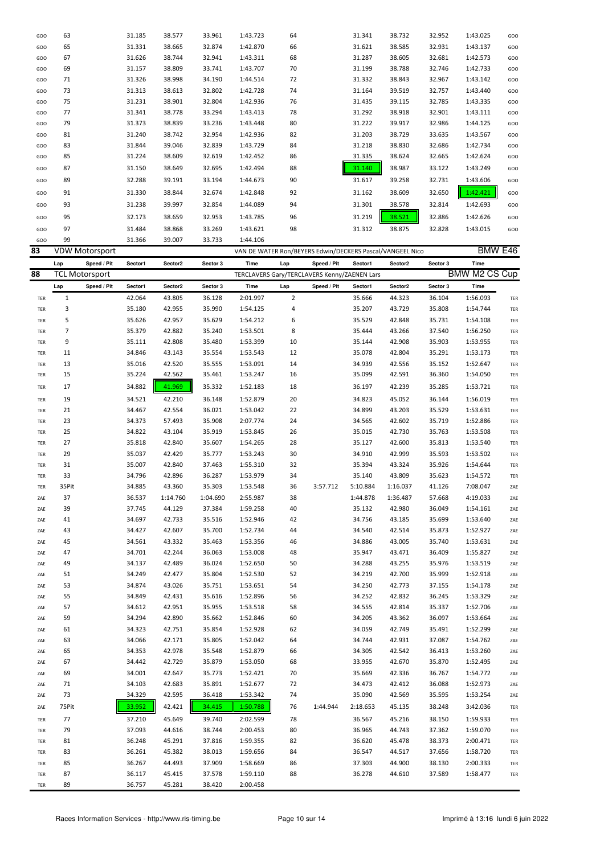| GOO | 63    |                       | 31.185  | 38.577   | 33.961   | 1:43.723 | 64             |                                              | 31.341   | 38.732                                                    | 32.952   | 1:43.025      | GOO |
|-----|-------|-----------------------|---------|----------|----------|----------|----------------|----------------------------------------------|----------|-----------------------------------------------------------|----------|---------------|-----|
| GOO | 65    |                       | 31.331  | 38.665   | 32.874   | 1:42.870 | 66             |                                              | 31.621   | 38.585                                                    | 32.931   | 1:43.137      | GOO |
|     |       |                       |         |          |          |          |                |                                              |          |                                                           |          |               |     |
| GOO | 67    |                       | 31.626  | 38.744   | 32.941   | 1:43.311 | 68             |                                              | 31.287   | 38.605                                                    | 32.681   | 1:42.573      | GOO |
| GOO | 69    |                       | 31.157  | 38.809   | 33.741   | 1:43.707 | 70             |                                              | 31.199   | 38.788                                                    | 32.746   | 1:42.733      | GOO |
| GOO | 71    |                       | 31.326  | 38.998   | 34.190   | 1:44.514 | 72             |                                              | 31.332   | 38.843                                                    | 32.967   | 1:43.142      | GOO |
| GOO | 73    |                       | 31.313  | 38.613   | 32.802   | 1:42.728 | 74             |                                              | 31.164   | 39.519                                                    | 32.757   | 1:43.440      | GOO |
| GOO | 75    |                       | 31.231  | 38.901   | 32.804   | 1:42.936 | 76             |                                              | 31.435   | 39.115                                                    | 32.785   | 1:43.335      | GOO |
|     |       |                       |         |          |          |          |                |                                              |          |                                                           |          |               |     |
| GOO | 77    |                       | 31.341  | 38.778   | 33.294   | 1:43.413 | 78             |                                              | 31.292   | 38.918                                                    | 32.901   | 1:43.111      | GOO |
| GOO | 79    |                       | 31.373  | 38.839   | 33.236   | 1:43.448 | 80             |                                              | 31.222   | 39.917                                                    | 32.986   | 1:44.125      | GOO |
| GOO | 81    |                       | 31.240  | 38.742   | 32.954   | 1:42.936 | 82             |                                              | 31.203   | 38.729                                                    | 33.635   | 1:43.567      | GOO |
| GOO | 83    |                       | 31.844  | 39.046   | 32.839   | 1:43.729 | 84             |                                              | 31.218   | 38.830                                                    | 32.686   | 1:42.734      | GOO |
| GOO | 85    |                       | 31.224  | 38.609   | 32.619   | 1:42.452 | 86             |                                              | 31.335   | 38.624                                                    | 32.665   | 1:42.624      | GOO |
| GOO | 87    |                       | 31.150  | 38.649   | 32.695   | 1:42.494 | 88             |                                              | 31.140   | 38.987                                                    | 33.122   | 1:43.249      | GOO |
|     |       |                       |         |          |          |          |                |                                              |          |                                                           |          |               |     |
| GOO | 89    |                       | 32.288  | 39.191   | 33.194   | 1:44.673 | 90             |                                              | 31.617   | 39.258                                                    | 32.731   | 1:43.606      | GOO |
| GOO | 91    |                       | 31.330  | 38.844   | 32.674   | 1:42.848 | 92             |                                              | 31.162   | 38.609                                                    | 32.650   | 1:42.421      | GOO |
| GOO | 93    |                       | 31.238  | 39.997   | 32.854   | 1:44.089 | 94             |                                              | 31.301   | 38.578                                                    | 32.814   | 1:42.693      | GOO |
|     | 95    |                       | 32.173  | 38.659   | 32.953   | 1:43.785 | 96             |                                              | 31.219   | 38.521                                                    | 32.886   | 1:42.626      |     |
| GOO |       |                       |         |          |          |          |                |                                              |          |                                                           |          |               | GOO |
| GOO | 97    |                       | 31.484  | 38.868   | 33.269   | 1:43.621 | 98             |                                              | 31.312   | 38.875                                                    | 32.828   | 1:43.015      | GOO |
| GOO | 99    |                       | 31.366  | 39.007   | 33.733   | 1:44.106 |                |                                              |          |                                                           |          |               |     |
| 83  |       | <b>VDW Motorsport</b> |         |          |          |          |                |                                              |          | VAN DE WATER Ron/BEYERS Edwin/DECKERS Pascal/VANGEEL Nico |          | BMW E46       |     |
|     | Lap   | Speed / Pit           | Sector1 | Sector2  | Sector 3 | Time     | Lap            | Speed / Pit                                  | Sector1  | Sector2                                                   | Sector 3 | Time          |     |
|     |       |                       |         |          |          |          |                |                                              |          |                                                           |          |               |     |
| 88  |       | <b>TCL Motorsport</b> |         |          |          |          |                | TERCLAVERS Gary/TERCLAVERS Kenny/ZAENEN Lars |          |                                                           |          | BMW M2 CS Cup |     |
|     | Lap   | Speed / Pit           | Sector1 | Sector2  | Sector 3 | Time     | Lap            | Speed / Pit                                  | Sector1  | Sector2                                                   | Sector 3 | Time          |     |
| TER | 1     |                       | 42.064  | 43.805   | 36.128   | 2:01.997 | $\overline{2}$ |                                              | 35.666   | 44.323                                                    | 36.104   | 1:56.093      | TER |
| TER | 3     |                       | 35.180  | 42.955   | 35.990   | 1:54.125 | 4              |                                              | 35.207   | 43.729                                                    | 35.808   | 1:54.744      | TER |
| TER | 5     |                       | 35.626  | 42.957   | 35.629   | 1:54.212 | 6              |                                              | 35.529   | 42.848                                                    | 35.731   | 1:54.108      | TER |
| TER | 7     |                       | 35.379  | 42.882   | 35.240   | 1:53.501 | 8              |                                              | 35.444   | 43.266                                                    | 37.540   | 1:56.250      | TER |
|     |       |                       |         |          |          |          |                |                                              |          |                                                           |          |               |     |
| TER | 9     |                       | 35.111  | 42.808   | 35.480   | 1:53.399 | 10             |                                              | 35.144   | 42.908                                                    | 35.903   | 1:53.955      | TER |
| TER | 11    |                       | 34.846  | 43.143   | 35.554   | 1:53.543 | 12             |                                              | 35.078   | 42.804                                                    | 35.291   | 1:53.173      | TER |
| TER | 13    |                       | 35.016  | 42.520   | 35.555   | 1:53.091 | 14             |                                              | 34.939   | 42.556                                                    | 35.152   | 1:52.647      | TER |
| TER | 15    |                       | 35.224  | 42.562   | 35.461   | 1:53.247 | 16             |                                              | 35.099   | 42.591                                                    | 36.360   | 1:54.050      | TER |
| TER | 17    |                       | 34.882  | 41.969   | 35.332   | 1:52.183 | 18             |                                              | 36.197   | 42.239                                                    | 35.285   | 1:53.721      | TER |
|     |       |                       |         |          |          |          |                |                                              |          |                                                           |          |               |     |
| TER | 19    |                       | 34.521  | 42.210   | 36.148   | 1:52.879 | 20             |                                              | 34.823   | 45.052                                                    | 36.144   | 1:56.019      | TER |
| TER | 21    |                       | 34.467  | 42.554   | 36.021   | 1:53.042 | 22             |                                              | 34.899   | 43.203                                                    | 35.529   | 1:53.631      | TER |
| TER | 23    |                       | 34.373  | 57.493   | 35.908   | 2:07.774 | 24             |                                              | 34.565   | 42.602                                                    | 35.719   | 1:52.886      | TER |
| TER | 25    |                       | 34.822  | 43.104   | 35.919   | 1:53.845 | 26             |                                              | 35.015   | 42.730                                                    | 35.763   | 1:53.508      | TER |
| TER | 27    |                       | 35.818  | 42.840   | 35.607   | 1:54.265 | 28             |                                              | 35.127   | 42.600                                                    | 35.813   | 1:53.540      | TER |
| TER | 29    |                       | 35.037  | 42.429   | 35.777   | 1:53.243 | 30             |                                              | 34.910   | 42.999                                                    | 35.593   | 1:53.502      | TER |
|     | 31    |                       | 35.007  | 42.840   | 37.463   | 1:55.310 | 32             |                                              | 35.394   | 43.324                                                    | 35.926   | 1:54.644      |     |
| TER |       |                       |         |          |          |          |                |                                              |          |                                                           |          |               | TER |
| TER | 33    |                       | 34.796  | 42.896   | 36.287   | 1:53.979 | 34             |                                              | 35.140   | 43.809                                                    | 35.623   | 1:54.572      | TER |
| TER | 35Pit |                       | 34.885  | 43.360   | 35.303   | 1:53.548 | 36             | 3:57.712                                     | 5:10.884 | 1:16.037                                                  | 41.126   | 7:08.047      | ZAE |
| ZAE | 37    |                       | 36.537  | 1:14.760 | 1:04.690 | 2:55.987 | 38             |                                              | 1:44.878 | 1:36.487                                                  | 57.668   | 4:19.033      | ZAE |
| ZAE | 39    |                       | 37.745  | 44.129   | 37.384   | 1:59.258 | 40             |                                              | 35.132   | 42.980                                                    | 36.049   | 1:54.161      | ZAE |
| ZAE | 41    |                       | 34.697  | 42.733   | 35.516   | 1:52.946 | 42             |                                              | 34.756   | 43.185                                                    | 35.699   | 1:53.640      | ZAE |
| ZAE | 43    |                       | 34.427  | 42.607   | 35.700   | 1:52.734 | 44             |                                              | 34.540   | 42.514                                                    | 35.873   | 1:52.927      | ZAE |
|     | 45    |                       |         | 43.332   |          |          | 46             |                                              | 34.886   |                                                           |          |               |     |
| ZAE |       |                       | 34.561  |          | 35.463   | 1:53.356 |                |                                              |          | 43.005                                                    | 35.740   | 1:53.631      | ZAE |
| ZAE | 47    |                       | 34.701  | 42.244   | 36.063   | 1:53.008 | 48             |                                              | 35.947   | 43.471                                                    | 36.409   | 1:55.827      | ZAE |
| ZAE | 49    |                       | 34.137  | 42.489   | 36.024   | 1:52.650 | 50             |                                              | 34.288   | 43.255                                                    | 35.976   | 1:53.519      | ZAE |
| ZAE | 51    |                       | 34.249  | 42.477   | 35.804   | 1:52.530 | 52             |                                              | 34.219   | 42.700                                                    | 35.999   | 1:52.918      | ZAE |
| ZAE | 53    |                       | 34.874  | 43.026   | 35.751   | 1:53.651 | 54             |                                              | 34.250   | 42.773                                                    | 37.155   | 1:54.178      | ZAE |
| ZAE | 55    |                       | 34.849  | 42.431   | 35.616   | 1:52.896 | 56             |                                              | 34.252   | 42.832                                                    | 36.245   | 1:53.329      | ZAE |
| ZAE | 57    |                       | 34.612  | 42.951   | 35.955   | 1:53.518 | 58             |                                              | 34.555   | 42.814                                                    | 35.337   | 1:52.706      | ZAE |
|     |       |                       |         |          |          |          |                |                                              |          |                                                           |          |               |     |
| ZAE | 59    |                       | 34.294  | 42.890   | 35.662   | 1:52.846 | 60             |                                              | 34.205   | 43.362                                                    | 36.097   | 1:53.664      | ZAE |
| ZAE | 61    |                       | 34.323  | 42.751   | 35.854   | 1:52.928 | 62             |                                              | 34.059   | 42.749                                                    | 35.491   | 1:52.299      | ZAE |
| ZAE | 63    |                       | 34.066  | 42.171   | 35.805   | 1:52.042 | 64             |                                              | 34.744   | 42.931                                                    | 37.087   | 1:54.762      | ZAE |
| ZAE | 65    |                       | 34.353  | 42.978   | 35.548   | 1:52.879 | 66             |                                              | 34.305   | 42.542                                                    | 36.413   | 1:53.260      | ZAE |
| ZAE | 67    |                       | 34.442  | 42.729   | 35.879   | 1:53.050 | 68             |                                              | 33.955   | 42.670                                                    | 35.870   | 1:52.495      | ZAE |
| ZAE | 69    |                       | 34.001  | 42.647   | 35.773   | 1:52.421 | 70             |                                              | 35.669   | 42.336                                                    | 36.767   | 1:54.772      | ZAE |
| ZAE | 71    |                       | 34.103  | 42.683   | 35.891   | 1:52.677 | 72             |                                              | 34.473   | 42.412                                                    | 36.088   | 1:52.973      | ZAE |
|     |       |                       |         |          |          |          |                |                                              |          |                                                           |          |               |     |
| ZAE | 73    |                       | 34.329  | 42.595   | 36.418   | 1:53.342 | 74             |                                              | 35.090   | 42.569                                                    | 35.595   | 1:53.254      | ZAE |
| ZAE | 75Pit |                       | 33.952  | 42.421   | 34.415   | 1:50.788 | 76             | 1:44.944                                     | 2:18.653 | 45.135                                                    | 38.248   | 3:42.036      | TER |
| TER | 77    |                       | 37.210  | 45.649   | 39.740   | 2:02.599 | 78             |                                              | 36.567   | 45.216                                                    | 38.150   | 1:59.933      | TER |
| TER | 79    |                       | 37.093  | 44.616   | 38.744   | 2:00.453 | 80             |                                              | 36.965   | 44.743                                                    | 37.362   | 1:59.070      | TER |
|     |       |                       |         |          |          |          |                |                                              |          |                                                           |          |               |     |
| TER | 81    |                       | 36.248  | 45.291   | 37.816   | 1:59.355 | 82             |                                              | 36.620   | 45.478                                                    | 38.373   | 2:00.471      | TER |
| TER | 83    |                       | 36.261  | 45.382   | 38.013   | 1:59.656 | 84             |                                              | 36.547   | 44.517                                                    | 37.656   | 1:58.720      | TER |
| TER | 85    |                       | 36.267  | 44.493   | 37.909   | 1:58.669 | 86             |                                              | 37.303   | 44.900                                                    | 38.130   | 2:00.333      | TER |
| TER | 87    |                       | 36.117  | 45.415   | 37.578   | 1:59.110 | 88             |                                              | 36.278   | 44.610                                                    | 37.589   | 1:58.477      | TER |
| TER | 89    |                       | 36.757  | 45.281   | 38.420   | 2:00.458 |                |                                              |          |                                                           |          |               |     |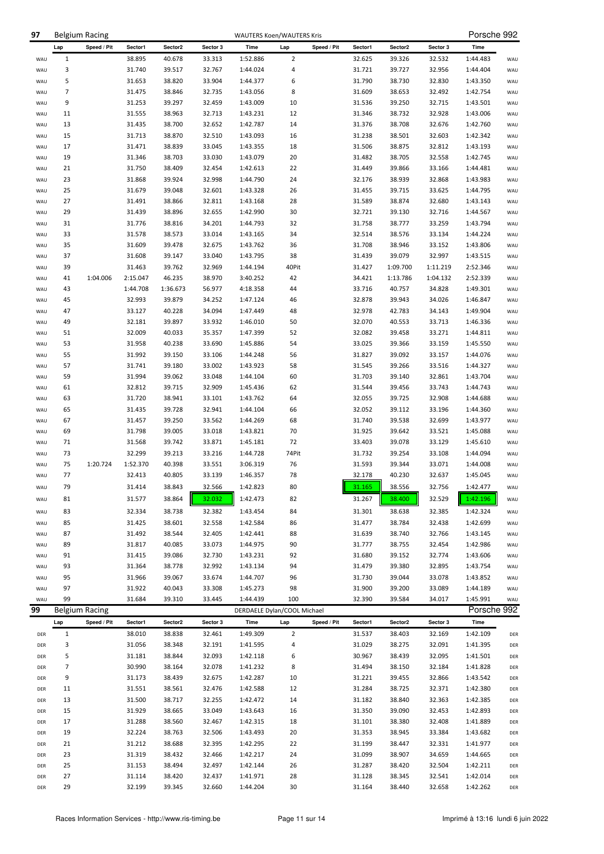| 97         |                | <b>Belgium Racing</b> |          |          |          | <b>WAUTERS Koen/WAUTERS Kris</b> |                |             |         |                     |                  | Porsche 992 |            |
|------------|----------------|-----------------------|----------|----------|----------|----------------------------------|----------------|-------------|---------|---------------------|------------------|-------------|------------|
|            | Lap            | Speed / Pit           | Sector1  | Sector2  | Sector 3 | Time                             | Lap            | Speed / Pit | Sector1 | Sector <sub>2</sub> | Sector 3         | Time        |            |
| WAU        | $\mathbf{1}$   |                       | 38.895   | 40.678   | 33.313   | 1:52.886                         | $\overline{2}$ |             | 32.625  | 39.326              | 32.532           | 1:44.483    | WAU        |
| WAU        | 3              |                       | 31.740   | 39.517   | 32.767   | 1:44.024                         | 4              |             | 31.721  | 39.727              | 32.956           | 1:44.404    | WAU        |
| WAU        | 5              |                       | 31.653   | 38.820   | 33.904   | 1:44.377                         | 6              |             | 31.790  | 38.730              | 32.830           | 1:43.350    | WAU        |
| WAU        | 7              |                       | 31.475   | 38.846   | 32.735   | 1:43.056                         | 8              |             | 31.609  | 38.653              | 32.492           | 1:42.754    | WAU        |
| WAU        | 9              |                       | 31.253   | 39.297   | 32.459   | 1:43.009                         | 10             |             | 31.536  | 39.250              | 32.715           | 1:43.501    | WAU        |
| WAU        | 11             |                       | 31.555   | 38.963   | 32.713   | 1:43.231                         | 12             |             | 31.346  | 38.732              | 32.928           | 1:43.006    | WAU        |
| WAU        | 13             |                       | 31.435   | 38.700   | 32.652   | 1:42.787                         | 14             |             | 31.376  | 38.708              | 32.676           | 1:42.760    | WAU        |
| WAU        | 15             |                       | 31.713   | 38.870   | 32.510   | 1:43.093                         | 16             |             | 31.238  | 38.501              | 32.603           | 1:42.342    | WAU        |
| WAU        | 17             |                       | 31.471   | 38.839   | 33.045   | 1:43.355                         | 18             |             | 31.506  | 38.875              | 32.812           | 1:43.193    | WAU        |
| WAU        | 19             |                       | 31.346   | 38.703   | 33.030   | 1:43.079                         | 20             |             | 31.482  | 38.705              | 32.558           | 1:42.745    | WAU        |
| WAU        | 21             |                       | 31.750   | 38.409   | 32.454   | 1:42.613                         | 22             |             | 31.449  | 39.866              | 33.166           | 1:44.481    | WAU        |
|            |                |                       |          |          |          |                                  |                |             |         |                     |                  |             |            |
| WAU        | 23             |                       | 31.868   | 39.924   | 32.998   | 1:44.790                         | 24             |             | 32.176  | 38.939              | 32.868           | 1:43.983    | WAU        |
| WAU        | 25             |                       | 31.679   | 39.048   | 32.601   | 1:43.328                         | 26             |             | 31.455  | 39.715              | 33.625           | 1:44.795    | WAU        |
| WAU        | 27             |                       | 31.491   | 38.866   | 32.811   | 1:43.168                         | 28             |             | 31.589  | 38.874              | 32.680           | 1:43.143    | WAU        |
| WAU        | 29             |                       | 31.439   | 38.896   | 32.655   | 1:42.990                         | 30             |             | 32.721  | 39.130              | 32.716           | 1:44.567    | WAU        |
| WAU        | 31             |                       | 31.776   | 38.816   | 34.201   | 1:44.793                         | 32             |             | 31.758  | 38.777              | 33.259           | 1:43.794    | WAU        |
| WAU        | 33             |                       | 31.578   | 38.573   | 33.014   | 1:43.165                         | 34             |             | 32.514  | 38.576              | 33.134           | 1:44.224    | WAU        |
| WAU        | 35             |                       | 31.609   | 39.478   | 32.675   | 1:43.762                         | 36             |             | 31.708  | 38.946              | 33.152           | 1:43.806    | WAU        |
| WAU        | 37             |                       | 31.608   | 39.147   | 33.040   | 1:43.795                         | 38             |             | 31.439  | 39.079              | 32.997           | 1:43.515    | WAU        |
| WAU        | 39             |                       | 31.463   | 39.762   | 32.969   | 1:44.194                         | 40Pit          |             | 31.427  | 1:09.700            | 1:11.219         | 2:52.346    | WAU        |
| WAU        | 41             | 1:04.006              | 2:15.047 | 46.235   | 38.970   | 3:40.252                         | 42             |             | 34.421  | 1:13.786            | 1:04.132         | 2:52.339    | WAU        |
| WAU        | 43             |                       | 1:44.708 | 1:36.673 | 56.977   | 4:18.358                         | 44             |             | 33.716  | 40.757              | 34.828           | 1:49.301    | WAU        |
| WAU        | 45             |                       | 32.993   | 39.879   | 34.252   | 1:47.124                         | 46             |             | 32.878  | 39.943              | 34.026           | 1:46.847    | WAU        |
| WAU        | 47             |                       | 33.127   | 40.228   | 34.094   | 1:47.449                         | 48             |             | 32.978  | 42.783              | 34.143           | 1:49.904    | WAU        |
| WAU        | 49             |                       | 32.181   | 39.897   | 33.932   | 1:46.010                         | 50             |             | 32.070  | 40.553              | 33.713           | 1:46.336    | WAU        |
| WAU        | 51             |                       | 32.009   | 40.033   | 35.357   | 1:47.399                         | 52             |             | 32.082  | 39.458              | 33.271           | 1:44.811    | WAU        |
| WAU        | 53             |                       | 31.958   | 40.238   | 33.690   | 1:45.886                         | 54             |             | 33.025  | 39.366              | 33.159           | 1:45.550    | WAU        |
| WAU        | 55             |                       | 31.992   | 39.150   | 33.106   | 1:44.248                         | 56             |             | 31.827  | 39.092              | 33.157           | 1:44.076    | WAU        |
| WAU        | 57             |                       | 31.741   | 39.180   | 33.002   | 1:43.923                         | 58             |             | 31.545  | 39.266              | 33.516           | 1:44.327    | WAU        |
| WAU        | 59             |                       | 31.994   | 39.062   | 33.048   | 1:44.104                         | 60             |             | 31.703  | 39.140              | 32.861           | 1:43.704    | WAU        |
| WAU        | 61             |                       | 32.812   | 39.715   | 32.909   | 1:45.436                         | 62             |             | 31.544  | 39.456              | 33.743           | 1:44.743    | WAU        |
| WAU        | 63             |                       | 31.720   | 38.941   | 33.101   | 1:43.762                         | 64             |             | 32.055  | 39.725              | 32.908           | 1:44.688    | WAU        |
| WAU        | 65             |                       | 31.435   | 39.728   | 32.941   | 1:44.104                         | 66             |             | 32.052  | 39.112              | 33.196           | 1:44.360    | WAU        |
| WAU        | 67             |                       | 31.457   | 39.250   | 33.562   | 1:44.269                         | 68             |             | 31.740  | 39.538              | 32.699           | 1:43.977    | WAU        |
| WAU        | 69             |                       | 31.798   | 39.005   | 33.018   | 1:43.821                         | 70             |             | 31.925  | 39.642              | 33.521           | 1:45.088    | WAU        |
| WAU        | 71             |                       | 31.568   | 39.742   | 33.871   | 1:45.181                         | 72             |             | 33.403  | 39.078              | 33.129           | 1:45.610    | WAU        |
| WAU        | 73             |                       | 32.299   | 39.213   | 33.216   | 1:44.728                         | 74Pit          |             | 31.732  | 39.254              | 33.108           | 1:44.094    | WAU        |
| WAU        | 75             | 1:20.724              | 1:52.370 | 40.398   | 33.551   | 3:06.319                         | 76             |             | 31.593  | 39.344              | 33.071           | 1:44.008    | WAU        |
| WAU        | 77             |                       | 32.413   | 40.805   | 33.139   | 1:46.357                         | 78             |             | 32.178  | 40.230              | 32.637           | 1:45.045    | WAU        |
| WAU        | 79             |                       | 31.414   | 38.843   | 32.566   | 1:42.823                         | 80             |             | 31.165  | 38.556              | 32.756           | 1:42.477    | WAU        |
| WAU        | 81             |                       | 31.577   | 38.864   | 32.032   | 1:42.473                         | 82             |             | 31.267  | 38.400              | 32.529           | 1:42.196    | WAU        |
|            |                |                       |          |          |          |                                  |                |             |         |                     |                  |             |            |
| WAU        | 83             |                       | 32.334   | 38.738   | 32.382   | 1:43.454                         | 84             |             | 31.301  | 38.638              | 32.385           | 1:42.324    | WAU        |
| WAU        | 85             |                       | 31.425   | 38.601   | 32.558   | 1:42.584                         | 86             |             | 31.477  | 38.784              | 32.438           | 1:42.699    | WAU        |
| WAU        | 87             |                       | 31.492   | 38.544   | 32.405   | 1:42.441                         | 88             |             | 31.639  | 38.740              | 32.766           | 1:43.145    | WAU        |
| WAU        | 89             |                       | 31.817   | 40.085   | 33.073   | 1:44.975                         | 90             |             | 31.777  | 38.755              | 32.454           | 1:42.986    | WAU        |
| WAU        | 91             |                       | 31.415   | 39.086   | 32.730   | 1:43.231                         | 92             |             | 31.680  | 39.152              | 32.774           | 1:43.606    | WAU        |
| WAU        | 93             |                       | 31.364   | 38.778   | 32.992   | 1:43.134                         | 94             |             | 31.479  | 39.380              | 32.895           | 1:43.754    | WAU        |
| WAU        | 95             |                       | 31.966   | 39.067   | 33.674   | 1:44.707                         | 96             |             | 31.730  | 39.044              | 33.078           | 1:43.852    | WAU        |
| WAU        | 97             |                       | 31.922   | 40.043   | 33.308   | 1:45.273                         | 98             |             | 31.900  | 39.200              | 33.089           | 1:44.189    | WAU        |
| WAU        | 99             |                       | 31.684   | 39.310   | 33.445   | 1:44.439                         | 100            |             | 32.390  | 39.584              | 34.017           | 1:45.991    | WAU        |
| 99         |                | <b>Belgium Racing</b> |          |          |          | DERDAELE Dylan/COOL Michael      |                |             |         |                     |                  | Porsche 992 |            |
|            | Lap            | Speed / Pit           | Sector1  | Sector2  | Sector 3 | Time                             | Lap            | Speed / Pit | Sector1 | Sector2             | Sector 3         | Time        |            |
| DER        | $\mathbf{1}$   |                       | 38.010   | 38.838   | 32.461   | 1:49.309                         | $\overline{2}$ |             | 31.537  | 38.403              | 32.169           | 1:42.109    | DER        |
| DER        | 3              |                       | 31.056   | 38.348   | 32.191   | 1:41.595                         | 4              |             | 31.029  | 38.275              | 32.091           | 1:41.395    | DER        |
| DER        | 5              |                       | 31.181   | 38.844   | 32.093   | 1:42.118                         | 6              |             | 30.967  | 38.439              | 32.095           | 1:41.501    | DER        |
| DER        | $\overline{7}$ |                       | 30.990   | 38.164   | 32.078   | 1:41.232                         | 8              |             | 31.494  | 38.150              | 32.184           | 1:41.828    | DER        |
| DER        | 9              |                       | 31.173   | 38.439   | 32.675   | 1:42.287                         | 10             |             | 31.221  | 39.455              | 32.866           | 1:43.542    | DER        |
| DER        | 11             |                       | 31.551   | 38.561   | 32.476   | 1:42.588                         | 12             |             | 31.284  | 38.725              | 32.371           | 1:42.380    | DER        |
| DER        | 13             |                       | 31.500   | 38.717   | 32.255   | 1:42.472                         | 14             |             | 31.182  | 38.840              | 32.363           | 1:42.385    | DER        |
| DER        | 15             |                       | 31.929   | 38.665   | 33.049   | 1:43.643                         | 16             |             | 31.350  | 39.090              | 32.453           | 1:42.893    | DER        |
| DER        | 17             |                       | 31.288   | 38.560   | 32.467   | 1:42.315                         | 18             |             | 31.101  | 38.380              | 32.408           | 1:41.889    | DER        |
| DER        | 19             |                       | 32.224   | 38.763   | 32.506   | 1:43.493                         | 20             |             | 31.353  | 38.945              | 33.384           | 1:43.682    | DER        |
|            | 21             |                       | 31.212   | 38.688   | 32.395   |                                  | 22             |             | 31.199  | 38.447              |                  | 1:41.977    |            |
| DER<br>DER | 23             |                       | 31.319   | 38.432   | 32.466   | 1:42.295<br>1:42.217             | 24             |             | 31.099  | 38.907              | 32.331<br>34.659 | 1:44.665    | DER<br>DER |
|            | 25             |                       | 31.153   | 38.494   | 32.497   |                                  | 26             |             | 31.287  | 38.420              | 32.504           |             |            |
| DER        |                |                       |          |          |          | 1:42.144                         |                |             |         |                     |                  | 1:42.211    | DER        |
| DER        | 27             |                       | 31.114   | 38.420   | 32.437   | 1:41.971                         | 28             |             | 31.128  | 38.345              | 32.541           | 1:42.014    | DER        |
| DER        | 29             |                       | 32.199   | 39.345   | 32.660   | 1:44.204                         | 30             |             | 31.164  | 38.440              | 32.658           | 1:42.262    | DER        |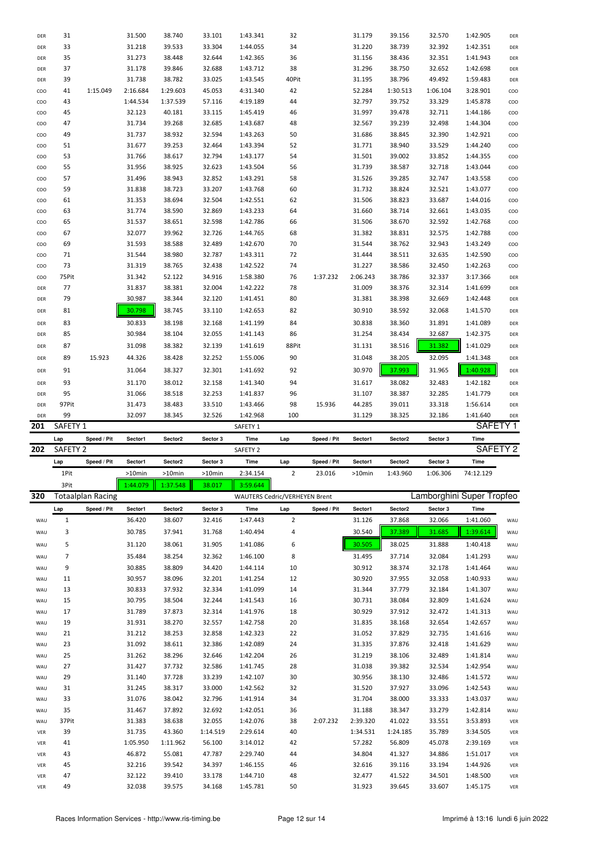| DER | 31                  |                          | 31.500             | 38.740            | 33.101             | 1:43.341                                  | 32             |             | 31.179           | 39.156            | 32.570             | 1:42.905                               | DER                |
|-----|---------------------|--------------------------|--------------------|-------------------|--------------------|-------------------------------------------|----------------|-------------|------------------|-------------------|--------------------|----------------------------------------|--------------------|
| DER | 33                  |                          | 31.218             | 39.533            | 33.304             | 1:44.055                                  | 34             |             | 31.220           | 38.739            | 32.392             | 1:42.351                               | DER                |
| DER | 35                  |                          | 31.273             | 38.448            | 32.644             | 1:42.365                                  | 36             |             | 31.156           | 38.436            | 32.351             | 1:41.943                               | DER                |
| DER | 37                  |                          | 31.178             | 39.846            | 32.688             | 1:43.712                                  | 38             |             | 31.296           | 38.750            | 32.652             | 1:42.698                               | DER                |
| DER | 39                  |                          | 31.738             | 38.782            | 33.025             | 1:43.545                                  | 40Pit          |             | 31.195           | 38.796            | 49.492             | 1:59.483                               | DER                |
| COO | 41                  | 1:15.049                 | 2:16.684           | 1:29.603          | 45.053             | 4:31.340                                  | 42             |             | 52.284           | 1:30.513          | 1:06.104           | 3:28.901                               | coo                |
| COO | 43                  |                          | 1:44.534           | 1:37.539          | 57.116             | 4:19.189                                  | 44             |             | 32.797           | 39.752            | 33.329             | 1:45.878                               | coo                |
| COO | 45                  |                          | 32.123             | 40.181            | 33.115             | 1:45.419                                  | 46             |             | 31.997           | 39.478            | 32.711             | 1:44.186                               | coo                |
| COO | 47                  |                          | 31.734             | 39.268            | 32.685             | 1:43.687                                  | 48             |             | 32.567           | 39.239            | 32.498             | 1:44.304                               | coo                |
| COO | 49                  |                          | 31.737             | 38.932            | 32.594             | 1:43.263                                  | 50             |             | 31.686           | 38.845            | 32.390             | 1:42.921                               | coo                |
| COO | 51                  |                          | 31.677             | 39.253            | 32.464             | 1:43.394                                  | 52             |             | 31.771           | 38.940            | 33.529             | 1:44.240                               | <b>COO</b>         |
| COO | 53                  |                          | 31.766             | 38.617            | 32.794             | 1:43.177                                  | 54             |             | 31.501           | 39.002            | 33.852             | 1:44.355                               | coo                |
| COO | 55                  |                          | 31.956             | 38.925            | 32.623             | 1:43.504                                  | 56             |             | 31.739           | 38.587            | 32.718             | 1:43.044                               | coo                |
| COO | 57                  |                          | 31.496             | 38.943            | 32.852             | 1:43.291                                  | 58             |             | 31.526           | 39.285            | 32.747             | 1:43.558                               | coo                |
| COO | 59                  |                          | 31.838             | 38.723            | 33.207             | 1:43.768                                  | 60             |             | 31.732           | 38.824            | 32.521             | 1:43.077                               | coo                |
| COO | 61                  |                          | 31.353             | 38.694            | 32.504             | 1:42.551                                  | 62             |             | 31.506           | 38.823            | 33.687             | 1:44.016                               | coo                |
| COO | 63                  |                          | 31.774             | 38.590            | 32.869             | 1:43.233                                  | 64             |             | 31.660           | 38.714            | 32.661             | 1:43.035                               | coo                |
| COO | 65                  |                          | 31.537             | 38.651            | 32.598             | 1:42.786                                  | 66             |             | 31.506           | 38.670            | 32.592             | 1:42.768                               | coo                |
| COO | 67                  |                          | 32.077             | 39.962            | 32.726             | 1:44.765                                  | 68             |             | 31.382           | 38.831            | 32.575             | 1:42.788                               | coo                |
| COO | 69                  |                          | 31.593             | 38.588            | 32.489             | 1:42.670                                  | 70             |             | 31.544           | 38.762            | 32.943             | 1:43.249                               | coo                |
| COO | 71                  |                          | 31.544             | 38.980            | 32.787             | 1:43.311                                  | 72             |             | 31.444           | 38.511            | 32.635             | 1:42.590                               | coo                |
| COO | 73                  |                          | 31.319             | 38.765            | 32.438             | 1:42.522                                  | 74             |             | 31.227           | 38.586            | 32.450             | 1:42.263                               | coo                |
| COO | 75Pit               |                          | 31.342             | 52.122            | 34.916             | 1:58.380                                  | 76             | 1:37.232    | 2:06.243         | 38.786            | 32.337             | 3:17.366                               | DER                |
| DER | 77                  |                          | 31.837             | 38.381            | 32.004             | 1:42.222                                  | 78             |             | 31.009           | 38.376            | 32.314             | 1:41.699                               | DER                |
| DER | 79                  |                          | 30.987             | 38.344            | 32.120             | 1:41.451                                  | 80             |             | 31.381           | 38.398            | 32.669             | 1:42.448                               | DER                |
| DER | 81                  |                          | 30.798             | 38.745            | 33.110             | 1:42.653                                  | 82             |             | 30.910           | 38.592            | 32.068             | 1:41.570                               | DER                |
|     |                     |                          |                    |                   |                    |                                           |                |             |                  |                   |                    |                                        |                    |
| DER | 83                  |                          | 30.833             | 38.198            | 32.168             | 1:41.199                                  | 84             |             | 30.838           | 38.360            | 31.891             | 1:41.089                               | DER                |
| DER | 85                  |                          | 30.984             | 38.104            | 32.055             | 1:41.143                                  | 86             |             | 31.254           | 38.434            | 32.687             | 1:42.375                               | DER                |
| DER | 87                  |                          | 31.098             | 38.382            | 32.139             | 1:41.619                                  | 88Pit          |             | 31.131           | 38.516            | 31.382             | 1:41.029                               | DER                |
| DER | 89                  | 15.923                   | 44.326             | 38.428            | 32.252             | 1:55.006                                  | 90             |             | 31.048           | 38.205            | 32.095             | 1:41.348                               | DER                |
| DER | 91                  |                          | 31.064             | 38.327            | 32.301             | 1:41.692                                  | 92             |             | 30.970           | 37.993            | 31.965             | 1:40.928                               | DER                |
| DER | 93                  |                          | 31.170             | 38.012            | 32.158             | 1:41.340                                  | 94             |             | 31.617           | 38.082            | 32.483             | 1:42.182                               | DER                |
| DER | 95                  |                          | 31.066             | 38.518            | 32.253             | 1:41.837                                  | 96             |             | 31.107           | 38.387            | 32.285             | 1:41.779                               | DER                |
|     |                     |                          |                    |                   |                    |                                           |                |             |                  |                   |                    |                                        |                    |
| DER | 97Pit               |                          | 31.473             | 38.483            | 33.510             | 1:43.466                                  | 98             | 15.936      | 44.285           | 39.011            | 33.318             | 1:56.614                               | DER                |
| DER | 99                  |                          | 32.097             | 38.345            | 32.526             | 1:42.968                                  | 100            |             | 31.129           | 38.325            | 32.186             | 1:41.640                               | DER                |
| 201 | SAFETY <sub>1</sub> |                          |                    |                   |                    | SAFETY 1                                  |                |             |                  |                   |                    | SAFETY <sub>1</sub>                    |                    |
|     | Lap                 | Speed / Pit              | Sector1            | Sector2           | Sector 3           | Time                                      | Lap            | Speed / Pit | Sector1          | Sector2           | Sector 3           | <b>Time</b>                            |                    |
| 202 | SAFETY <sub>2</sub> |                          |                    |                   |                    | SAFETY <sub>2</sub>                       |                |             |                  |                   |                    | SAFETY <sub>2</sub>                    |                    |
|     | Lap                 | Speed / Pit              | Sector1            | Sector2           | Sector 3           | Time                                      | Lap            | Speed / Pit | Sector1          | Sector2           | Sector 3           | Time                                   |                    |
|     | 1Pit                |                          | >10min             | >10min            | >10min             | 2:34.154                                  | $\overline{2}$ | 23.016      | $>10$ min        | 1:43.960          | 1:06.306           | 74:12.129                              |                    |
|     |                     |                          | 1:44.079           |                   |                    |                                           |                |             |                  |                   |                    |                                        |                    |
| 320 | 3Pit                | <b>Totaalplan Racing</b> |                    | 1:37.548          | 38.017             | 3:59.644<br>WAUTERS Cedric/VERHEYEN Brent |                |             |                  |                   |                    |                                        |                    |
|     |                     |                          |                    |                   |                    |                                           |                |             | Sector1          |                   |                    | Lamborghini Super Tropfeo              |                    |
| WAU | Lap<br>$\mathbf{1}$ | Speed / Pit              | Sector1<br>36.420  | Sector2<br>38.607 | Sector 3<br>32.416 | Time<br>1:47.443                          | Lap<br>2       | Speed / Pit | 31.126           | Sector2<br>37.868 | Sector 3<br>32.066 | Time<br>1:41.060                       | WAU                |
|     |                     |                          |                    |                   |                    |                                           |                |             |                  |                   |                    |                                        |                    |
| WAU | 3                   |                          | 30.785             | 37.941            | 31.768             | 1:40.494                                  | 4              |             | 30.540           | 37.389            | 31.685             | 1:39.614                               | WAU                |
| WAU | 5                   |                          | 31.120             | 38.061            | 31.905             | 1:41.086                                  | 6              |             | 30.505           | 38.025            | 31.888             | 1:40.418                               | WAU                |
| WAU | 7                   |                          | 35.484             | 38.254            | 32.362             | 1:46.100                                  | 8              |             | 31.495           | 37.714            | 32.084             | 1:41.293                               | WAU                |
| WAU | 9                   |                          | 30.885             | 38.809            | 34.420             | 1:44.114                                  | 10             |             | 30.912           | 38.374            | 32.178             | 1:41.464                               | WAU                |
| WAU | 11                  |                          | 30.957             | 38.096            | 32.201             | 1:41.254                                  | 12             |             | 30.920           | 37.955            | 32.058             | 1:40.933                               | WAU                |
| WAU | 13                  |                          | 30.833             | 37.932            | 32.334             | 1:41.099                                  | 14             |             | 31.344           | 37.779            | 32.184             | 1:41.307                               | WAU                |
| WAU | 15                  |                          | 30.795             | 38.504            | 32.244             | 1:41.543                                  | 16             |             | 30.731           | 38.084            | 32.809             | 1:41.624                               | WAU                |
| WAU | 17                  |                          | 31.789             | 37.873            | 32.314             | 1:41.976                                  | 18             |             | 30.929           | 37.912            | 32.472             | 1:41.313                               | WAU                |
| WAU | 19                  |                          | 31.931             | 38.270            | 32.557             | 1:42.758                                  | 20             |             | 31.835           | 38.168            | 32.654             | 1:42.657                               | WAU                |
| WAU | 21                  |                          | 31.212             | 38.253            | 32.858             | 1:42.323                                  | 22             |             | 31.052           | 37.829            | 32.735             | 1:41.616                               | WAU                |
| WAU | 23                  |                          | 31.092             | 38.611            | 32.386             | 1:42.089                                  | 24             |             | 31.335           | 37.876            | 32.418             | 1:41.629                               | WAU                |
| WAU | 25<br>27            |                          | 31.262<br>31 4 2 7 | 38.296<br>27722   | 32.646<br>32586    | 1:42.204<br>1.41745                       | 26<br>28       |             | 31.219<br>31 038 | 38.106<br>30 382  | 32.489<br>32531    | 1:41.814<br>$1.179$ Q <sub>5</sub> $1$ | WAU<br><b>MALL</b> |

| <b>WAU</b> | دے    | <b>JT.UJT</b> | <b>20.0TT</b> | <b>DOC.30</b> | 1.44.009 | 44 |          | <b>31.333</b> | 37.O/U   | <b>JZ.410</b> | 1.41.029 | <b>WAU</b> |
|------------|-------|---------------|---------------|---------------|----------|----|----------|---------------|----------|---------------|----------|------------|
| WAU        | 25    | 31.262        | 38.296        | 32.646        | 1:42.204 | 26 |          | 31.219        | 38.106   | 32.489        | 1:41.814 | WAU        |
| WAU        | 27    | 31.427        | 37.732        | 32.586        | 1:41.745 | 28 |          | 31.038        | 39.382   | 32.534        | 1:42.954 | WAU        |
| WAU        | 29    | 31.140        | 37.728        | 33.239        | 1:42.107 | 30 |          | 30.956        | 38.130   | 32.486        | 1:41.572 | WAU        |
| WAU        | 31    | 31.245        | 38.317        | 33.000        | 1:42.562 | 32 |          | 31.520        | 37.927   | 33.096        | 1:42.543 | WAU        |
| WAU        | 33    | 31.076        | 38.042        | 32.796        | 1:41.914 | 34 |          | 31.704        | 38.000   | 33.333        | 1:43.037 | WAU        |
| WAU        | 35    | 31.467        | 37.892        | 32.692        | 1:42.051 | 36 |          | 31.188        | 38.347   | 33.279        | 1:42.814 | WAU        |
| WAU        | 37Pit | 31.383        | 38.638        | 32.055        | 1:42.076 | 38 | 2:07.232 | 2:39.320      | 41.022   | 33.551        | 3:53.893 | VER        |
| <b>VER</b> | 39    | 31.735        | 43.360        | 1:14.519      | 2:29.614 | 40 |          | 1:34.531      | 1:24.185 | 35.789        | 3:34.505 | VER        |
| <b>VER</b> | 41    | 1:05.950      | 1:11.962      | 56.100        | 3:14.012 | 42 |          | 57.282        | 56.809   | 45.078        | 2:39.169 | VER        |
| <b>VER</b> | 43    | 46.872        | 55.081        | 47.787        | 2:29.740 | 44 |          | 34.804        | 41.327   | 34.886        | 1:51.017 | VER        |
| <b>VER</b> | 45    | 32.216        | 39.542        | 34.397        | 1:46.155 | 46 |          | 32.616        | 39.116   | 33.194        | 1:44.926 | VER        |
| <b>VER</b> | 47    | 32.122        | 39.410        | 33.178        | 1:44.710 | 48 |          | 32.477        | 41.522   | 34.501        | 1:48.500 | VER        |
| <b>VER</b> | 49    | 32.038        | 39.575        | 34.168        | 1:45.781 | 50 |          | 31.923        | 39.645   | 33.607        | 1:45.175 | VER        |
|            |       |               |               |               |          |    |          |               |          |               |          |            |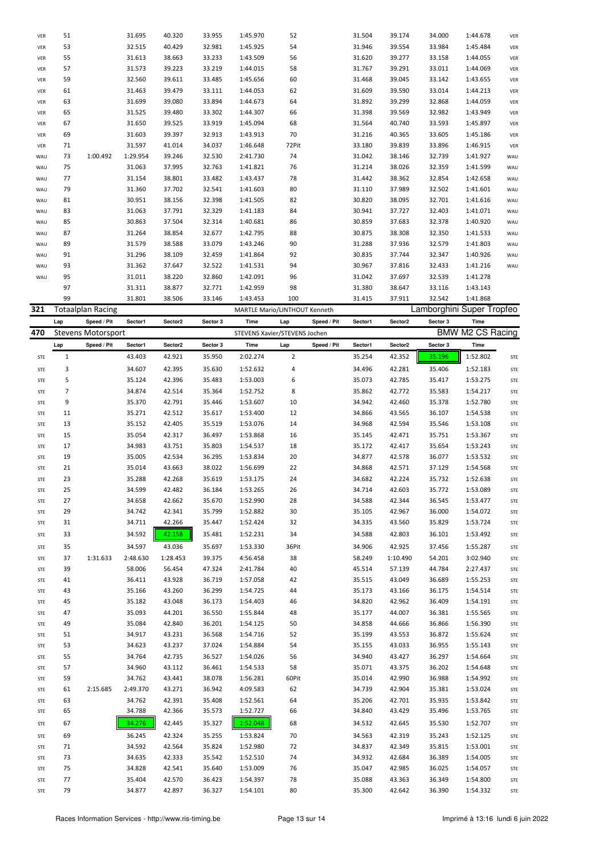|                   | Lap | Speed / Pit       | Sector1  | Sector2 | Sector 3 | Time                          | Lap   | Speed / Pit | Sector1 | Sector2 | Sector 3 | Time                      |            |
|-------------------|-----|-------------------|----------|---------|----------|-------------------------------|-------|-------------|---------|---------|----------|---------------------------|------------|
| 321               |     | Totaalplan Racing |          |         |          | MARTLE Mario/LINTHOUT Kenneth |       |             |         |         |          | Lamborghini Super Tropfeo |            |
|                   | 99  |                   | 31.801   | 38.506  | 33.146   | 1:43.453                      | 100   |             | 31.415  | 37.911  | 32.542   | 1:41.868                  |            |
|                   | 97  |                   | 31.311   | 38.877  | 32.771   | 1:42.959                      | 98    |             | 31.380  | 38.647  | 33.116   | 1:43.143                  |            |
| WAU               | 95  |                   | 31.011   | 38.220  | 32.860   | 1:42.091                      | 96    |             | 31.042  | 37.697  | 32.539   | 1:41.278                  |            |
| WAU               | 93  |                   | 31.362   | 37.647  | 32.522   | 1:41.531                      | 94    |             | 30.967  | 37.816  | 32.433   | 1:41.216                  | WAU        |
| WAU               | 91  |                   | 31.296   | 38.109  | 32.459   | 1:41.864                      | 92    |             | 30.835  | 37.744  | 32.347   | 1:40.926                  | WAU        |
| WAU               | 89  |                   | 31.579   | 38.588  | 33.079   | 1:43.246                      | 90    |             | 31.288  | 37.936  | 32.579   | 1:41.803                  | WAU        |
| WAU               | 87  |                   | 31.264   | 38.854  | 32.677   | 1:42.795                      | 88    |             | 30.875  | 38.308  | 32.350   | 1:41.533                  | WAU        |
| WAU               | 85  |                   | 30.863   | 37.504  | 32.314   | 1:40.681                      | 86    |             | 30.859  | 37.683  | 32.378   | 1:40.920                  | WAU        |
| WAU               | 83  |                   | 31.063   | 37.791  | 32.329   | 1:41.183                      | 84    |             | 30.941  | 37.727  | 32.403   | 1:41.071                  | WAU        |
| WAU               | 81  |                   | 30.951   | 38.156  | 32.398   | 1:41.505                      | 82    |             | 30.820  | 38.095  | 32.701   | 1:41.616                  | WAU        |
| WAU               | 79  |                   | 31.360   | 37.702  | 32.541   | 1:41.603                      | 80    |             | 31.110  | 37.989  | 32.502   | 1:41.601                  | WAU        |
| WAU               | 77  |                   | 31.154   | 38.801  | 33.482   | 1:43.437                      | 78    |             | 31.442  | 38.362  | 32.854   | 1:42.658                  | WAU        |
| WAU               | 75  |                   | 31.063   | 37.995  | 32.763   | 1:41.821                      | 76    |             | 31.214  | 38.026  | 32.359   | 1:41.599                  | WAU        |
| WAU               | 73  | 1:00.492          | 1:29.954 | 39.246  | 32.530   | 2:41.730                      | 74    |             | 31.042  | 38.146  | 32.739   | 1:41.927                  | WAU        |
| <b>VER</b>        | 71  |                   | 31.597   | 41.014  | 34.037   | 1:46.648                      | 72Pit |             | 33.180  | 39.839  | 33.896   | 1:46.915                  | VER        |
| VER               | 69  |                   | 31.603   | 39.397  | 32.913   | 1:43.913                      | 70    |             | 31.216  | 40.365  | 33.605   | 1:45.186                  | VER        |
| VER               | 67  |                   | 31.650   | 39.525  | 33.919   | 1:45.094                      | 68    |             | 31.564  | 40.740  | 33.593   | 1:45.897                  | VER        |
| VER               | 65  |                   | 31.525   | 39.480  | 33.302   | 1:44.307                      | 66    |             | 31.398  | 39.569  | 32.982   | 1:43.949                  | VER        |
| VER               | 63  |                   | 31.699   | 39.080  | 33.894   | 1:44.673                      | 64    |             | 31.892  | 39.299  | 32.868   | 1:44.059                  | VER        |
| VER               | 61  |                   | 31.463   | 39.479  | 33.111   | 1:44.053                      | 62    |             | 31.609  | 39.590  | 33.014   | 1:44.213                  | VER        |
| VER               | 59  |                   | 32.560   | 39.611  | 33.485   | 1:45.656                      | 60    |             | 31.468  | 39.045  | 33.142   | 1:43.655                  | VER        |
| VER               | 57  |                   | 31.573   | 39.223  | 33.219   | 1:44.015                      | 58    |             | 31.767  | 39.291  | 33.011   | 1:44.069                  | VER        |
| VER<br><b>VER</b> | 55  |                   | 31.613   | 38.663  | 33.233   | 1:43.509                      | 56    |             | 31.620  | 39.277  | 33.158   | 1:44.055                  | VER<br>VER |
| VER               | 53  |                   | 32.515   | 40.429  | 32.981   | 1:45.925                      | 54    |             | 31.946  | 39.554  | 33.984   | 1:45.484                  | VER        |
|                   | 51  |                   | 31.695   | 40.320  | 33.955   | 1:45.970                      | 52    |             | 31.504  | 39.174  | 34.000   | 1:44.678                  |            |

| 470        | <b>Stevens Motorsport</b> |             |          |          | STEVENS Xavier/STEVENS Jochen |          |             |             |         | <b>BMW M2 CS Racing</b> |          |          |            |  |
|------------|---------------------------|-------------|----------|----------|-------------------------------|----------|-------------|-------------|---------|-------------------------|----------|----------|------------|--|
|            | Lap                       | Speed / Pit | Sector1  | Sector2  | Sector 3                      | Time     | Lap         | Speed / Pit | Sector1 | Sector2                 | Sector 3 | Time     |            |  |
| STE        | $\mathbf{1}$              |             | 43.403   | 42.921   | 35.950                        | 2:02.274 | $\mathbf 2$ |             | 35.254  | 42.352                  | 35.196   | 1:52.802 | STE        |  |
| STE        | 3                         |             | 34.607   | 42.395   | 35.630                        | 1:52.632 | 4           |             | 34.496  | 42.281                  | 35.406   | 1:52.183 | STE        |  |
| STE        | 5                         |             | 35.124   | 42.396   | 35.483                        | 1:53.003 | 6           |             | 35.073  | 42.785                  | 35.417   | 1:53.275 | STE        |  |
| STE        | $\overline{\phantom{a}}$  |             | 34.874   | 42.514   | 35.364                        | 1:52.752 | 8           |             | 35.862  | 42.772                  | 35.583   | 1:54.217 | STE        |  |
| STE        | 9                         |             | 35.370   | 42.791   | 35.446                        | 1:53.607 | 10          |             | 34.942  | 42.460                  | 35.378   | 1:52.780 | STE        |  |
| STE        | 11                        |             | 35.271   | 42.512   | 35.617                        | 1:53.400 | 12          |             | 34.866  | 43.565                  | 36.107   | 1:54.538 | STE        |  |
| STE        | 13                        |             | 35.152   | 42.405   | 35.519                        | 1:53.076 | 14          |             | 34.968  | 42.594                  | 35.546   | 1:53.108 | <b>STE</b> |  |
| STE        | 15                        |             | 35.054   | 42.317   | 36.497                        | 1:53.868 | 16          |             | 35.145  | 42.471                  | 35.751   | 1:53.367 | STE        |  |
| STE        | 17                        |             | 34.983   | 43.751   | 35.803                        | 1:54.537 | 18          |             | 35.172  | 42.417                  | 35.654   | 1:53.243 | STE        |  |
| STE        | 19                        |             | 35.005   | 42.534   | 36.295                        | 1:53.834 | 20          |             | 34.877  | 42.578                  | 36.077   | 1:53.532 | STE        |  |
| STE        | 21                        |             | 35.014   | 43.663   | 38.022                        | 1:56.699 | 22          |             | 34.868  | 42.571                  | 37.129   | 1:54.568 | <b>STE</b> |  |
| <b>STE</b> | 23                        |             | 35.288   | 42.268   | 35.619                        | 1:53.175 | 24          |             | 34.682  | 42.224                  | 35.732   | 1:52.638 | <b>STE</b> |  |
| <b>STE</b> | 25                        |             | 34.599   | 42.482   | 36.184                        | 1:53.265 | 26          |             | 34.714  | 42.603                  | 35.772   | 1:53.089 | STE        |  |
| <b>STE</b> | 27                        |             | 34.658   | 42.662   | 35.670                        | 1:52.990 | 28          |             | 34.588  | 42.344                  | 36.545   | 1:53.477 | <b>STE</b> |  |
| <b>STE</b> | 29                        |             | 34.742   | 42.341   | 35.799                        | 1:52.882 | 30          |             | 35.105  | 42.967                  | 36.000   | 1:54.072 | <b>STE</b> |  |
| STE        | 31                        |             | 34.711   | 42.266   | 35.447                        | 1:52.424 | 32          |             | 34.335  | 43.560                  | 35.829   | 1:53.724 | <b>STE</b> |  |
| STE        | 33                        |             | 34.592   | 42.158   | 35.481                        | 1:52.231 | 34          |             | 34.588  | 42.803                  | 36.101   | 1:53.492 | STE        |  |
| STE        | 35                        |             | 34.597   | 43.036   | 35.697                        | 1:53.330 | 36Pit       |             | 34.906  | 42.925                  | 37.456   | 1:55.287 | STE        |  |
| STE        | 37                        | 1:31.633    | 2:48.630 | 1:28.453 | 39.375                        | 4:56.458 | 38          |             | 58.249  | 1:10.490                | 54.201   | 3:02.940 | STE        |  |
| STE        | 39                        |             | 58.006   | 56.454   | 47.324                        | 2:41.784 | 40          |             | 45.514  | 57.139                  | 44.784   | 2:27.437 | STE        |  |
| STE        | 41                        |             | 36.411   | 43.928   | 36.719                        | 1:57.058 | 42          |             | 35.515  | 43.049                  | 36.689   | 1:55.253 | STE        |  |
| <b>STE</b> | 43                        |             | 35.166   | 43.260   | 36.299                        | 1:54.725 | 44          |             | 35.173  | 43.166                  | 36.175   | 1:54.514 | STE        |  |
| STE        | 45                        |             | 35.182   | 43.048   | 36.173                        | 1:54.403 | 46          |             | 34.820  | 42.962                  | 36.409   | 1:54.191 | STE        |  |
| <b>STE</b> | 47                        |             | 35.093   | 44.201   | 36.550                        | 1:55.844 | 48          |             | 35.177  | 44.007                  | 36.381   | 1:55.565 | <b>STE</b> |  |
| <b>STE</b> | 49                        |             | 35.084   | 42.840   | 36.201                        | 1:54.125 | 50          |             | 34.858  | 44.666                  | 36.866   | 1:56.390 | STE        |  |
| <b>STE</b> | 51                        |             | 34.917   | 43.231   | 36.568                        | 1:54.716 | 52          |             | 35.199  | 43.553                  | 36.872   | 1:55.624 | STE        |  |
| <b>STE</b> | 53                        |             | 34.623   | 43.237   | 37.024                        | 1:54.884 | 54          |             | 35.155  | 43.033                  | 36.955   | 1:55.143 | STE        |  |
| <b>STE</b> | 55                        |             | 34.764   | 42.735   | 36.527                        | 1:54.026 | 56          |             | 34.940  | 43.427                  | 36.297   | 1:54.664 | <b>STE</b> |  |
| <b>STE</b> | 57                        |             | 34.960   | 43.112   | 36.461                        | 1:54.533 | 58          |             | 35.071  | 43.375                  | 36.202   | 1:54.648 | STE        |  |
| <b>STE</b> | 59                        |             | 34.762   | 43.441   | 38.078                        | 1:56.281 | 60Pit       |             | 35.014  | 42.990                  | 36.988   | 1:54.992 | STE        |  |
| STE        | 61                        | 2:15.685    | 2:49.370 | 43.271   | 36.942                        | 4:09.583 | 62          |             | 34.739  | 42.904                  | 35.381   | 1:53.024 | STE        |  |
| STE        | 63                        |             | 34.762   | 42.391   | 35.408                        | 1:52.561 | 64          |             | 35.206  | 42.701                  | 35.935   | 1:53.842 | STE        |  |
| STE        | 65                        |             | 34.788   | 42.366   | 35.573                        | 1:52.727 | 66          |             | 34.840  | 43.429                  | 35.496   | 1:53.765 | STE        |  |
| STE        | 67                        |             | 34.276   | 42.445   | 35.327                        | 1:52.048 | 68          |             | 34.532  | 42.645                  | 35.530   | 1:52.707 | STE        |  |
| STE        | 69                        |             | 36.245   | 42.324   | 35.255                        | 1:53.824 | 70          |             | 34.563  | 42.319                  | 35.243   | 1:52.125 | STE        |  |
| STE        | 71                        |             | 34.592   | 42.564   | 35.824                        | 1:52.980 | 72          |             | 34.837  | 42.349                  | 35.815   | 1:53.001 | STE        |  |
| STE        | 73                        |             | 34.635   | 42.333   | 35.542                        | 1:52.510 | 74          |             | 34.932  | 42.684                  | 36.389   | 1:54.005 | <b>STE</b> |  |
| <b>STE</b> | 75                        |             | 34.828   | 42.541   | 35.640                        | 1:53.009 | 76          |             | 35.047  | 42.985                  | 36.025   | 1:54.057 | <b>STE</b> |  |
| <b>STE</b> | 77                        |             | 35.404   | 42.570   | 36.423                        | 1:54.397 | 78          |             | 35.088  | 43.363                  | 36.349   | 1:54.800 | STE        |  |
| <b>STE</b> | 79                        |             | 34.877   | 42.897   | 36.327                        | 1:54.101 | 80          |             | 35.300  | 42.642                  | 36.390   | 1:54.332 | STE        |  |